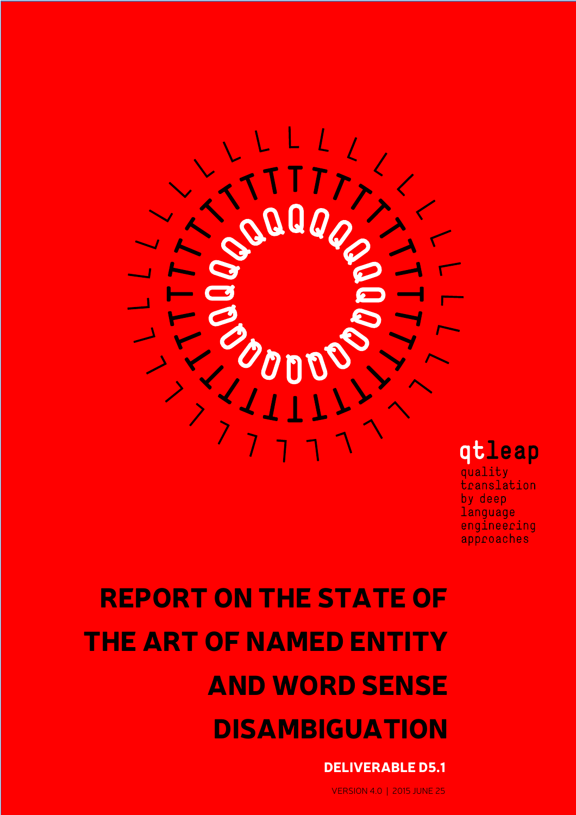

## qtleap

quality translation by deep language engineering approaches

# REPORT ON THE STATE OF THE ART OF NAMED ENTITY AND WORD SENSE DISAMBIGUATION

## DELIVERABLE D5.1

VERSION 4.0 | 2015 JUNE 25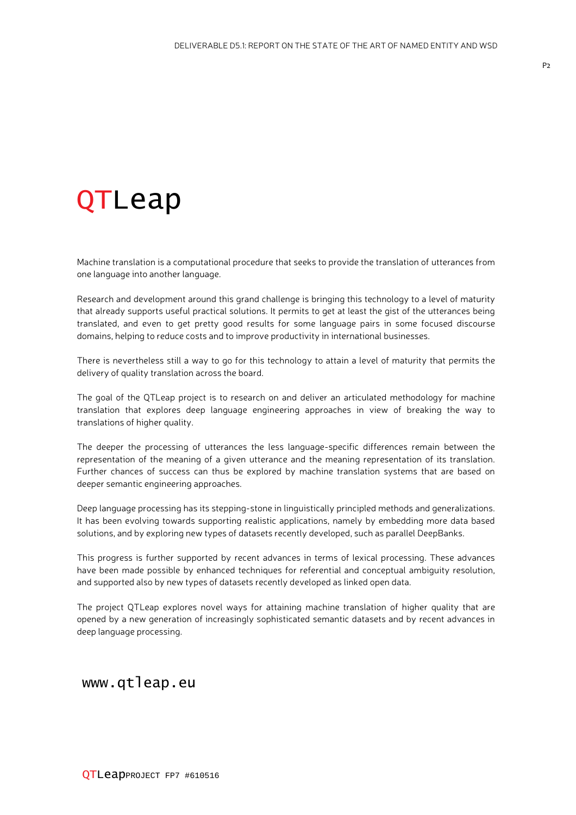## QTLeap

Machine translation is a computational procedure that seeks to provide the translation of utterances from one language into another language.

Research and development around this grand challenge is bringing this technology to a level of maturity that already supports useful practical solutions. It permits to get at least the gist of the utterances being translated, and even to get pretty good results for some language pairs in some focused discourse domains, helping to reduce costs and to improve productivity in international businesses.

There is nevertheless still a way to go for this technology to attain a level of maturity that permits the delivery of quality translation across the board.

The goal of the QTLeap project is to research on and deliver an articulated methodology for machine translation that explores deep language engineering approaches in view of breaking the way to translations of higher quality.

The deeper the processing of utterances the less language-specific differences remain between the representation of the meaning of a given utterance and the meaning representation of its translation. Further chances of success can thus be explored by machine translation systems that are based on deeper semantic engineering approaches.

Deep language processing has its stepping-stone in linguistically principled methods and generalizations. It has been evolving towards supporting realistic applications, namely by embedding more data based solutions, and by exploring new types of datasets recently developed, such as parallel DeepBanks.

This progress is further supported by recent advances in terms of lexical processing. These advances have been made possible by enhanced techniques for referential and conceptual ambiguity resolution, and supported also by new types of datasets recently developed as linked open data.

The project QTLeap explores novel ways for attaining machine translation of higher quality that are opened by a new generation of increasingly sophisticated semantic datasets and by recent advances in deep language processing.

www.qtleap.eu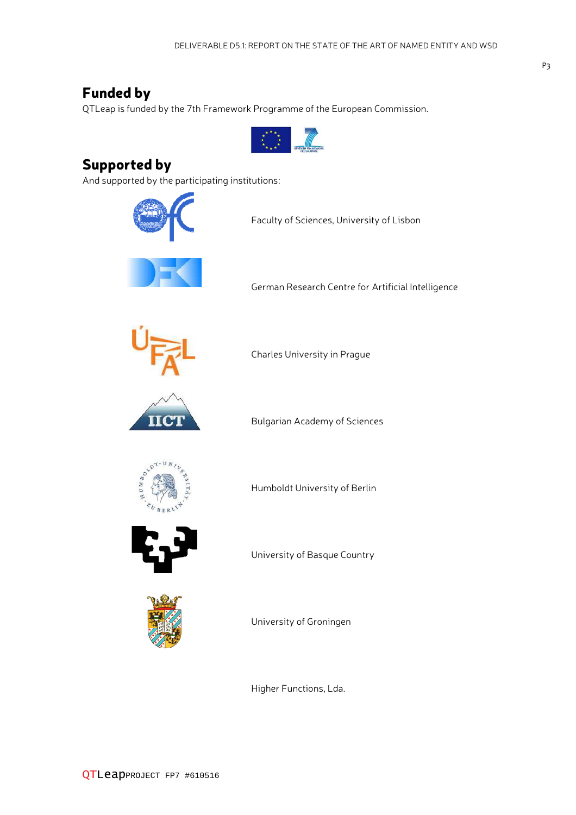## Funded by

QTLeap is funded by the 7th Framework Programme of the European Commission.



## Supported by

And supported by the participating institutions:



Faculty of Sciences, University of Lisbon



German Research Centre for Artificial Intelligence



Charles University in Prague



Bulgarian Academy of Sciences



Humboldt University of Berlin



University of Basque Country



University of Groningen

Higher Functions, Lda.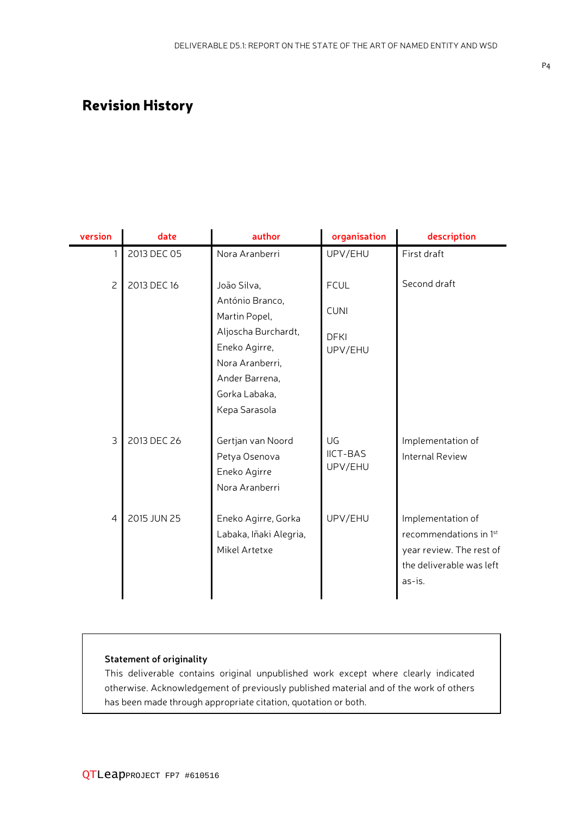## Revision History

| version        | date        | author                                                                                                      | organisation                     | description                                                                                                   |
|----------------|-------------|-------------------------------------------------------------------------------------------------------------|----------------------------------|---------------------------------------------------------------------------------------------------------------|
| 1              | 2013 DEC 05 | Nora Aranberri                                                                                              | UPV/EHU                          | First draft                                                                                                   |
| $\overline{c}$ | 2013 DEC 16 | João Silva,<br>António Branco,                                                                              | <b>FCUL</b>                      | Second draft                                                                                                  |
|                |             | Martin Popel,                                                                                               | <b>CUNI</b>                      |                                                                                                               |
|                |             | Aljoscha Burchardt,<br>Eneko Agirre,<br>Nora Aranberri,<br>Ander Barrena,<br>Gorka Labaka,<br>Kepa Sarasola | <b>DFKI</b><br>UPV/EHU           |                                                                                                               |
| 3              | 2013 DEC 26 | Gertjan van Noord<br>Petya Osenova<br>Eneko Agirre<br>Nora Aranberri                                        | UG<br><b>IICT-BAS</b><br>UPV/EHU | Implementation of<br><b>Internal Review</b>                                                                   |
| $\overline{4}$ | 2015 JUN 25 | Eneko Agirre, Gorka<br>Labaka, Iñaki Alegria,<br>Mikel Artetxe                                              | UPV/EHU                          | Implementation of<br>recommendations in 1st<br>year review. The rest of<br>the deliverable was left<br>as-is. |

#### **Statement of originality**

This deliverable contains original unpublished work except where clearly indicated otherwise. Acknowledgement of previously published material and of the work of others has been made through appropriate citation, quotation or both.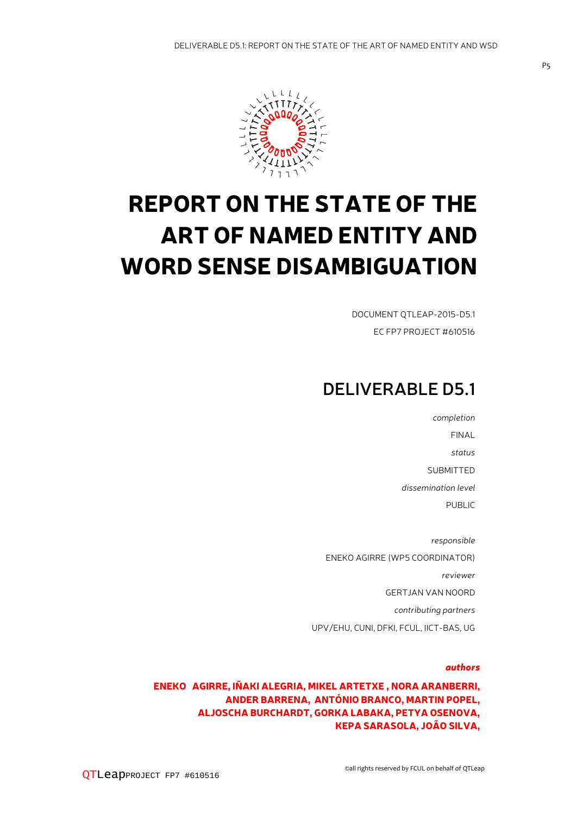

## REPORT ON THE STATE OF THE ART OF NAMED ENTITY AND WORD SENSE DISAMBIGUATION

DOCUMENT QTLEAP-2015-D5.1 EC FP7 PROJECT #610516

## **DELIVERABLE D5.1**

*completion* FINAL *status* SUBMITTED *dissemination level* PUBLIC *responsible* ENEKO AGIRRE (WP5 COORDINATOR) *reviewer* GERTJAN VAN NOORD *contributing partners* UPV/EHU, CUNI, DFKI, FCUL, IICT-BAS, UG

#### *authors*

ENEKO AGIRRE, IÑAKI ALEGRIA, MIKEL ARTETXE , NORA ARANBERRI, ANDER BARRENA, ANTÓNIO BRANCO, MARTIN POPEL, ALJOSCHA BURCHARDT, GORKA LABAKA, PETYA OSENOVA, KEPA SARASOLA, JOÃO SILVA,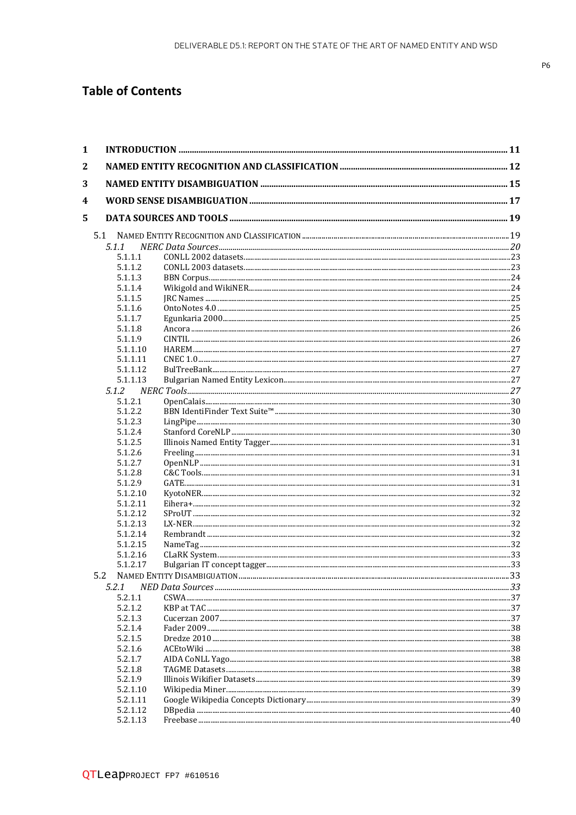### **Table of Contents**

| $\mathbf{1}$ |                      |  |
|--------------|----------------------|--|
| 2            |                      |  |
| 3            |                      |  |
| 4            |                      |  |
| 5            |                      |  |
|              |                      |  |
|              | 5.1.1                |  |
|              | 5.1.1.1              |  |
|              | 5.1.1.2              |  |
|              | 5.1.1.3              |  |
|              | 5.1.1.4              |  |
|              | 5.1.1.5              |  |
|              | 5.1.1.6              |  |
|              | 5.1.1.7              |  |
|              | 5.1.1.8              |  |
|              | 5.1.1.9              |  |
|              | 5.1.1.10             |  |
|              | 5.1.1.11             |  |
|              | 5.1.1.12             |  |
|              | 5.1.1.13             |  |
|              | 5.1.2                |  |
|              | 5.1.2.1              |  |
|              | 5.1.2.2              |  |
|              | 5.1.2.3              |  |
|              | 5.1.2.4              |  |
|              | 5.1.2.5              |  |
|              | 5.1.2.6              |  |
|              | 5.1.2.7              |  |
|              | 5.1.2.8              |  |
|              | 5.1.2.9              |  |
|              | 5.1.2.10<br>5.1.2.11 |  |
|              | 5.1.2.12             |  |
|              | 5.1.2.13             |  |
|              | 5.1.2.14             |  |
|              | 5.1.2.15             |  |
|              | 5.1.2.16             |  |
|              | 5.1.2.17             |  |
|              | 5.2                  |  |
|              | 5.2.1                |  |
|              | 5.2.1.1              |  |
|              | 5.2.1.2              |  |
|              | 5.2.1.3              |  |
|              | 5.2.1.4              |  |
|              | 5.2.1.5              |  |
|              | 5.2.1.6              |  |
|              | 5.2.1.7              |  |
|              | 5.2.1.8              |  |
|              | 5.2.1.9              |  |
|              | 5.2.1.10             |  |
|              | 5.2.1.11             |  |
|              | 5.2.1.12             |  |
|              | 5.2.1.13             |  |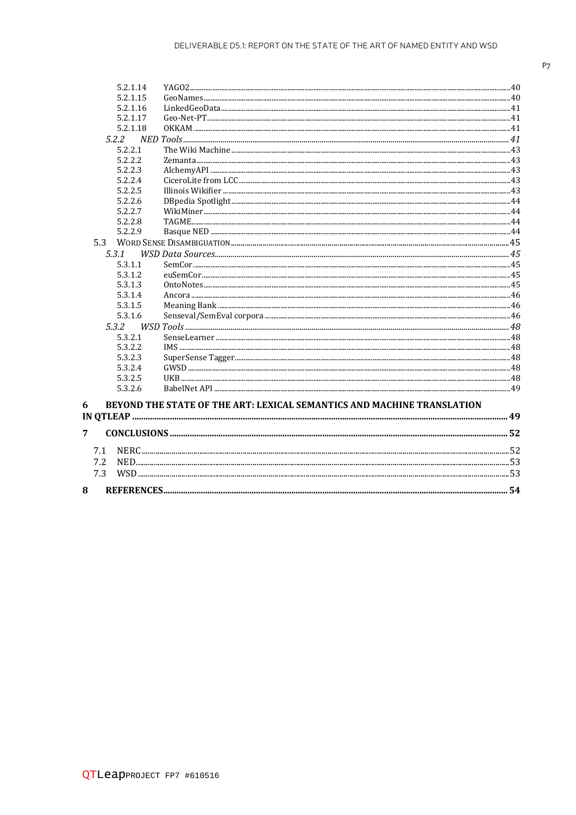|   | 5.2.1.14 |                                                                        |  |
|---|----------|------------------------------------------------------------------------|--|
|   | 5.2.1.15 |                                                                        |  |
|   | 5.2.1.16 |                                                                        |  |
|   | 5.2.1.17 |                                                                        |  |
|   | 5.2.1.18 |                                                                        |  |
|   | 5.2.2    |                                                                        |  |
|   | 5.2.2.1  |                                                                        |  |
|   | 5.2.2.2  |                                                                        |  |
|   | 5.2.2.3  |                                                                        |  |
|   | 5.2.2.4  |                                                                        |  |
|   | 5.2.2.5  |                                                                        |  |
|   | 5.2.2.6  |                                                                        |  |
|   | 5.2.2.7  |                                                                        |  |
|   | 5.2.2.8  |                                                                        |  |
|   | 5.2.2.9  |                                                                        |  |
|   |          |                                                                        |  |
|   | 5.3.1    |                                                                        |  |
|   | 5.3.1.1  |                                                                        |  |
|   | 5.3.1.2  |                                                                        |  |
|   | 5.3.1.3  |                                                                        |  |
|   | 5.3.1.4  |                                                                        |  |
|   | 5.3.1.5  |                                                                        |  |
|   | 5.3.1.6  |                                                                        |  |
|   | 5.3.2    |                                                                        |  |
|   | 5.3.2.1  |                                                                        |  |
|   | 5.3.2.2  |                                                                        |  |
|   | 5.3.2.3  |                                                                        |  |
|   | 5.3.2.4  |                                                                        |  |
|   | 5.3.2.5  |                                                                        |  |
|   | 5.3.2.6  |                                                                        |  |
| 6 |          | BEYOND THE STATE OF THE ART: LEXICAL SEMANTICS AND MACHINE TRANSLATION |  |
|   |          |                                                                        |  |
|   |          |                                                                        |  |
| 7 |          |                                                                        |  |

8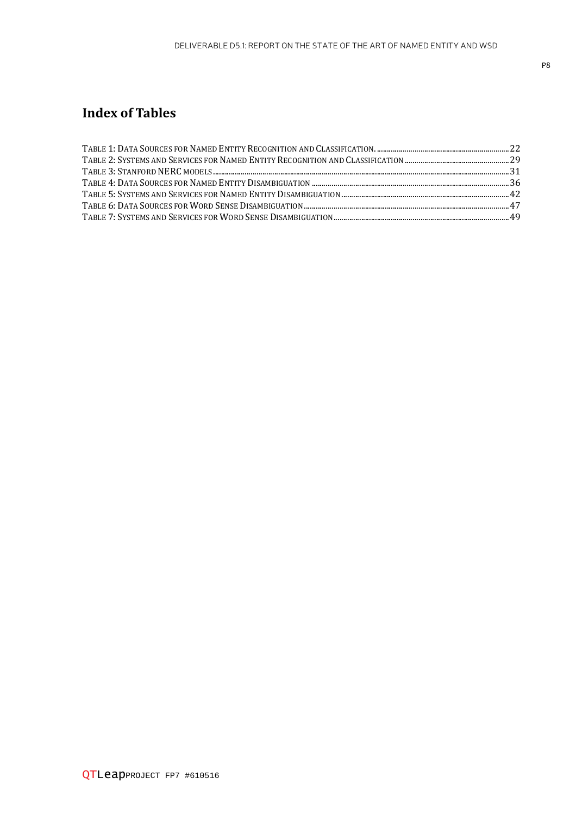## **Index of Tables**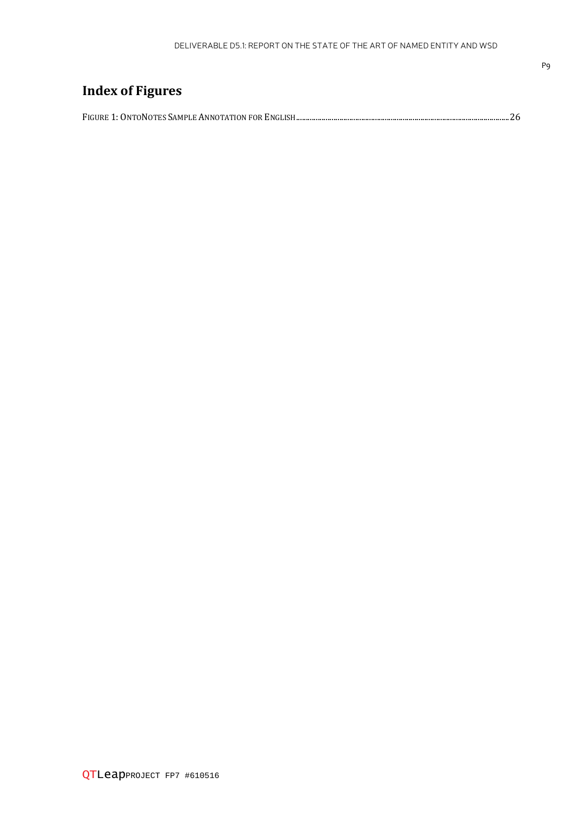|  | <b>Index of Figures</b> |  |
|--|-------------------------|--|
|--|-------------------------|--|

|--|--|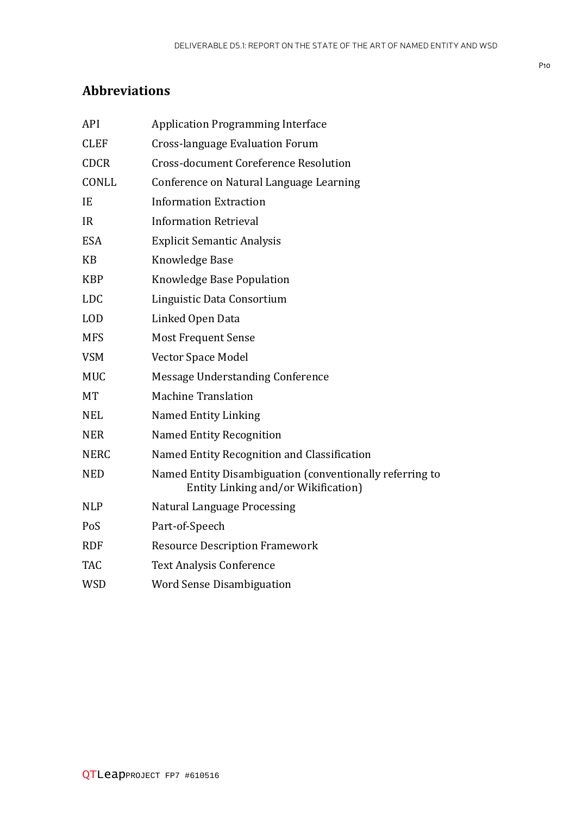## **Abbreviations**

| API         | <b>Application Programming Interface</b>                                                        |
|-------------|-------------------------------------------------------------------------------------------------|
| <b>CLEF</b> | <b>Cross-language Evaluation Forum</b>                                                          |
| <b>CDCR</b> | <b>Cross-document Coreference Resolution</b>                                                    |
| CONLL       | Conference on Natural Language Learning                                                         |
| IE          | <b>Information Extraction</b>                                                                   |
| <b>IR</b>   | <b>Information Retrieval</b>                                                                    |
| <b>ESA</b>  | <b>Explicit Semantic Analysis</b>                                                               |
| <b>KB</b>   | Knowledge Base                                                                                  |
| <b>KBP</b>  | Knowledge Base Population                                                                       |
| <b>LDC</b>  | Linguistic Data Consortium                                                                      |
| <b>LOD</b>  | Linked Open Data                                                                                |
| <b>MFS</b>  | <b>Most Frequent Sense</b>                                                                      |
| <b>VSM</b>  | Vector Space Model                                                                              |
| <b>MUC</b>  | Message Understanding Conference                                                                |
| <b>MT</b>   | <b>Machine Translation</b>                                                                      |
| <b>NEL</b>  | <b>Named Entity Linking</b>                                                                     |
| <b>NER</b>  | <b>Named Entity Recognition</b>                                                                 |
| <b>NERC</b> | Named Entity Recognition and Classification                                                     |
| <b>NED</b>  | Named Entity Disambiguation (conventionally referring to<br>Entity Linking and/or Wikification) |
| <b>NLP</b>  | <b>Natural Language Processing</b>                                                              |
| PoS         | Part-of-Speech                                                                                  |
| <b>RDF</b>  | <b>Resource Description Framework</b>                                                           |
| <b>TAC</b>  | <b>Text Analysis Conference</b>                                                                 |
| <b>WSD</b>  | <b>Word Sense Disambiguation</b>                                                                |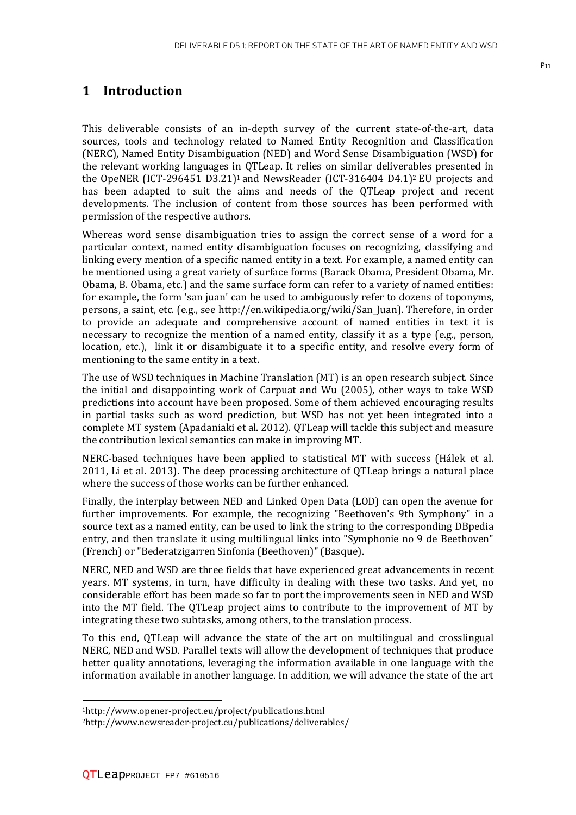#### **1 Introduction**

This deliverable consists of an in-depth survey of the current state-of-the-art, data sources, tools and technology related to Named Entity Recognition and Classification (NERC), Named Entity Disambiguation (NED) and Word Sense Disambiguation (WSD) for the relevant working languages in QTLeap. It relies on similar deliverables presented in the OpeNER (ICT-296451 D3.21)<sup>1</sup> and NewsReader (ICT-316404 D4.1)<sup>2</sup> EU projects and has been adapted to suit the aims and needs of the QTLeap project and recent developments. The inclusion of content from those sources has been performed with permission of the respective authors.

Whereas word sense disambiguation tries to assign the correct sense of a word for a particular context, named entity disambiguation focuses on recognizing, classifying and linking every mention of a specific named entity in a text. For example, a named entity can be mentioned using a great variety of surface forms (Barack Obama, President Obama, Mr. Obama, B. Obama, etc.) and the same surface form can refer to a variety of named entities: for example, the form 'san juan' can be used to ambiguously refer to dozens of toponyms, persons, a saint, etc. (e.g., see http://en.wikipedia.org/wiki/San\_Juan). Therefore, in order to provide an adequate and comprehensive account of named entities in text it is necessary to recognize the mention of a named entity, classify it as a type (e.g., person, location, etc.), link it or disambiguate it to a specific entity, and resolve every form of mentioning to the same entity in a text.

The use of WSD techniques in Machine Translation (MT) is an open research subject. Since the initial and disappointing work of Carpuat and Wu (2005), other ways to take WSD predictions into account have been proposed. Some of them achieved encouraging results in partial tasks such as word prediction, but WSD has not yet been integrated into a complete MT system (Apadaniaki et al. 2012). QTLeap will tackle this subject and measure the contribution lexical semantics can make in improving MT.

NERC-based techniques have been applied to statistical MT with success (Hálek et al. 2011, Li et al. 2013). The deep processing architecture of QTLeap brings a natural place where the success of those works can be further enhanced.

Finally, the interplay between NED and Linked Open Data (LOD) can open the avenue for further improvements. For example, the recognizing "Beethoven's 9th Symphony" in a source text as a named entity, can be used to link the string to the corresponding DBpedia entry, and then translate it using multilingual links into "Symphonie no 9 de Beethoven" (French) or "Bederatzigarren Sinfonia (Beethoven)" (Basque).

NERC, NED and WSD are three fields that have experienced great advancements in recent years. MT systems, in turn, have difficulty in dealing with these two tasks. And yet, no considerable effort has been made so far to port the improvements seen in NED and WSD into the MT field. The QTLeap project aims to contribute to the improvement of MT by integrating these two subtasks, among others, to the translation process.

To this end, QTLeap will advance the state of the art on multilingual and crosslingual NERC, NED and WSD. Parallel texts will allow the development of techniques that produce better quality annotations, leveraging the information available in one language with the information available in another language. In addition, we will advance the state of the art

 $\overline{a}$ 

<sup>1</sup>http://www.opener-project.eu/project/publications.html

<sup>2</sup>http://www.newsreader-project.eu/publications/deliverables/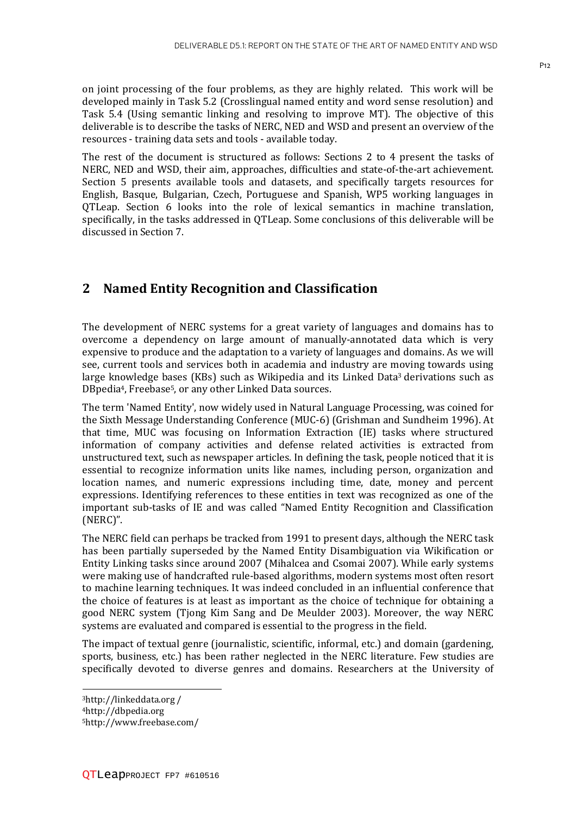on joint processing of the four problems, as they are highly related. This work will be developed mainly in Task 5.2 (Crosslingual named entity and word sense resolution) and Task 5.4 (Using semantic linking and resolving to improve MT). The objective of this deliverable is to describe the tasks of NERC, NED and WSD and present an overview of the resources - training data sets and tools - available today.

The rest of the document is structured as follows: Sections 2 to 4 present the tasks of NERC, NED and WSD, their aim, approaches, difficulties and state-of-the-art achievement. Section 5 presents available tools and datasets, and specifically targets resources for English, Basque, Bulgarian, Czech, Portuguese and Spanish, WP5 working languages in QTLeap. Section 6 looks into the role of lexical semantics in machine translation, specifically, in the tasks addressed in QTLeap. Some conclusions of this deliverable will be discussed in Section 7.

#### **2 Named Entity Recognition and Classification**

The development of NERC systems for a great variety of languages and domains has to overcome a dependency on large amount of manually-annotated data which is very expensive to produce and the adaptation to a variety of languages and domains. As we will see, current tools and services both in academia and industry are moving towards using large knowledge bases (KBs) such as Wikipedia and its Linked Data3 derivations such as DBpedia4, Freebase5, or any other Linked Data sources.

The term 'Named Entity', now widely used in Natural Language Processing, was coined for the Sixth Message Understanding Conference (MUC-6) (Grishman and Sundheim 1996). At that time, MUC was focusing on Information Extraction (IE) tasks where structured information of company activities and defense related activities is extracted from unstructured text, such as newspaper articles. In defining the task, people noticed that it is essential to recognize information units like names, including person, organization and location names, and numeric expressions including time, date, money and percent expressions. Identifying references to these entities in text was recognized as one of the important sub-tasks of IE and was called "Named Entity Recognition and Classification (NERC)".

The NERC field can perhaps be tracked from 1991 to present days, although the NERC task has been partially superseded by the Named Entity Disambiguation via Wikification or Entity Linking tasks since around 2007 (Mihalcea and Csomai 2007). While early systems were making use of handcrafted rule-based algorithms, modern systems most often resort to machine learning techniques. It was indeed concluded in an influential conference that the choice of features is at least as important as the choice of technique for obtaining a good NERC system (Tjong Kim Sang and De Meulder 2003). Moreover, the way NERC systems are evaluated and compared is essential to the progress in the field.

The impact of textual genre (journalistic, scientific, informal, etc.) and domain (gardening, sports, business, etc.) has been rather neglected in the NERC literature. Few studies are specifically devoted to diverse genres and domains. Researchers at the University of

l

<sup>3</sup>http://linkeddata.org /

<sup>4</sup>http://dbpedia.org

<sup>5</sup>http://www.freebase.com/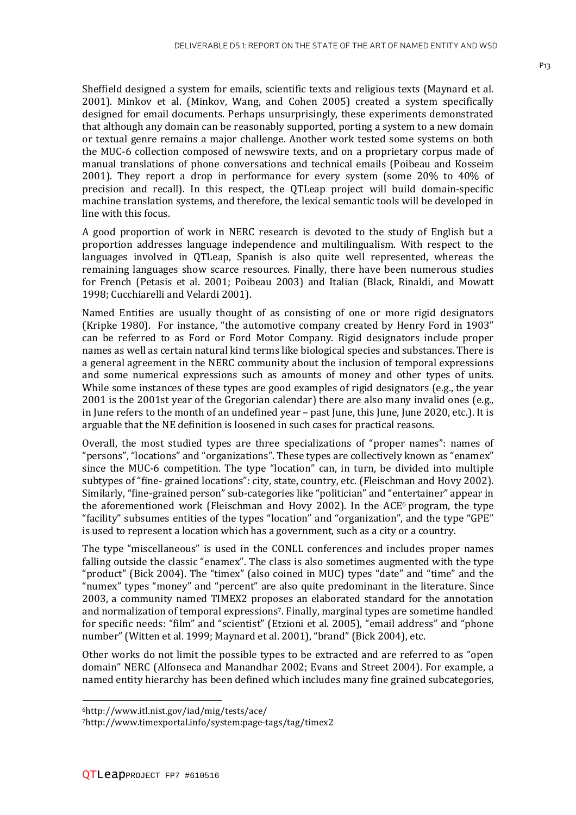Sheffield designed a system for emails, scientific texts and religious texts (Maynard et al. 2001). Minkov et al. (Minkov, Wang, and Cohen 2005) created a system specifically designed for email documents. Perhaps unsurprisingly, these experiments demonstrated that although any domain can be reasonably supported, porting a system to a new domain or textual genre remains a major challenge. Another work tested some systems on both the MUC-6 collection composed of newswire texts, and on a proprietary corpus made of manual translations of phone conversations and technical emails (Poibeau and Kosseim 2001). They report a drop in performance for every system (some 20% to 40% of precision and recall). In this respect, the QTLeap project will build domain-specific machine translation systems, and therefore, the lexical semantic tools will be developed in line with this focus.

A good proportion of work in NERC research is devoted to the study of English but a proportion addresses language independence and multilingualism. With respect to the languages involved in QTLeap, Spanish is also quite well represented, whereas the remaining languages show scarce resources. Finally, there have been numerous studies for French (Petasis et al. 2001; Poibeau 2003) and Italian (Black, Rinaldi, and Mowatt 1998; Cucchiarelli and Velardi 2001).

Named Entities are usually thought of as consisting of one or more rigid designators (Kripke 1980). For instance, "the automotive company created by Henry Ford in 1903" can be referred to as Ford or Ford Motor Company. Rigid designators include proper names as well as certain natural kind terms like biological species and substances. There is a general agreement in the NERC community about the inclusion of temporal expressions and some numerical expressions such as amounts of money and other types of units. While some instances of these types are good examples of rigid designators (e.g., the year 2001 is the 2001st year of the Gregorian calendar) there are also many invalid ones (e.g., in June refers to the month of an undefined year – past June, this June, June 2020, etc.). It is arguable that the NE definition is loosened in such cases for practical reasons.

Overall, the most studied types are three specializations of "proper names": names of "persons", "locations" and "organizations". These types are collectively known as "enamex" since the MUC-6 competition. The type "location" can, in turn, be divided into multiple subtypes of "fine- grained locations": city, state, country, etc. (Fleischman and Hovy 2002). Similarly, "fine-grained person" sub-categories like "politician" and "entertainer" appear in the aforementioned work (Fleischman and Hovy 2002). In the  $ACE<sup>6</sup>$  program, the type "facility" subsumes entities of the types "location" and "organization", and the type "GPE" is used to represent a location which has a government, such as a city or a country.

The type "miscellaneous" is used in the CONLL conferences and includes proper names falling outside the classic "enamex". The class is also sometimes augmented with the type "product" (Bick 2004). The "timex" (also coined in MUC) types "date" and "time" and the "numex" types "money" and "percent" are also quite predominant in the literature. Since 2003, a community named TIMEX2 proposes an elaborated standard for the annotation and normalization of temporal expressions7. Finally, marginal types are sometime handled for specific needs: "film" and "scientist" (Etzioni et al. 2005), "email address" and "phone number" (Witten et al. 1999; Maynard et al. 2001), "brand" (Bick 2004), etc.

Other works do not limit the possible types to be extracted and are referred to as "open domain" NERC (Alfonseca and Manandhar 2002; Evans and Street 2004). For example, a named entity hierarchy has been defined which includes many fine grained subcategories,

 $\overline{\phantom{a}}$ 

<sup>6</sup>http://www.itl.nist.gov/iad/mig/tests/ace/

<sup>7</sup>http://www.timexportal.info/system:page-tags/tag/timex2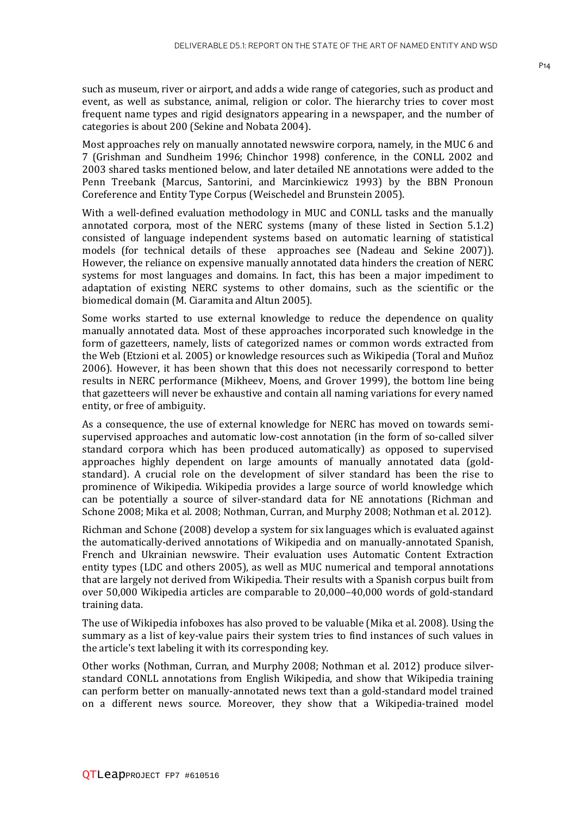such as museum, river or airport, and adds a wide range of categories, such as product and event, as well as substance, animal, religion or color. The hierarchy tries to cover most frequent name types and rigid designators appearing in a newspaper, and the number of categories is about 200 (Sekine and Nobata 2004).

Most approaches rely on manually annotated newswire corpora, namely, in the MUC 6 and 7 (Grishman and Sundheim 1996; Chinchor 1998) conference, in the CONLL 2002 and 2003 shared tasks mentioned below, and later detailed NE annotations were added to the Penn Treebank (Marcus, Santorini, and Marcinkiewicz 1993) by the BBN Pronoun Coreference and Entity Type Corpus (Weischedel and Brunstein 2005).

With a well-defined evaluation methodology in MUC and CONLL tasks and the manually annotated corpora, most of the NERC systems (many of these listed in Section 5.1.2) consisted of language independent systems based on automatic learning of statistical models (for technical details of these approaches see (Nadeau and Sekine 2007)). However, the reliance on expensive manually annotated data hinders the creation of NERC systems for most languages and domains. In fact, this has been a major impediment to adaptation of existing NERC systems to other domains, such as the scientific or the biomedical domain (M. Ciaramita and Altun 2005).

Some works started to use external knowledge to reduce the dependence on quality manually annotated data. Most of these approaches incorporated such knowledge in the form of gazetteers, namely, lists of categorized names or common words extracted from the Web (Etzioni et al. 2005) or knowledge resources such as Wikipedia (Toral and Muñoz 2006). However, it has been shown that this does not necessarily correspond to better results in NERC performance (Mikheev, Moens, and Grover 1999), the bottom line being that gazetteers will never be exhaustive and contain all naming variations for every named entity, or free of ambiguity.

As a consequence, the use of external knowledge for NERC has moved on towards semisupervised approaches and automatic low-cost annotation (in the form of so-called silver standard corpora which has been produced automatically) as opposed to supervised approaches highly dependent on large amounts of manually annotated data (goldstandard). A crucial role on the development of silver standard has been the rise to prominence of Wikipedia. Wikipedia provides a large source of world knowledge which can be potentially a source of silver-standard data for NE annotations (Richman and Schone 2008; Mika et al. 2008; Nothman, Curran, and Murphy 2008; Nothman et al. 2012).

Richman and Schone (2008) develop a system for six languages which is evaluated against the automatically-derived annotations of Wikipedia and on manually-annotated Spanish, French and Ukrainian newswire. Their evaluation uses Automatic Content Extraction entity types (LDC and others 2005), as well as MUC numerical and temporal annotations that are largely not derived from Wikipedia. Their results with a Spanish corpus built from over 50,000 Wikipedia articles are comparable to 20,000–40,000 words of gold-standard training data.

The use of Wikipedia infoboxes has also proved to be valuable (Mika et al. 2008). Using the summary as a list of key-value pairs their system tries to find instances of such values in the article's text labeling it with its corresponding key.

Other works (Nothman, Curran, and Murphy 2008; Nothman et al. 2012) produce silverstandard CONLL annotations from English Wikipedia, and show that Wikipedia training can perform better on manually-annotated news text than a gold-standard model trained on a different news source. Moreover, they show that a Wikipedia-trained model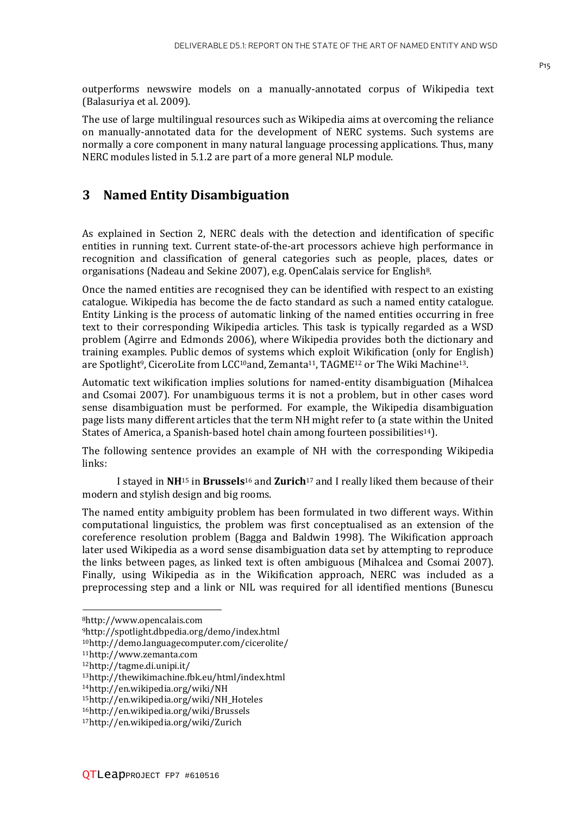The use of large multilingual resources such as Wikipedia aims at overcoming the reliance on manually-annotated data for the development of NERC systems. Such systems are normally a core component in many natural language processing applications. Thus, many NERC modules listed in 5.1.2 are part of a more general NLP module.

#### **3 Named Entity Disambiguation**

(Balasuriya et al. 2009).

As explained in Section 2, NERC deals with the detection and identification of specific entities in running text. Current state-of-the-art processors achieve high performance in recognition and classification of general categories such as people, places, dates or organisations (Nadeau and Sekine 2007), e.g. OpenCalais service for English8.

Once the named entities are recognised they can be identified with respect to an existing catalogue. Wikipedia has become the de facto standard as such a named entity catalogue. Entity Linking is the process of automatic linking of the named entities occurring in free text to their corresponding Wikipedia articles. This task is typically regarded as a WSD problem (Agirre and Edmonds 2006), where Wikipedia provides both the dictionary and training examples. Public demos of systems which exploit Wikification (only for English) are Spotlight<sup>9</sup>, CiceroLite from LCC<sup>10</sup>and, Zemanta<sup>11</sup>, TAGME<sup>12</sup> or The Wiki Machine<sup>13</sup>.

Automatic text wikification implies solutions for named-entity disambiguation (Mihalcea and Csomai 2007). For unambiguous terms it is not a problem, but in other cases word sense disambiguation must be performed. For example, the Wikipedia disambiguation page lists many different articles that the term NH might refer to (a state within the United States of America, a Spanish-based hotel chain among fourteen possibilities<sup>14</sup>).

The following sentence provides an example of NH with the corresponding Wikipedia links:

 I stayed in **NH**15 in **Brussels**16 and **Zurich**17 and I really liked them because of their modern and stylish design and big rooms.

The named entity ambiguity problem has been formulated in two different ways. Within computational linguistics, the problem was first conceptualised as an extension of the coreference resolution problem (Bagga and Baldwin 1998). The Wikification approach later used Wikipedia as a word sense disambiguation data set by attempting to reproduce the links between pages, as linked text is often ambiguous (Mihalcea and Csomai 2007). Finally, using Wikipedia as in the Wikification approach, NERC was included as a preprocessing step and a link or NIL was required for all identified mentions (Bunescu

l

<sup>8</sup>http://www.opencalais.com

<sup>9</sup>http://spotlight.dbpedia.org/demo/index.html

<sup>10</sup>http://demo.languagecomputer.com/cicerolite/

<sup>11</sup>http://www.zemanta.com

<sup>12</sup>http://tagme.di.unipi.it/

<sup>13</sup>http://thewikimachine.fbk.eu/html/index.html

<sup>14</sup>http://en.wikipedia.org/wiki/NH

<sup>15</sup>http://en.wikipedia.org/wiki/NH\_Hoteles

<sup>16</sup>http://en.wikipedia.org/wiki/Brussels

<sup>17</sup>http://en.wikipedia.org/wiki/Zurich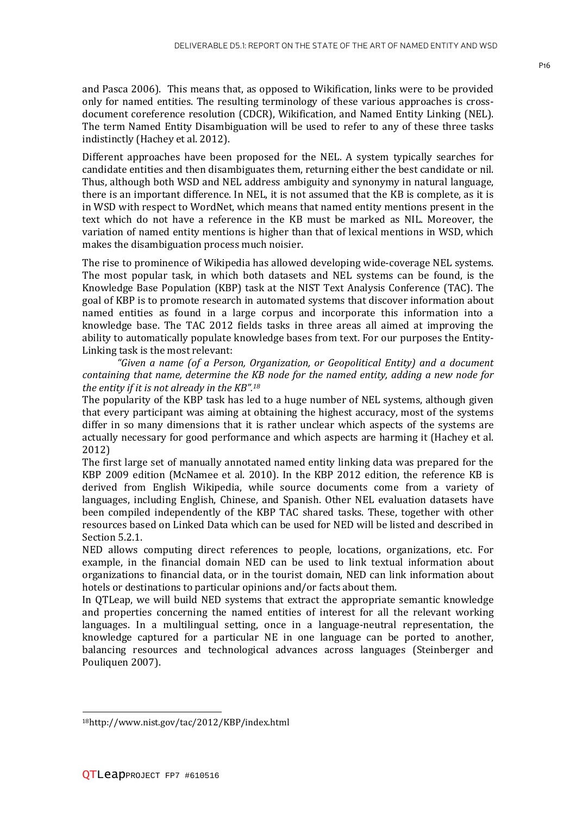and Pasca 2006). This means that, as opposed to Wikification, links were to be provided only for named entities. The resulting terminology of these various approaches is crossdocument coreference resolution (CDCR), Wikification, and Named Entity Linking (NEL). The term Named Entity Disambiguation will be used to refer to any of these three tasks indistinctly (Hachey et al. 2012).

Different approaches have been proposed for the NEL. A system typically searches for candidate entities and then disambiguates them, returning either the best candidate or nil. Thus, although both WSD and NEL address ambiguity and synonymy in natural language, there is an important difference. In NEL, it is not assumed that the KB is complete, as it is in WSD with respect to WordNet, which means that named entity mentions present in the text which do not have a reference in the KB must be marked as NIL. Moreover, the variation of named entity mentions is higher than that of lexical mentions in WSD, which makes the disambiguation process much noisier.

The rise to prominence of Wikipedia has allowed developing wide-coverage NEL systems. The most popular task, in which both datasets and NEL systems can be found, is the Knowledge Base Population (KBP) task at the NIST Text Analysis Conference (TAC). The goal of KBP is to promote research in automated systems that discover information about named entities as found in a large corpus and incorporate this information into a knowledge base. The TAC 2012 fields tasks in three areas all aimed at improving the ability to automatically populate knowledge bases from text. For our purposes the Entity-Linking task is the most relevant:

 *"Given a name (of a Person, Organization, or Geopolitical Entity) and a document containing that name, determine the KB node for the named entity, adding a new node for the entity if it is not already in the KB".<sup>18</sup>*

The popularity of the KBP task has led to a huge number of NEL systems, although given that every participant was aiming at obtaining the highest accuracy, most of the systems differ in so many dimensions that it is rather unclear which aspects of the systems are actually necessary for good performance and which aspects are harming it (Hachey et al. 2012)

The first large set of manually annotated named entity linking data was prepared for the KBP 2009 edition (McNamee et al. 2010). In the KBP 2012 edition, the reference KB is derived from English Wikipedia, while source documents come from a variety of languages, including English, Chinese, and Spanish. Other NEL evaluation datasets have been compiled independently of the KBP TAC shared tasks. These, together with other resources based on Linked Data which can be used for NED will be listed and described in Section 5.2.1.

NED allows computing direct references to people, locations, organizations, etc. For example, in the financial domain NED can be used to link textual information about organizations to financial data, or in the tourist domain, NED can link information about hotels or destinations to particular opinions and/or facts about them.

In QTLeap, we will build NED systems that extract the appropriate semantic knowledge and properties concerning the named entities of interest for all the relevant working languages. In a multilingual setting, once in a language-neutral representation, the knowledge captured for a particular NE in one language can be ported to another, balancing resources and technological advances across languages (Steinberger and Pouliquen 2007).

 $\overline{\phantom{a}}$ 

<sup>18</sup>http://www.nist.gov/tac/2012/KBP/index.html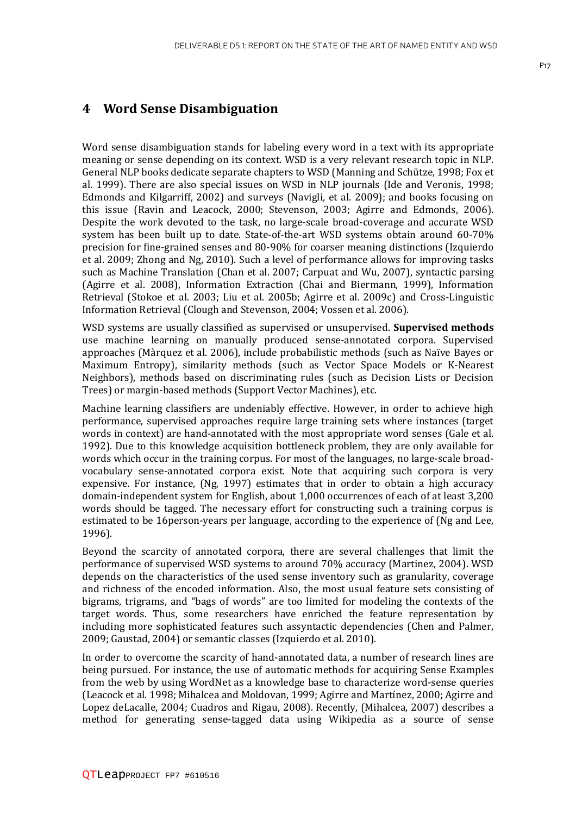#### **4 Word Sense Disambiguation**

Word sense disambiguation stands for labeling every word in a text with its appropriate meaning or sense depending on its context. WSD is a very relevant research topic in NLP. General NLP books dedicate separate chapters to WSD (Manning and Schütze, 1998; Fox et al. 1999). There are also special issues on WSD in NLP journals (Ide and Veronis, 1998; Edmonds and Kilgarriff, 2002) and surveys (Navigli, et al. 2009); and books focusing on this issue (Ravin and Leacock, 2000; Stevenson, 2003; Agirre and Edmonds, 2006). Despite the work devoted to the task, no large-scale broad-coverage and accurate WSD system has been built up to date. State-of-the-art WSD systems obtain around 60-70% precision for fine-grained senses and 80-90% for coarser meaning distinctions (Izquierdo et al. 2009; Zhong and Ng, 2010). Such a level of performance allows for improving tasks such as Machine Translation (Chan et al. 2007; Carpuat and Wu, 2007), syntactic parsing (Agirre et al. 2008), Information Extraction (Chai and Biermann, 1999), Information Retrieval (Stokoe et al. 2003; Liu et al. 2005b; Agirre et al. 2009c) and Cross-Linguistic Information Retrieval (Clough and Stevenson, 2004; Vossen et al. 2006).

WSD systems are usually classified as supervised or unsupervised. **Supervised methods** use machine learning on manually produced sense-annotated corpora. Supervised approaches (Màrquez et al. 2006), include probabilistic methods (such as Naïve Bayes or Maximum Entropy), similarity methods (such as Vector Space Models or K-Nearest Neighbors), methods based on discriminating rules (such as Decision Lists or Decision Trees) or margin-based methods (Support Vector Machines), etc.

Machine learning classifiers are undeniably effective. However, in order to achieve high performance, supervised approaches require large training sets where instances (target words in context) are hand-annotated with the most appropriate word senses (Gale et al. 1992). Due to this knowledge acquisition bottleneck problem, they are only available for words which occur in the training corpus. For most of the languages, no large-scale broadvocabulary sense-annotated corpora exist. Note that acquiring such corpora is very expensive. For instance, (Ng, 1997) estimates that in order to obtain a high accuracy domain-independent system for English, about 1,000 occurrences of each of at least 3,200 words should be tagged. The necessary effort for constructing such a training corpus is estimated to be 16person-years per language, according to the experience of (Ng and Lee, 1996).

Beyond the scarcity of annotated corpora, there are several challenges that limit the performance of supervised WSD systems to around 70% accuracy (Martinez, 2004). WSD depends on the characteristics of the used sense inventory such as granularity, coverage and richness of the encoded information. Also, the most usual feature sets consisting of bigrams, trigrams, and "bags of words" are too limited for modeling the contexts of the target words. Thus, some researchers have enriched the feature representation by including more sophisticated features such assyntactic dependencies (Chen and Palmer, 2009; Gaustad, 2004) or semantic classes (Izquierdo et al. 2010).

In order to overcome the scarcity of hand-annotated data, a number of research lines are being pursued. For instance, the use of automatic methods for acquiring Sense Examples from the web by using WordNet as a knowledge base to characterize word-sense queries (Leacock et al. 1998; Mihalcea and Moldovan, 1999; Agirre and Martínez, 2000; Agirre and Lopez deLacalle, 2004; Cuadros and Rigau, 2008). Recently, (Mihalcea, 2007) describes a method for generating sense-tagged data using Wikipedia as a source of sense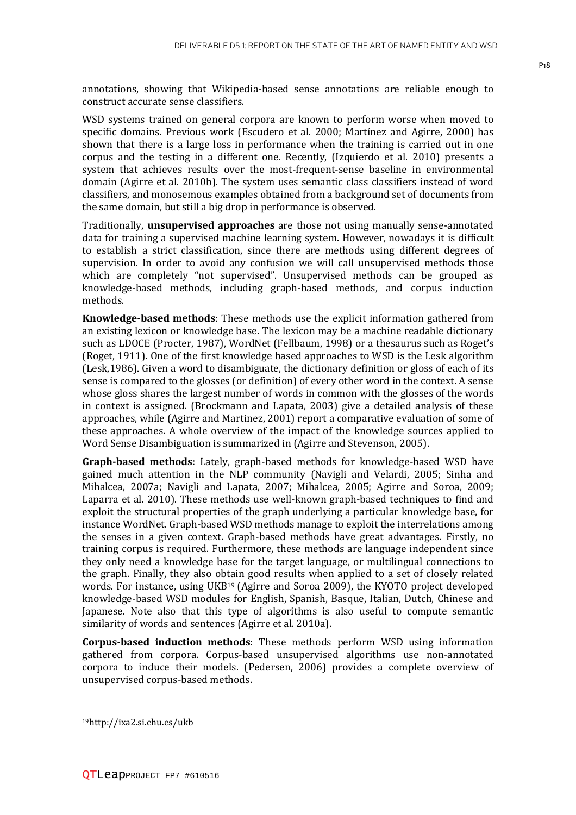annotations, showing that Wikipedia-based sense annotations are reliable enough to construct accurate sense classifiers.

WSD systems trained on general corpora are known to perform worse when moved to specific domains. Previous work (Escudero et al. 2000; Martínez and Agirre, 2000) has shown that there is a large loss in performance when the training is carried out in one corpus and the testing in a different one. Recently, (Izquierdo et al. 2010) presents a system that achieves results over the most-frequent-sense baseline in environmental domain (Agirre et al. 2010b). The system uses semantic class classifiers instead of word classifiers, and monosemous examples obtained from a background set of documents from the same domain, but still a big drop in performance is observed.

Traditionally, **unsupervised approaches** are those not using manually sense-annotated data for training a supervised machine learning system. However, nowadays it is difficult to establish a strict classification, since there are methods using different degrees of supervision. In order to avoid any confusion we will call unsupervised methods those which are completely "not supervised". Unsupervised methods can be grouped as knowledge-based methods, including graph-based methods, and corpus induction methods.

**Knowledge-based methods**: These methods use the explicit information gathered from an existing lexicon or knowledge base. The lexicon may be a machine readable dictionary such as LDOCE (Procter, 1987), WordNet (Fellbaum, 1998) or a thesaurus such as Roget's (Roget, 1911). One of the first knowledge based approaches to WSD is the Lesk algorithm (Lesk,1986). Given a word to disambiguate, the dictionary definition or gloss of each of its sense is compared to the glosses (or definition) of every other word in the context. A sense whose gloss shares the largest number of words in common with the glosses of the words in context is assigned. (Brockmann and Lapata, 2003) give a detailed analysis of these approaches, while (Agirre and Martinez, 2001) report a comparative evaluation of some of these approaches. A whole overview of the impact of the knowledge sources applied to Word Sense Disambiguation is summarized in (Agirre and Stevenson, 2005).

**Graph-based methods**: Lately, graph-based methods for knowledge-based WSD have gained much attention in the NLP community (Navigli and Velardi, 2005; Sinha and Mihalcea, 2007a; Navigli and Lapata, 2007; Mihalcea, 2005; Agirre and Soroa, 2009; Laparra et al. 2010). These methods use well-known graph-based techniques to find and exploit the structural properties of the graph underlying a particular knowledge base, for instance WordNet. Graph-based WSD methods manage to exploit the interrelations among the senses in a given context. Graph-based methods have great advantages. Firstly, no training corpus is required. Furthermore, these methods are language independent since they only need a knowledge base for the target language, or multilingual connections to the graph. Finally, they also obtain good results when applied to a set of closely related words. For instance, using UKB19 (Agirre and Soroa 2009), the KYOTO project developed knowledge-based WSD modules for English, Spanish, Basque, Italian, Dutch, Chinese and Japanese. Note also that this type of algorithms is also useful to compute semantic similarity of words and sentences (Agirre et al. 2010a).

**Corpus-based induction methods**: These methods perform WSD using information gathered from corpora. Corpus-based unsupervised algorithms use non-annotated corpora to induce their models. (Pedersen, 2006) provides a complete overview of unsupervised corpus-based methods.

 $\overline{\phantom{a}}$ 

<sup>19</sup>http://ixa2.si.ehu.es/ukb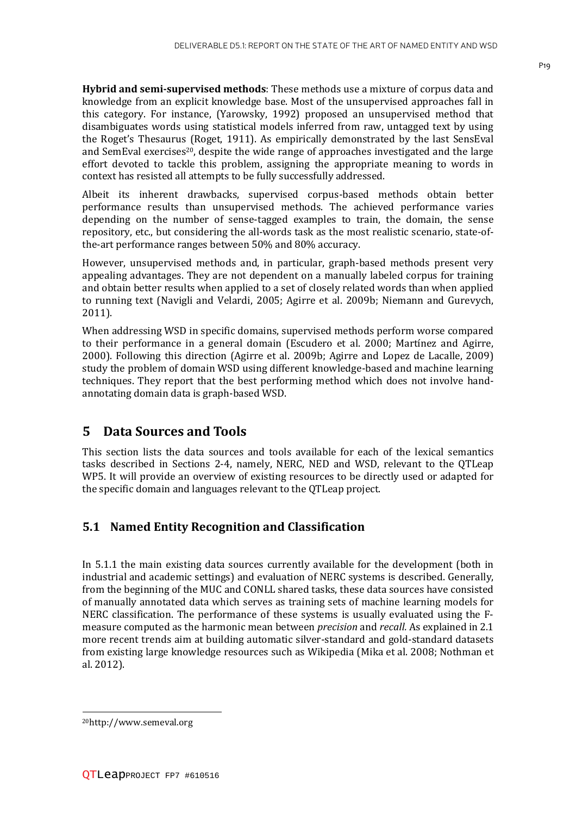**Hybrid and semi-supervised methods**: These methods use a mixture of corpus data and knowledge from an explicit knowledge base. Most of the unsupervised approaches fall in this category. For instance, (Yarowsky, 1992) proposed an unsupervised method that disambiguates words using statistical models inferred from raw, untagged text by using the Roget's Thesaurus (Roget, 1911). As empirically demonstrated by the last SensEval and SemEval exercises<sup>20</sup>, despite the wide range of approaches investigated and the large effort devoted to tackle this problem, assigning the appropriate meaning to words in context has resisted all attempts to be fully successfully addressed.

Albeit its inherent drawbacks, supervised corpus-based methods obtain better performance results than unsupervised methods. The achieved performance varies depending on the number of sense-tagged examples to train, the domain, the sense repository, etc., but considering the all-words task as the most realistic scenario, state-ofthe-art performance ranges between 50% and 80% accuracy.

However, unsupervised methods and, in particular, graph-based methods present very appealing advantages. They are not dependent on a manually labeled corpus for training and obtain better results when applied to a set of closely related words than when applied to running text (Navigli and Velardi, 2005; Agirre et al. 2009b; Niemann and Gurevych, 2011).

When addressing WSD in specific domains, supervised methods perform worse compared to their performance in a general domain (Escudero et al. 2000; Martínez and Agirre, 2000). Following this direction (Agirre et al. 2009b; Agirre and Lopez de Lacalle, 2009) study the problem of domain WSD using different knowledge-based and machine learning techniques. They report that the best performing method which does not involve handannotating domain data is graph-based WSD.

#### **5 Data Sources and Tools**

This section lists the data sources and tools available for each of the lexical semantics tasks described in Sections 2-4, namely, NERC, NED and WSD, relevant to the QTLeap WP5. It will provide an overview of existing resources to be directly used or adapted for the specific domain and languages relevant to the QTLeap project.

#### **5.1 Named Entity Recognition and Classification**

In 5.1.1 the main existing data sources currently available for the development (both in industrial and academic settings) and evaluation of NERC systems is described. Generally, from the beginning of the MUC and CONLL shared tasks, these data sources have consisted of manually annotated data which serves as training sets of machine learning models for NERC classification. The performance of these systems is usually evaluated using the Fmeasure computed as the harmonic mean between *precision* and *recall.* As explained in 2.1 more recent trends aim at building automatic silver-standard and gold-standard datasets from existing large knowledge resources such as Wikipedia (Mika et al. 2008; Nothman et al. 2012).

 $\overline{\phantom{a}}$ 

<sup>20</sup>http://www.semeval.org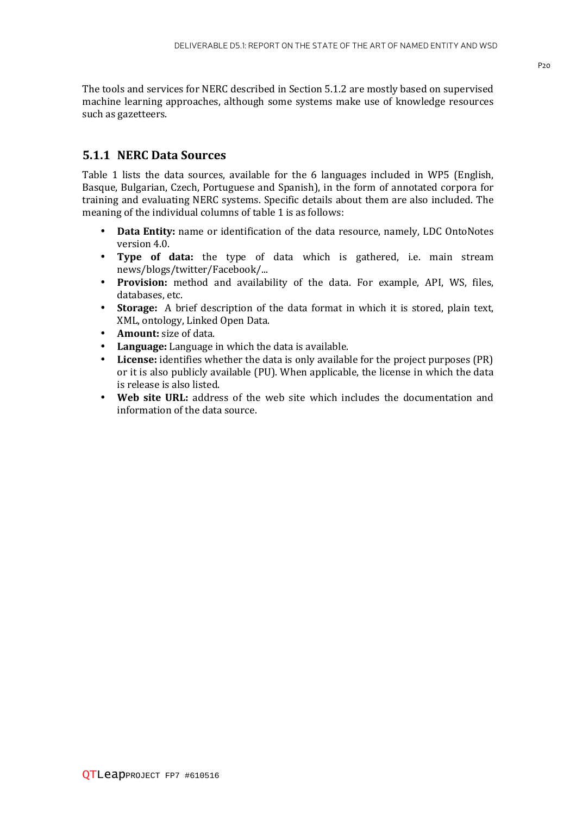The tools and services for NERC described in Section 5.1.2 are mostly based on supervised machine learning approaches, although some systems make use of knowledge resources such as gazetteers.

#### **5.1.1 NERC Data Sources**

Table 1 lists the data sources, available for the 6 languages included in WP5 (English, Basque, Bulgarian, Czech, Portuguese and Spanish), in the form of annotated corpora for training and evaluating NERC systems. Specific details about them are also included. The meaning of the individual columns of table 1 is as follows:

- **Data Entity:** name or identification of the data resource, namely, LDC OntoNotes version 4.0.
- **Type of data:** the type of data which is gathered, i.e. main stream news/blogs/twitter/Facebook/...
- **Provision:** method and availability of the data. For example, API, WS, files, databases, etc.
- **Storage:** A brief description of the data format in which it is stored, plain text, XML, ontology, Linked Open Data.
- **Amount:** size of data.
- **Language:** Language in which the data is available.
- **License:** identifies whether the data is only available for the project purposes (PR) or it is also publicly available (PU). When applicable, the license in which the data is release is also listed.
- **Web site URL:** address of the web site which includes the documentation and information of the data source.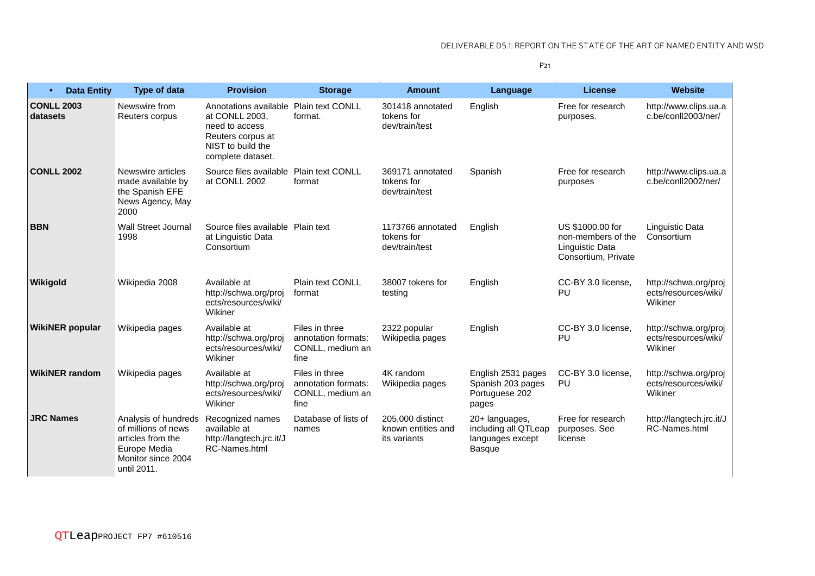#### DELIVERABLE D5.1: REPORT ON THE STATE OF THE ART OF NAMED ENTITY AND WSD

P21

| $\bullet$                     | <b>Data Entity</b> | <b>Type of data</b>                                                                                                   | <b>Provision</b>                                                                                                         | <b>Storage</b>                                                    | <b>Amount</b>                                          | Language                                                                    | <b>License</b>                                                                   | <b>Website</b>                                           |
|-------------------------------|--------------------|-----------------------------------------------------------------------------------------------------------------------|--------------------------------------------------------------------------------------------------------------------------|-------------------------------------------------------------------|--------------------------------------------------------|-----------------------------------------------------------------------------|----------------------------------------------------------------------------------|----------------------------------------------------------|
| <b>CONLL 2003</b><br>datasets |                    | Newswire from<br>Reuters corpus                                                                                       | Annotations available<br>at CONLL 2003.<br>need to access<br>Reuters corpus at<br>NIST to build the<br>complete dataset. | <b>Plain text CONLL</b><br>format.                                | 301418 annotated<br>tokens for<br>dev/train/test       | English                                                                     | Free for research<br>purposes.                                                   | http://www.clips.ua.a<br>c.be/conll2003/ner/             |
| <b>CONLL 2002</b>             |                    | Newswire articles<br>made available by<br>the Spanish EFE<br>News Agency, May<br>2000                                 | Source files available<br>at CONLL 2002                                                                                  | <b>Plain text CONLL</b><br>format                                 | 369171 annotated<br>tokens for<br>dev/train/test       | Spanish                                                                     | Free for research<br>purposes                                                    | http://www.clips.ua.a<br>c.be/conll2002/ner/             |
| <b>BBN</b>                    |                    | <b>Wall Street Journal</b><br>1998                                                                                    | Source files available Plain text<br>at Linguistic Data<br>Consortium                                                    |                                                                   | 1173766 annotated<br>tokens for<br>dev/train/test      | English                                                                     | US \$1000,00 for<br>non-members of the<br>Linguistic Data<br>Consortium, Private | Linguistic Data<br>Consortium                            |
| <b>Wikigold</b>               |                    | Wikipedia 2008                                                                                                        | Available at<br>http://schwa.org/proj<br>ects/resources/wiki/<br>Wikiner                                                 | <b>Plain text CONLL</b><br>format                                 | 38007 tokens for<br>testing                            | English                                                                     | CC-BY 3.0 license.<br>PU                                                         | http://schwa.org/proj<br>ects/resources/wiki/<br>Wikiner |
| <b>WikiNER</b> popular        |                    | Wikipedia pages                                                                                                       | Available at<br>http://schwa.org/proj<br>ects/resources/wiki/<br>Wikiner                                                 | Files in three<br>annotation formats:<br>CONLL, medium an<br>fine | 2322 popular<br>Wikipedia pages                        | English                                                                     | CC-BY 3.0 license.<br>PU                                                         | http://schwa.org/proj<br>ects/resources/wiki/<br>Wikiner |
| <b>WikiNER random</b>         |                    | Wikipedia pages                                                                                                       | Available at<br>http://schwa.org/proj<br>ects/resources/wiki/<br>Wikiner                                                 | Files in three<br>annotation formats:<br>CONLL, medium an<br>fine | 4K random<br>Wikipedia pages                           | English 2531 pages<br>Spanish 203 pages<br>Portuguese 202<br>pages          | CC-BY 3.0 license.<br>PU                                                         | http://schwa.org/proj<br>ects/resources/wiki/<br>Wikiner |
| <b>JRC Names</b>              |                    | Analysis of hundreds<br>of millions of news<br>articles from the<br>Europe Media<br>Monitor since 2004<br>until 2011. | Recognized names<br>available at<br>http://langtech.jrc.it/J<br>RC-Names.html                                            | Database of lists of<br>names                                     | 205,000 distinct<br>known entities and<br>its variants | 20+ languages,<br>including all QTLeap<br>languages except<br><b>Basque</b> | Free for research<br>purposes. See<br>license                                    | http://langtech.jrc.it/J<br>RC-Names.html                |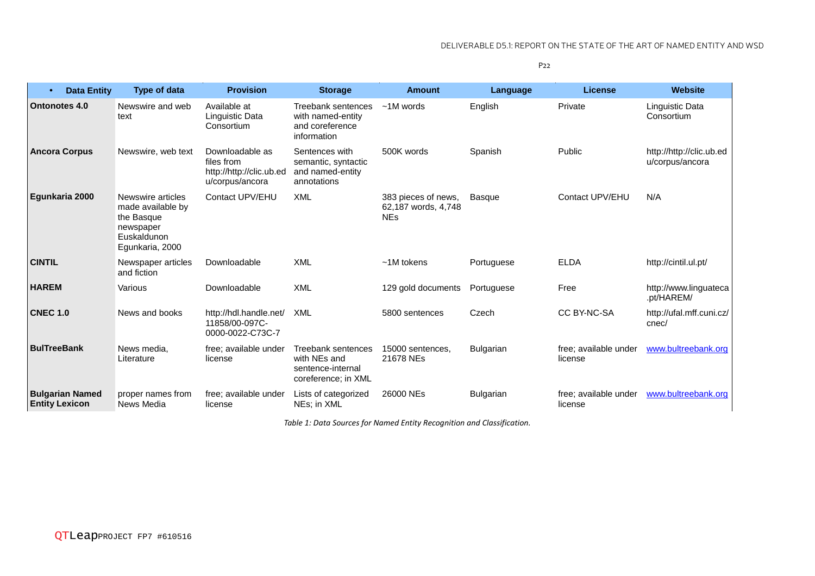P22

| <b>Data Entity</b><br>$\bullet$                 | <b>Type of data</b>                                                                                 | <b>Provision</b>                                                             | <b>Storage</b>                                                                 | <b>Amount</b>                                            | Language         | License                          | <b>Website</b>                              |
|-------------------------------------------------|-----------------------------------------------------------------------------------------------------|------------------------------------------------------------------------------|--------------------------------------------------------------------------------|----------------------------------------------------------|------------------|----------------------------------|---------------------------------------------|
| <b>Ontonotes 4.0</b>                            | Newswire and web<br>text                                                                            | Available at<br>Linguistic Data<br>Consortium                                | Treebank sentences<br>with named-entity<br>and coreference<br>information      | $~1M$ words                                              | English          | Private                          | Linguistic Data<br>Consortium               |
| <b>Ancora Corpus</b>                            | Newswire, web text                                                                                  | Downloadable as<br>files from<br>http://http://clic.ub.ed<br>u/corpus/ancora | Sentences with<br>semantic, syntactic<br>and named-entity<br>annotations       | 500K words                                               | Spanish          | Public                           | http://http://clic.ub.ed<br>u/corpus/ancora |
| Egunkaria 2000                                  | Newswire articles<br>made available by<br>the Basque<br>newspaper<br>Euskaldunon<br>Egunkaria, 2000 | Contact UPV/EHU                                                              | <b>XML</b>                                                                     | 383 pieces of news,<br>62,187 words, 4,748<br><b>NEs</b> | <b>Basque</b>    | Contact UPV/EHU                  | N/A                                         |
| <b>CINTIL</b>                                   | Newspaper articles<br>and fiction                                                                   | Downloadable                                                                 | <b>XML</b>                                                                     | $~1M$ tokens                                             | Portuguese       | <b>ELDA</b>                      | http://cintil.ul.pt/                        |
| <b>HAREM</b>                                    | Various                                                                                             | Downloadable                                                                 | <b>XML</b>                                                                     | 129 gold documents                                       | Portuguese       | Free                             | http://www.linguateca<br>.pt/HAREM/         |
| <b>CNEC 1.0</b>                                 | News and books                                                                                      | http://hdl.handle.net/<br>11858/00-097C-<br>0000-0022-C73C-7                 | <b>XML</b>                                                                     | 5800 sentences                                           | Czech            | CC BY-NC-SA                      | http://ufal.mff.cuni.cz/<br>cnec/           |
| <b>BulTreeBank</b>                              | News media,<br>Literature                                                                           | free; available under<br>license                                             | Treebank sentences<br>with NEs and<br>sentence-internal<br>coreference; in XML | 15000 sentences.<br>21678 NEs                            | <b>Bulgarian</b> | free; available under<br>license | www.bultreebank.org                         |
| <b>Bulgarian Named</b><br><b>Entity Lexicon</b> | proper names from<br>News Media                                                                     | free; available under<br>license                                             | Lists of categorized<br>NEs; in XML                                            | 26000 NEs                                                | Bulgarian        | free; available under<br>license | www.bultreebank.org                         |

*Table 1: Data Sources for Named Entity Recognition and Classification.*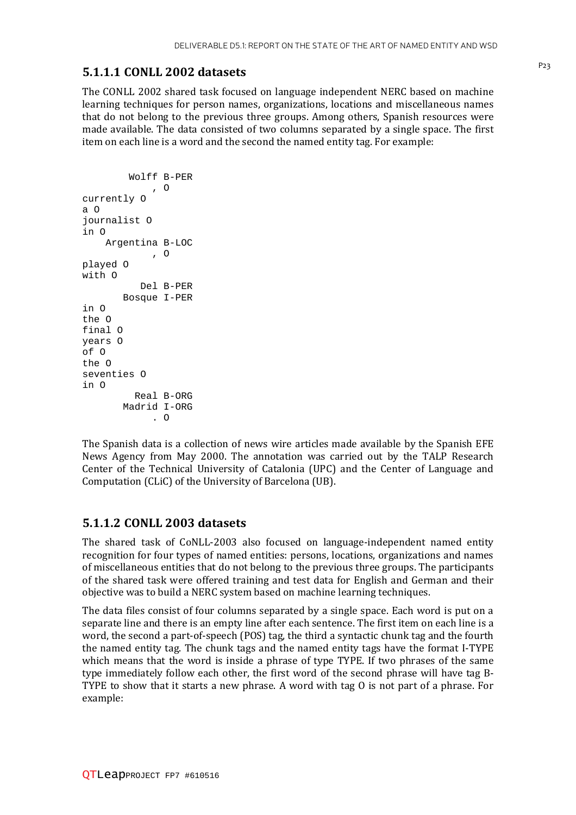## P23 **5.1.1.1 CONLL 2002 datasets**

The CONLL 2002 shared task focused on language independent NERC based on machine learning techniques for person names, organizations, locations and miscellaneous names that do not belong to the previous three groups. Among others, Spanish resources were made available. The data consisted of two columns separated by a single space. The first item on each line is a word and the second the named entity tag. For example:

```
 Wolff B-PER 
               , O 
currently O 
a O 
journalist O 
in O 
     Argentina B-LOC 
              , O 
played O 
with O 
            Del B-PER 
         Bosque I-PER 
in O 
the O 
final O 
years O 
of O 
the O 
seventies O 
in O 
           Real B-ORG 
         Madrid I-ORG 
               . O
```
The Spanish data is a collection of news wire articles made available by the Spanish EFE News Agency from May 2000. The annotation was carried out by the TALP Research Center of the Technical University of Catalonia (UPC) and the Center of Language and Computation (CLiC) of the University of Barcelona (UB).

#### **5.1.1.2 CONLL 2003 datasets**

The shared task of CoNLL-2003 also focused on language-independent named entity recognition for four types of named entities: persons, locations, organizations and names of miscellaneous entities that do not belong to the previous three groups. The participants of the shared task were offered training and test data for English and German and their objective was to build a NERC system based on machine learning techniques.

The data files consist of four columns separated by a single space. Each word is put on a separate line and there is an empty line after each sentence. The first item on each line is a word, the second a part-of-speech (POS) tag, the third a syntactic chunk tag and the fourth the named entity tag. The chunk tags and the named entity tags have the format I-TYPE which means that the word is inside a phrase of type TYPE. If two phrases of the same type immediately follow each other, the first word of the second phrase will have tag B-TYPE to show that it starts a new phrase. A word with tag O is not part of a phrase. For example: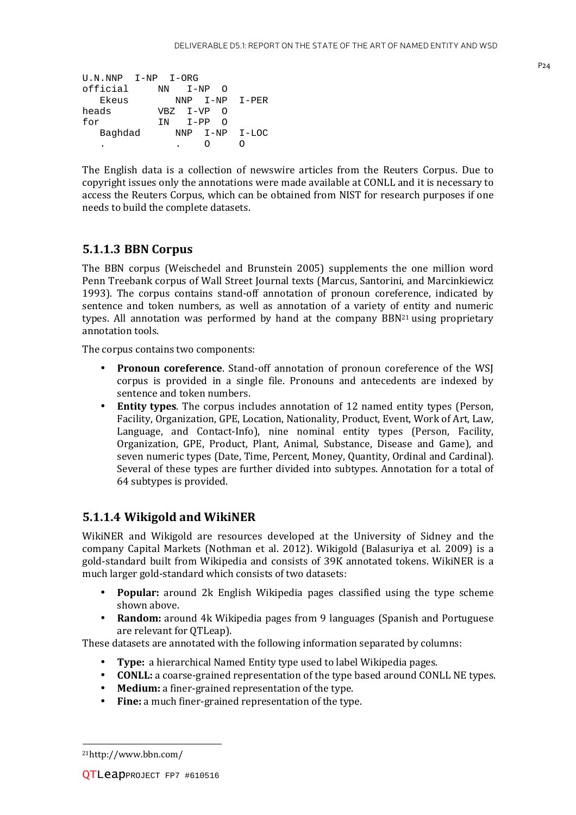| U.N.NNP I-NP I-ORG |    |               |                |
|--------------------|----|---------------|----------------|
| official           | NN | $I-NP$<br>_ റ |                |
| Ekeus              |    |               | NNP I-NP I-PER |
| heads              |    | VBZ I-VP O    |                |
| for                |    | TN I-PP       | ∩              |
| Baghdad            |    | NNP           | I-NP I-LOC     |
|                    |    |               |                |

The English data is a collection of newswire articles from the Reuters Corpus. Due to copyright issues only the annotations were made available at CONLL and it is necessary to access the Reuters Corpus, which can be obtained from NIST for research purposes if one needs to build the complete datasets.

#### **5.1.1.3 BBN Corpus**

The BBN corpus (Weischedel and Brunstein 2005) supplements the one million word Penn Treebank corpus of Wall Street Journal texts (Marcus, Santorini, and Marcinkiewicz 1993). The corpus contains stand-off annotation of pronoun coreference, indicated by sentence and token numbers, as well as annotation of a variety of entity and numeric types. All annotation was performed by hand at the company BBN<sup>21</sup> using proprietary annotation tools.

The corpus contains two components:

- **Pronoun coreference**. Stand-off annotation of pronoun coreference of the WSJ corpus is provided in a single file. Pronouns and antecedents are indexed by sentence and token numbers.
- **Entity types**. The corpus includes annotation of 12 named entity types (Person, Facility, Organization, GPE, Location, Nationality, Product, Event, Work of Art, Law, Language, and Contact-Info), nine nominal entity types (Person, Facility, Organization, GPE, Product, Plant, Animal, Substance, Disease and Game), and seven numeric types (Date, Time, Percent, Money, Quantity, Ordinal and Cardinal). Several of these types are further divided into subtypes. Annotation for a total of 64 subtypes is provided.

#### **5.1.1.4 Wikigold and WikiNER**

WikiNER and Wikigold are resources developed at the University of Sidney and the company Capital Markets (Nothman et al. 2012). Wikigold (Balasuriya et al. 2009) is a gold-standard built from Wikipedia and consists of 39K annotated tokens. WikiNER is a much larger gold-standard which consists of two datasets:

- **Popular:** around 2k English Wikipedia pages classified using the type scheme shown above.
- **Random:** around 4k Wikipedia pages from 9 languages (Spanish and Portuguese are relevant for QTLeap).

These datasets are annotated with the following information separated by columns:

- **Type:** a hierarchical Named Entity type used to label Wikipedia pages.
- **CONLL:** a coarse-grained representation of the type based around CONLL NE types.
- **Medium:** a finer-grained representation of the type.
- **Fine:** a much finer-grained representation of the type.

l

<sup>21</sup>http://www.bbn.com/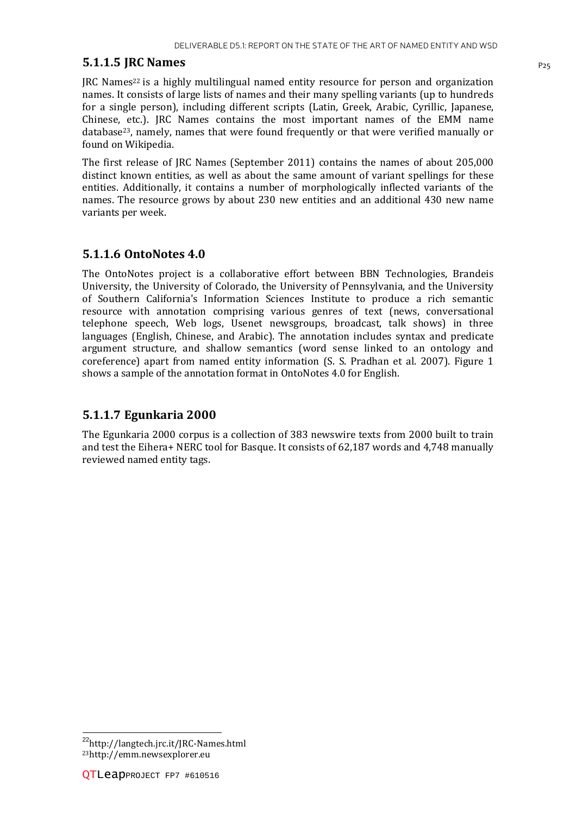#### **5.1.1.5 JRC Names** P<sub>25</sub>

 $\text{IRC}$  Names<sup>22</sup> is a highly multilingual named entity resource for person and organization names. It consists of large lists of names and their many spelling variants (up to hundreds for a single person), including different scripts (Latin, Greek, Arabic, Cyrillic, Japanese, Chinese, etc.). JRC Names contains the most important names of the EMM name database23, namely, names that were found frequently or that were verified manually or found on Wikipedia.

The first release of JRC Names (September 2011) contains the names of about 205,000 distinct known entities, as well as about the same amount of variant spellings for these entities. Additionally, it contains a number of morphologically inflected variants of the names. The resource grows by about 230 new entities and an additional 430 new name variants per week.

#### **5.1.1.6 OntoNotes 4.0**

The OntoNotes project is a collaborative effort between BBN Technologies, Brandeis University, the University of Colorado, the University of Pennsylvania, and the University of Southern California's Information Sciences Institute to produce a rich semantic resource with annotation comprising various genres of text (news, conversational telephone speech, Web logs, Usenet newsgroups, broadcast, talk shows) in three languages (English, Chinese, and Arabic). The annotation includes syntax and predicate argument structure, and shallow semantics (word sense linked to an ontology and coreference) apart from named entity information (S. S. Pradhan et al. 2007). Figure 1 shows a sample of the annotation format in OntoNotes 4.0 for English.

#### **5.1.1.7 Egunkaria 2000**

The Egunkaria 2000 corpus is a collection of 383 newswire texts from 2000 built to train and test the Eihera+ NERC tool for Basque. It consists of 62,187 words and 4,748 manually reviewed named entity tags.

l

<sup>22</sup>http://langtech.jrc.it/JRC-Names.html 23http://emm.newsexplorer.eu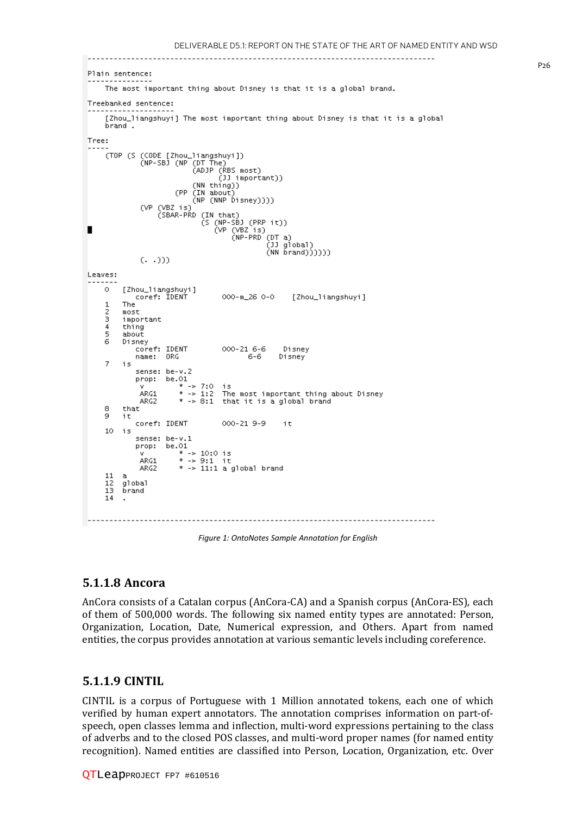```
Plain sentence:
     The most important thing about Disney is that it is a global brand.
Treebanked sentence:
     [Zhou_liangshuyi] The most important thing about Disney is that it is a global
     brand.
Tree:
               (CODE [Zhou_liangshuyi])<br>(NP-SBJ (NP (DT The)<br>(ADJP (RBS most)<br>(JJ important))<br>(NN thing))
     (TOP (S (CODE [Zhou_liangshuyi])
                              (NN thing))
                         (PP (IN about)
                              (NP (NNP Disney))))
               (VP (VBZ is)(SBAR-PRD (IN that)
                                (IN that)<br>(S (NP-SB) (PRP it))<br>(VP (VBZ is)<br>(NP-PRD (DT a)<br>(J) global)<br>(NN brand))))))
               (1, 1)Leaves:
     \Omega[Zhou_liangshuyi]
             coref: IDENT
                                       000-m_26 0-0
                                                           [Zhou_liangshuyi]
     \mathbf 1The
     \overline{2}most
     3
          important
     \overline{4}thing
     ś
          about
          Disney
     6
             oney<br>coref: IDENT<br>name: ORG
                                       000-21 6-6
                                                        Disney
                                             -6-6
                                                       Disney
     \overline{7}is
              sense: be-v.2
             prop: be.01
                          * \rightarrow 7:0is
               ARG1
                          * \rightarrow 1:2The most important thing about Disney
               ARG2
                          * -> 8:1 that it is a global brand
     8
          that
     9
          it
             coref: IDENT
                                       000-21 9-9
                                                        it
     10<sub>1</sub>is
              sense: be-v.1
             prop: be.01
                         .∪1<br>* -> 10:0 is<br>* -> 9:1 it
               ÅRG1
                          * -> 11:1 a global brand
               ARG2
     11
         a
          global
     12
     13
          brand
     14
   ------------------------
```
*Figure 1: OntoNotes Sample Annotation for English* 

#### **5.1.1.8 Ancora**

AnCora consists of a Catalan corpus (AnCora-CA) and a Spanish corpus (AnCora (AnCora-ES), each of them of 500,000 words. The following six named entity types are annotated: Person, Organization, Location, Date, Numerical expression, and Others. Apart from named entities, the corpus provides annotation at various semantic levels including coreference.

#### **5.1.1.9 CINTIL**

CINTIL is a corpus of Portuguese with 1 Million annotated tokens, each one of which CINTIL is a corpus of Portuguese with 1 Million annotated tokens, each one of which verified by human expert annotators. The annotation comprises information on part-ofspeech, open classes lemma and inflection, multi-word expressions pertaining to the class<br>of adverbs and to the closed POS classes, and multi-word proper names (for named entity of adverbs and to the closed POS classes, and multi-word proper names (for named entity recognition). Named entities are classified into Person, Location, Organization, etc. Over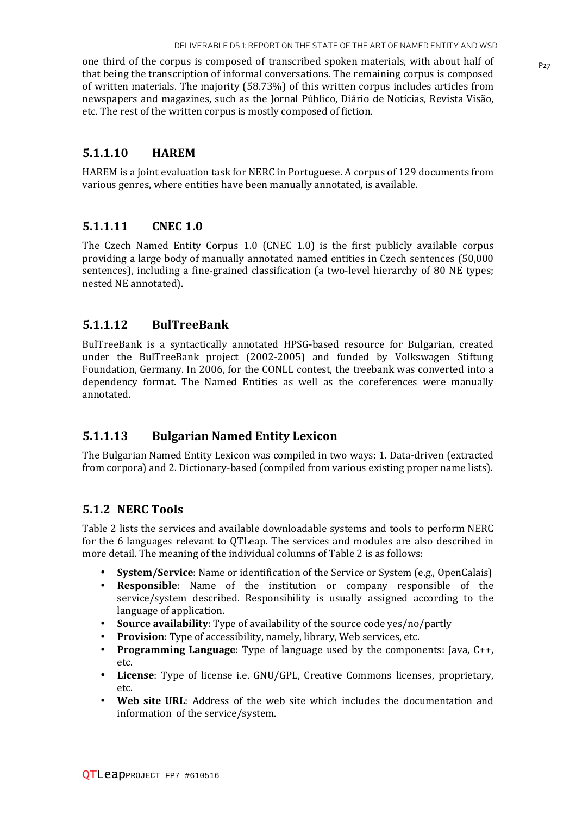one third of the corpus is composed of transcribed spoken materials, with about half of  $P_{27}$ that being the transcription of informal conversations. The remaining corpus is composed of written materials. The majority (58.73%) of this written corpus includes articles from newspapers and magazines, such as the Jornal Público, Diário de Notícias, Revista Visão, etc. The rest of the written corpus is mostly composed of fiction.

#### **5.1.1.10 HAREM**

HAREM is a joint evaluation task for NERC in Portuguese. A corpus of 129 documents from various genres, where entities have been manually annotated, is available.

#### **5.1.1.11 CNEC 1.0**

The Czech Named Entity Corpus 1.0 (CNEC 1.0) is the first publicly available corpus providing a large body of manually annotated named entities in Czech sentences (50,000 sentences), including a fine-grained classification (a two-level hierarchy of 80 NE types; nested NE annotated).

#### **5.1.1.12 BulTreeBank**

BulTreeBank is a syntactically annotated HPSG-based resource for Bulgarian, created under the BulTreeBank project (2002-2005) and funded by Volkswagen Stiftung Foundation, Germany. In 2006, for the CONLL contest, the treebank was converted into a dependency format. The Named Entities as well as the coreferences were manually annotated.

#### **5.1.1.13 Bulgarian Named Entity Lexicon**

The Bulgarian Named Entity Lexicon was compiled in two ways: 1. Data-driven (extracted from corpora) and 2. Dictionary-based (compiled from various existing proper name lists).

#### **5.1.2 NERC Tools**

Table 2 lists the services and available downloadable systems and tools to perform NERC for the 6 languages relevant to QTLeap. The services and modules are also described in more detail. The meaning of the individual columns of Table 2 is as follows:

- **System/Service**: Name or identification of the Service or System (e.g., OpenCalais)
- **Responsible**: Name of the institution or company responsible of the service/system described. Responsibility is usually assigned according to the language of application.
- **Source availability**: Type of availability of the source code yes/no/partly
- **Provision**: Type of accessibility, namely, library, Web services, etc.
- **Programming Language**: Type of language used by the components: Java, C++, etc.
- **License**: Type of license i.e. GNU/GPL, Creative Commons licenses, proprietary, etc.
- **Web site URL**: Address of the web site which includes the documentation and information of the service/system.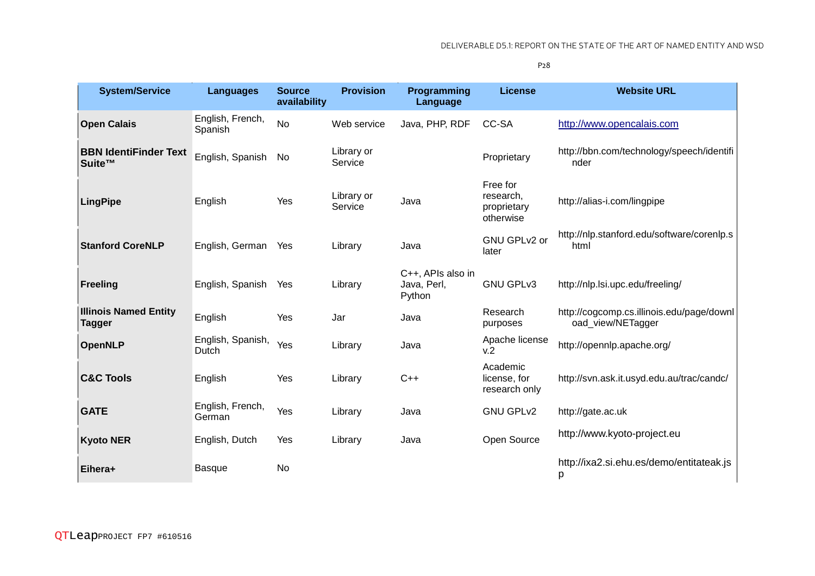P28

| <b>System/Service</b>                         | <b>Languages</b>            | <b>Source</b><br>availability | <b>Provision</b>      | Programming<br>Language                    | <b>License</b>                                    | <b>Website URL</b>                                             |
|-----------------------------------------------|-----------------------------|-------------------------------|-----------------------|--------------------------------------------|---------------------------------------------------|----------------------------------------------------------------|
| <b>Open Calais</b>                            | English, French,<br>Spanish | <b>No</b>                     | Web service           | Java, PHP, RDF                             | CC-SA                                             | http://www.opencalais.com                                      |
| <b>BBN IdentiFinder Text</b><br>Suite™        | English, Spanish            | No                            | Library or<br>Service |                                            | Proprietary                                       | http://bbn.com/technology/speech/identifi<br>nder              |
| <b>LingPipe</b>                               | English                     | Yes                           | Library or<br>Service | Java                                       | Free for<br>research,<br>proprietary<br>otherwise | http://alias-i.com/lingpipe                                    |
| <b>Stanford CoreNLP</b>                       | English, German             | Yes                           | Library               | Java                                       | GNU GPLv2 or<br>later                             | http://nlp.stanford.edu/software/corenlp.s<br>html             |
| <b>Freeling</b>                               | English, Spanish            | Yes                           | Library               | C++, APIs also in<br>Java, Perl,<br>Python | <b>GNU GPLv3</b>                                  | http://nlp.lsi.upc.edu/freeling/                               |
| <b>Illinois Named Entity</b><br><b>Tagger</b> | English                     | Yes                           | Jar                   | Java                                       | Research<br>purposes                              | http://cogcomp.cs.illinois.edu/page/downl<br>oad_view/NETagger |
| <b>OpenNLP</b>                                | English, Spanish,<br>Dutch  | Yes                           | Library               | Java                                       | Apache license<br>v.2                             | http://opennlp.apache.org/                                     |
| <b>C&amp;C Tools</b>                          | English                     | Yes                           | Library               | $C++$                                      | Academic<br>license, for<br>research only         | http://svn.ask.it.usyd.edu.au/trac/candc/                      |
| <b>GATE</b>                                   | English, French,<br>German  | Yes                           | Library               | Java                                       | <b>GNU GPLv2</b>                                  | http://gate.ac.uk                                              |
| <b>Kyoto NER</b>                              | English, Dutch              | Yes                           | Library               | Java                                       | Open Source                                       | http://www.kyoto-project.eu                                    |
| Eihera+                                       | <b>Basque</b>               | <b>No</b>                     |                       |                                            |                                                   | http://ixa2.si.ehu.es/demo/entitateak.js<br>p                  |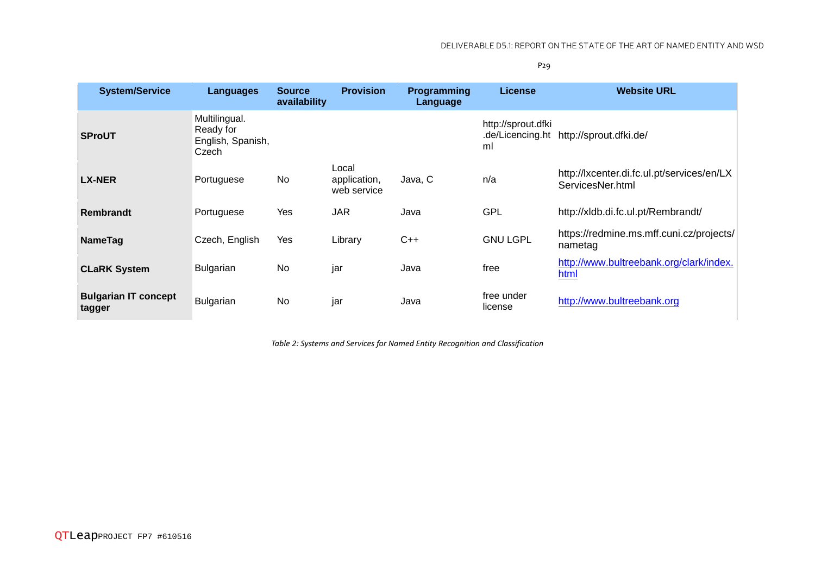P29

| <b>System/Service</b>                 | Languages                                                | <b>Source</b><br>availability | <b>Provision</b>                     | <b>Programming</b><br>Language | <b>License</b>           | <b>Website URL</b>                                             |
|---------------------------------------|----------------------------------------------------------|-------------------------------|--------------------------------------|--------------------------------|--------------------------|----------------------------------------------------------------|
| <b>SProUT</b>                         | Multilingual.<br>Ready for<br>English, Spanish,<br>Czech |                               |                                      |                                | http://sprout.dfki<br>ml | .de/Licencing.ht http://sprout.dfki.de/                        |
| <b>LX-NER</b>                         | Portuguese                                               | No                            | Local<br>application,<br>web service | Java, C                        | n/a                      | http://lxcenter.di.fc.ul.pt/services/en/LX<br>ServicesNer.html |
| <b>Rembrandt</b>                      | Portuguese                                               | Yes                           | <b>JAR</b>                           | Java                           | <b>GPL</b>               | http://xldb.di.fc.ul.pt/Rembrandt/                             |
| <b>NameTag</b>                        | Czech, English                                           | Yes                           | Library                              | $C++$                          | <b>GNU LGPL</b>          | https://redmine.ms.mff.cuni.cz/projects/<br>nametag            |
| <b>CLaRK System</b>                   | <b>Bulgarian</b>                                         | No.                           | jar                                  | Java                           | free                     | http://www.bultreebank.org/clark/index.<br>html                |
| <b>Bulgarian IT concept</b><br>tagger | Bulgarian                                                | <b>No</b>                     | jar                                  | Java                           | free under<br>license    | http://www.bultreebank.org                                     |

*Table 2: Systems and Services for Named Entity Recognition and Classification*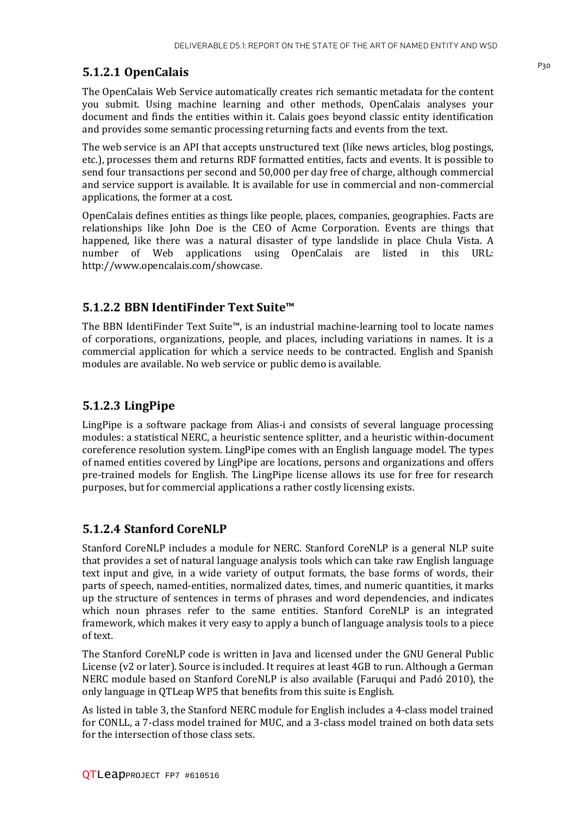## P30 **5.1.2.1 OpenCalais**

The OpenCalais Web Service automatically creates rich semantic metadata for the content you submit. Using machine learning and other methods, OpenCalais analyses your document and finds the entities within it. Calais goes beyond classic entity identification and provides some semantic processing returning facts and events from the text.

The web service is an API that accepts unstructured text (like news articles, blog postings, etc.), processes them and returns RDF formatted entities, facts and events. It is possible to send four transactions per second and 50,000 per day free of charge, although commercial and service support is available. It is available for use in commercial and non-commercial applications, the former at a cost.

OpenCalais defines entities as things like people, places, companies, geographies. Facts are relationships like John Doe is the CEO of Acme Corporation. Events are things that happened, like there was a natural disaster of type landslide in place Chula Vista. A number of Web applications using OpenCalais are listed in this URL: http://www.opencalais.com/showcase.

#### **5.1.2.2 BBN IdentiFinder Text Suite™**

The BBN IdentiFinder Text Suite™, is an industrial machine-learning tool to locate names of corporations, organizations, people, and places, including variations in names. It is a commercial application for which a service needs to be contracted. English and Spanish modules are available. No web service or public demo is available.

#### **5.1.2.3 LingPipe**

LingPipe is a software package from Alias-i and consists of several language processing modules: a statistical NERC, a heuristic sentence splitter, and a heuristic within-document coreference resolution system. LingPipe comes with an English language model. The types of named entities covered by LingPipe are locations, persons and organizations and offers pre-trained models for English. The LingPipe license allows its use for free for research purposes, but for commercial applications a rather costly licensing exists.

#### **5.1.2.4 Stanford CoreNLP**

Stanford CoreNLP includes a module for NERC. Stanford CoreNLP is a general NLP suite that provides a set of natural language analysis tools which can take raw English language text input and give, in a wide variety of output formats, the base forms of words, their parts of speech, named-entities, normalized dates, times, and numeric quantities, it marks up the structure of sentences in terms of phrases and word dependencies, and indicates which noun phrases refer to the same entities. Stanford CoreNLP is an integrated framework, which makes it very easy to apply a bunch of language analysis tools to a piece of text.

The Stanford CoreNLP code is written in Java and licensed under the GNU General Public License (v2 or later). Source is included. It requires at least 4GB to run. Although a German NERC module based on Stanford CoreNLP is also available (Faruqui and Padó 2010), the only language in QTLeap WP5 that benefits from this suite is English.

As listed in table 3, the Stanford NERC module for English includes a 4-class model trained for CONLL, a 7-class model trained for MUC, and a 3-class model trained on both data sets for the intersection of those class sets.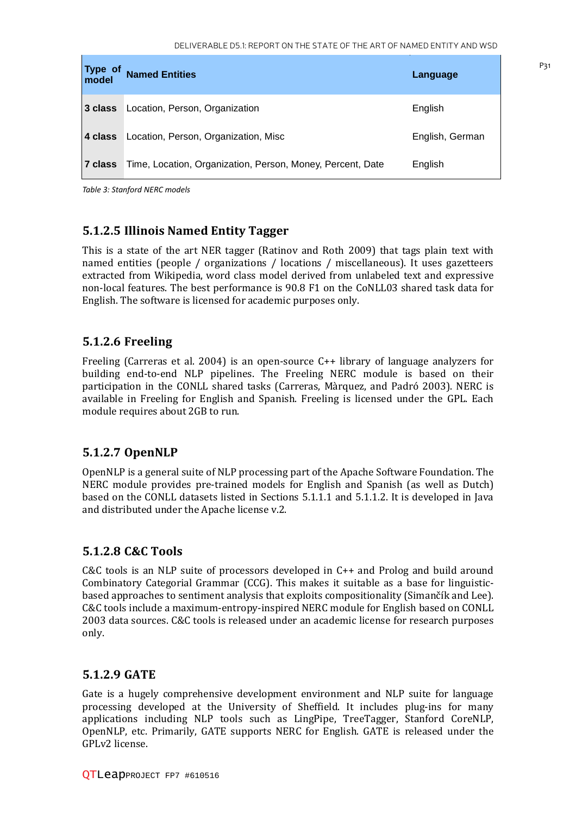| Type of<br>model | <b>Named Entities</b>                                      | Language        |
|------------------|------------------------------------------------------------|-----------------|
| ∣3 class         | Location, Person, Organization                             | English         |
| ∣4 class         | Location, Person, Organization, Misc                       | English, German |
| ∣7 class         | Time, Location, Organization, Person, Money, Percent, Date | English         |

*Table 3: Stanford NERC models* 

#### **5.1.2.5 Illinois Named Entity Tagger**

This is a state of the art NER tagger (Ratinov and Roth 2009) that tags plain text with named entities (people / organizations / locations / miscellaneous). It uses gazetteers extracted from Wikipedia, word class model derived from unlabeled text and expressive non-local features. The best performance is 90.8 F1 on the CoNLL03 shared task data for English. The software is licensed for academic purposes only.

#### **5.1.2.6 Freeling**

Freeling (Carreras et al. 2004) is an open-source C++ library of language analyzers for building end-to-end NLP pipelines. The Freeling NERC module is based on their participation in the CONLL shared tasks (Carreras, Màrquez, and Padró 2003). NERC is available in Freeling for English and Spanish. Freeling is licensed under the GPL. Each module requires about 2GB to run.

#### **5.1.2.7 OpenNLP**

OpenNLP is a general suite of NLP processing part of the Apache Software Foundation. The NERC module provides pre-trained models for English and Spanish (as well as Dutch) based on the CONLL datasets listed in Sections 5.1.1.1 and 5.1.1.2. It is developed in Java and distributed under the Apache license v.2.

#### **5.1.2.8 C&C Tools**

C&C tools is an NLP suite of processors developed in C++ and Prolog and build around Combinatory Categorial Grammar (CCG). This makes it suitable as a base for linguisticbased approaches to sentiment analysis that exploits compositionality (Simančík and Lee). C&C tools include a maximum-entropy-inspired NERC module for English based on CONLL 2003 data sources. C&C tools is released under an academic license for research purposes only.

#### **5.1.2.9 GATE**

Gate is a hugely comprehensive development environment and NLP suite for language processing developed at the University of Sheffield. It includes plug-ins for many applications including NLP tools such as LingPipe, TreeTagger, Stanford CoreNLP, OpenNLP, etc. Primarily, GATE supports NERC for English. GATE is released under the GPLv2 license.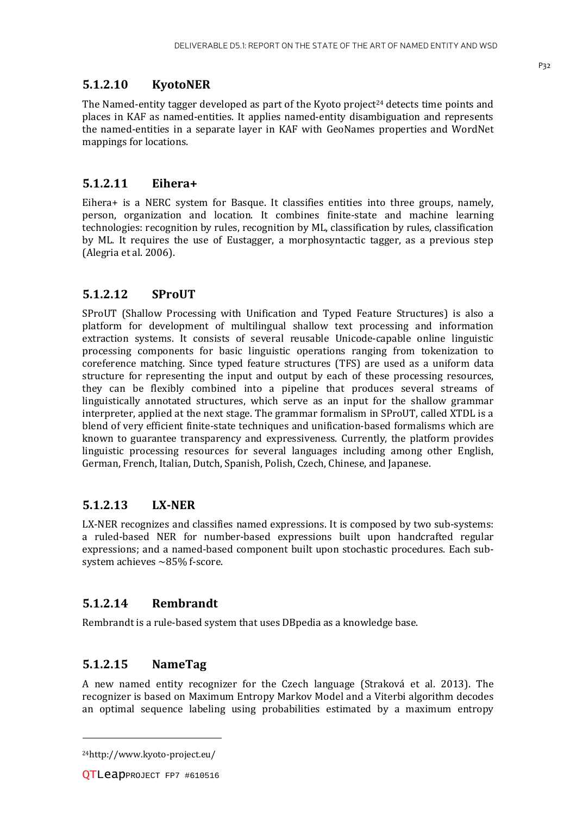#### **5.1.2.10 KyotoNER**

The Named-entity tagger developed as part of the Kyoto project<sup>24</sup> detects time points and places in KAF as named-entities. It applies named-entity disambiguation and represents the named-entities in a separate layer in KAF with GeoNames properties and WordNet mappings for locations.

#### **5.1.2.11 Eihera+**

Eihera+ is a NERC system for Basque. It classifies entities into three groups, namely, person, organization and location. It combines finite-state and machine learning technologies: recognition by rules, recognition by ML, classification by rules, classification by ML. It requires the use of Eustagger, a morphosyntactic tagger, as a previous step (Alegria et al. 2006).

#### **5.1.2.12 SProUT**

SProUT (Shallow Processing with Unification and Typed Feature Structures) is also a platform for development of multilingual shallow text processing and information extraction systems. It consists of several reusable Unicode-capable online linguistic processing components for basic linguistic operations ranging from tokenization to coreference matching. Since typed feature structures (TFS) are used as a uniform data structure for representing the input and output by each of these processing resources, they can be flexibly combined into a pipeline that produces several streams of linguistically annotated structures, which serve as an input for the shallow grammar interpreter, applied at the next stage. The grammar formalism in SProUT, called XTDL is a blend of very efficient finite-state techniques and unification-based formalisms which are known to guarantee transparency and expressiveness. Currently, the platform provides linguistic processing resources for several languages including among other English, German, French, Italian, Dutch, Spanish, Polish, Czech, Chinese, and Japanese.

#### **5.1.2.13 LX-NER**

LX-NER recognizes and classifies named expressions. It is composed by two sub-systems: a ruled-based NER for number-based expressions built upon handcrafted regular expressions; and a named-based component built upon stochastic procedures. Each subsystem achieves ~85% f-score.

#### **5.1.2.14 Rembrandt**

Rembrandt is a rule-based system that uses DBpedia as a knowledge base.

#### **5.1.2.15 NameTag**

A new named entity recognizer for the Czech language (Straková et al. 2013). The recognizer is based on Maximum Entropy Markov Model and a Viterbi algorithm decodes an optimal sequence labeling using probabilities estimated by a maximum entropy

l

<sup>24</sup>http://www.kyoto-project.eu/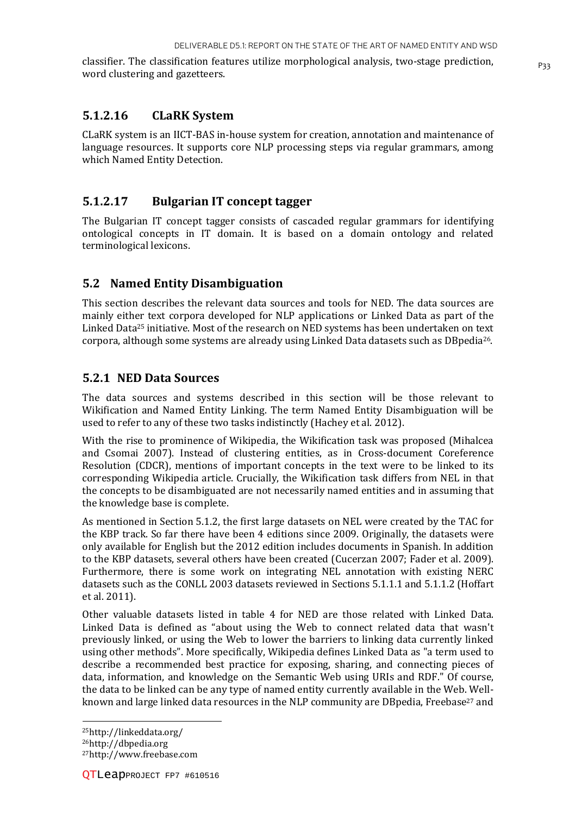classifier. The classification features utilize morphological analysis, two-stage prediction, word clustering and gazetteers.

#### **5.1.2.16 CLaRK System**

CLaRK system is an IICT-BAS in-house system for creation, annotation and maintenance of language resources. It supports core NLP processing steps via regular grammars, among which Named Entity Detection.

#### **5.1.2.17 Bulgarian IT concept tagger**

The Bulgarian IT concept tagger consists of cascaded regular grammars for identifying ontological concepts in IT domain. It is based on a domain ontology and related terminological lexicons.

#### **5.2 Named Entity Disambiguation**

This section describes the relevant data sources and tools for NED. The data sources are mainly either text corpora developed for NLP applications or Linked Data as part of the Linked Data<sup>25</sup> initiative. Most of the research on NED systems has been undertaken on text corpora, although some systems are already using Linked Data datasets such as DBpedia26.

#### **5.2.1 NED Data Sources**

The data sources and systems described in this section will be those relevant to Wikification and Named Entity Linking. The term Named Entity Disambiguation will be used to refer to any of these two tasks indistinctly (Hachey et al. 2012).

With the rise to prominence of Wikipedia, the Wikification task was proposed (Mihalcea and Csomai 2007). Instead of clustering entities, as in Cross-document Coreference Resolution (CDCR), mentions of important concepts in the text were to be linked to its corresponding Wikipedia article. Crucially, the Wikification task differs from NEL in that the concepts to be disambiguated are not necessarily named entities and in assuming that the knowledge base is complete.

As mentioned in Section 5.1.2, the first large datasets on NEL were created by the TAC for the KBP track. So far there have been 4 editions since 2009. Originally, the datasets were only available for English but the 2012 edition includes documents in Spanish. In addition to the KBP datasets, several others have been created (Cucerzan 2007; Fader et al. 2009). Furthermore, there is some work on integrating NEL annotation with existing NERC datasets such as the CONLL 2003 datasets reviewed in Sections 5.1.1.1 and 5.1.1.2 (Hoffart et al. 2011).

Other valuable datasets listed in table 4 for NED are those related with Linked Data. Linked Data is defined as "about using the Web to connect related data that wasn't previously linked, or using the Web to lower the barriers to linking data currently linked using other methods". More specifically, Wikipedia defines Linked Data as "a term used to describe a recommended best practice for exposing, sharing, and connecting pieces of data, information, and knowledge on the Semantic Web using URIs and RDF." Of course, the data to be linked can be any type of named entity currently available in the Web. Wellknown and large linked data resources in the NLP community are DBpedia, Freebase<sup>27</sup> and

 $\overline{\phantom{a}}$ 

<sup>25</sup>http://linkeddata.org/

<sup>26</sup>http://dbpedia.org

<sup>27</sup>http://www.freebase.com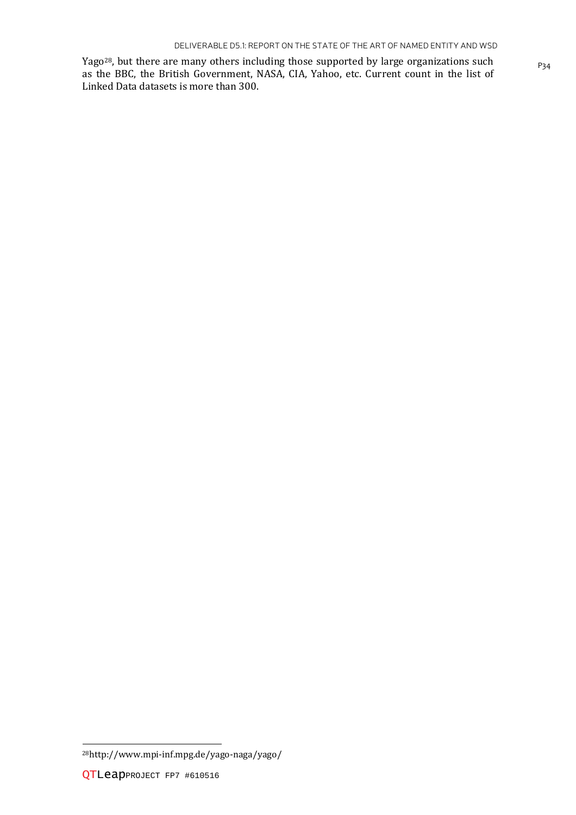Yago<sup>28</sup>, but there are many others including those supported by large organizations such <sub>P34</sub> as the BBC, the British Government, NASA, CIA, Yahoo, etc. Current count in the list of Linked Data datasets is more than 300.

l

<sup>28</sup>http://www.mpi-inf.mpg.de/yago-naga/yago/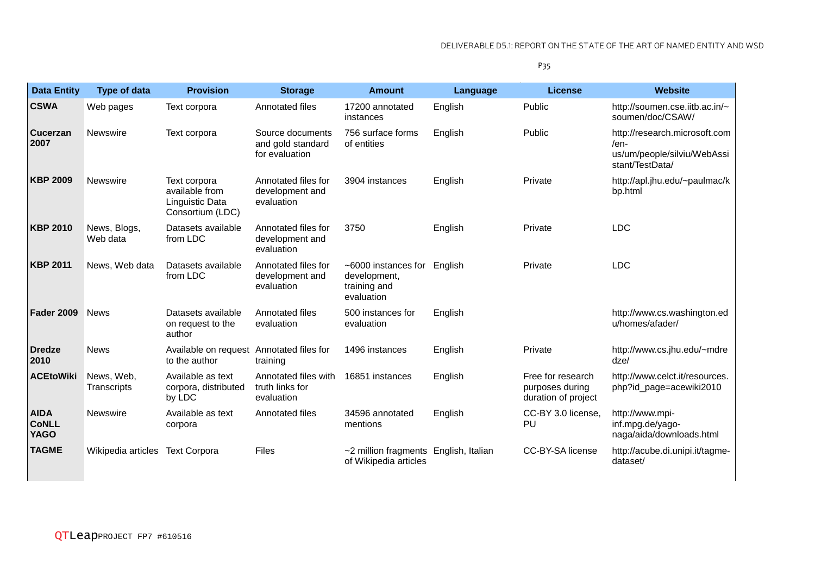P35

| <b>Data Entity</b>                         | <b>Type of data</b>       | <b>Provision</b>                                                      | <b>Storage</b>                                          | <b>Amount</b>                                                     | Language | <b>License</b>                                              | <b>Website</b>                                                                          |
|--------------------------------------------|---------------------------|-----------------------------------------------------------------------|---------------------------------------------------------|-------------------------------------------------------------------|----------|-------------------------------------------------------------|-----------------------------------------------------------------------------------------|
| <b>CSWA</b>                                | Web pages                 | Text corpora                                                          | Annotated files                                         | 17200 annotated<br>instances                                      | English  | Public                                                      | http://soumen.cse.iitb.ac.in/~<br>soumen/doc/CSAW/                                      |
| <b>Cucerzan</b><br>2007                    | <b>Newswire</b>           | Text corpora                                                          | Source documents<br>and gold standard<br>for evaluation | 756 surface forms<br>of entities                                  | English  | Public                                                      | http://research.microsoft.com<br>/en-<br>us/um/people/silviu/WebAssi<br>stant/TestData/ |
| <b>KBP 2009</b>                            | Newswire                  | Text corpora<br>available from<br>Linguistic Data<br>Consortium (LDC) | Annotated files for<br>development and<br>evaluation    | 3904 instances                                                    | English  | Private                                                     | http://apl.jhu.edu/~paulmac/k<br>bp.html                                                |
| <b>KBP 2010</b>                            | News, Blogs,<br>Web data  | Datasets available<br>from LDC                                        | Annotated files for<br>development and<br>evaluation    | 3750                                                              | English  | Private                                                     | <b>LDC</b>                                                                              |
| <b>KBP 2011</b>                            | News, Web data            | Datasets available<br>from LDC                                        | Annotated files for<br>development and<br>evaluation    | ~6000 instances for<br>development,<br>training and<br>evaluation | English  | Private                                                     | <b>LDC</b>                                                                              |
| <b>Fader 2009</b>                          | <b>News</b>               | Datasets available<br>on request to the<br>author                     | Annotated files<br>evaluation                           | 500 instances for<br>evaluation                                   | English  |                                                             | http://www.cs.washington.ed<br>u/homes/afader/                                          |
| <b>Dredze</b><br>2010                      | <b>News</b>               | Available on request Annotated files for<br>to the author             | training                                                | 1496 instances                                                    | English  | Private                                                     | http://www.cs.jhu.edu/~mdre<br>$dz$ e/                                                  |
| <b>ACEtoWiki</b>                           | News, Web,<br>Transcripts | Available as text<br>corpora, distributed<br>by LDC                   | Annotated files with<br>truth links for<br>evaluation   | 16851 instances                                                   | English  | Free for research<br>purposes during<br>duration of project | http://www.celct.it/resources.<br>php?id_page=acewiki2010                               |
| <b>AIDA</b><br><b>CoNLL</b><br><b>YAGO</b> | <b>Newswire</b>           | Available as text<br>corpora                                          | Annotated files                                         | 34596 annotated<br>mentions                                       | English  | CC-BY 3.0 license,<br>PU                                    | http://www.mpi-<br>inf.mpg.de/yago-<br>naga/aida/downloads.html                         |
| <b>TAGME</b>                               | Wikipedia articles        | <b>Text Corpora</b>                                                   | <b>Files</b>                                            | ~2 million fragments English, Italian<br>of Wikipedia articles    |          | CC-BY-SA license                                            | http://acube.di.unipi.it/tagme-<br>dataset/                                             |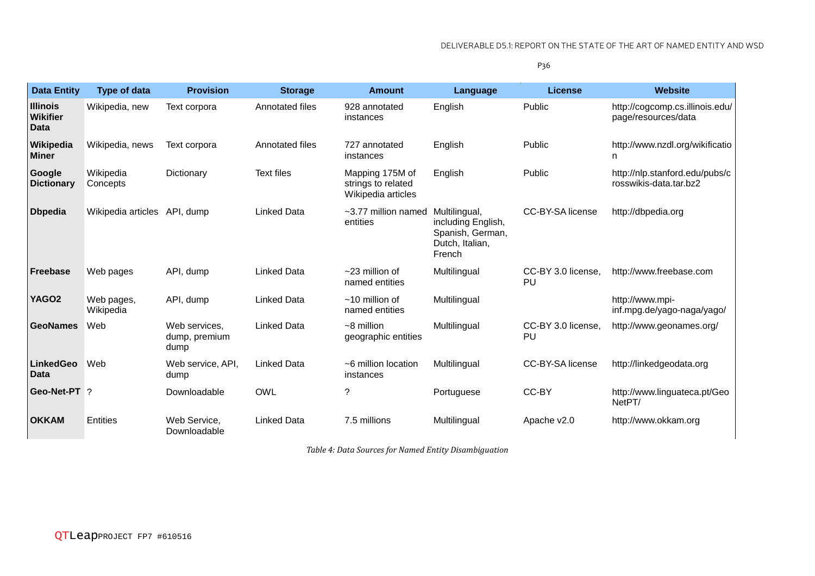P36

| <b>Data Entity</b>                                | <b>Type of data</b>          | <b>Provision</b>                       | <b>Storage</b>     | <b>Amount</b>                                               | Language                                                                             | <b>License</b>           | <b>Website</b>                                           |
|---------------------------------------------------|------------------------------|----------------------------------------|--------------------|-------------------------------------------------------------|--------------------------------------------------------------------------------------|--------------------------|----------------------------------------------------------|
| <b>Illinois</b><br><b>Wikifier</b><br><b>Data</b> | Wikipedia, new               | Text corpora                           | Annotated files    | 928 annotated<br>instances                                  | English                                                                              | Public                   | http://cogcomp.cs.illinois.edu/<br>page/resources/data   |
| Wikipedia<br><b>Miner</b>                         | Wikipedia, news              | Text corpora                           | Annotated files    | 727 annotated<br>instances                                  | English                                                                              | Public                   | http://www.nzdl.org/wikificatio<br>n                     |
| Google<br><b>Dictionary</b>                       | Wikipedia<br>Concepts        | Dictionary                             | <b>Text files</b>  | Mapping 175M of<br>strings to related<br>Wikipedia articles | English                                                                              | Public                   | http://nlp.stanford.edu/pubs/c<br>rosswikis-data.tar.bz2 |
| <b>Dbpedia</b>                                    | Wikipedia articles API, dump |                                        | <b>Linked Data</b> | $\sim$ 3.77 million named<br>entities                       | Multilingual,<br>including English,<br>Spanish, German,<br>Dutch, Italian,<br>French | CC-BY-SA license         | http://dbpedia.org                                       |
| <b>Freebase</b>                                   | Web pages                    | API, dump                              | <b>Linked Data</b> | $~23$ million of<br>named entities                          | Multilingual                                                                         | CC-BY 3.0 license,<br>PU | http://www.freebase.com                                  |
| YAGO <sub>2</sub>                                 | Web pages,<br>Wikipedia      | API, dump                              | <b>Linked Data</b> | $~10$ million of<br>named entities                          | Multilingual                                                                         |                          | http://www.mpi-<br>inf.mpg.de/yago-naga/yago/            |
| <b>GeoNames</b>                                   | Web                          | Web services,<br>dump, premium<br>dump | <b>Linked Data</b> | $~5$ million<br>geographic entities                         | Multilingual                                                                         | CC-BY 3.0 license,<br>PU | http://www.geonames.org/                                 |
| <b>LinkedGeo</b><br><b>Data</b>                   | Web                          | Web service, API,<br>dump              | <b>Linked Data</b> | ~6 million location<br>instances                            | Multilingual                                                                         | CC-BY-SA license         | http://linkedgeodata.org                                 |
| Geo-Net-PT ?                                      |                              | Downloadable                           | <b>OWL</b>         | ?                                                           | Portuguese                                                                           | CC-BY                    | http://www.linguateca.pt/Geo<br>NetPT/                   |
| <b>OKKAM</b>                                      | Entities                     | Web Service,<br>Downloadable           | <b>Linked Data</b> | 7.5 millions                                                | Multilingual                                                                         | Apache v2.0              | http://www.okkam.org                                     |

*Table 4: Data Sources for Named Entity Disambiguation*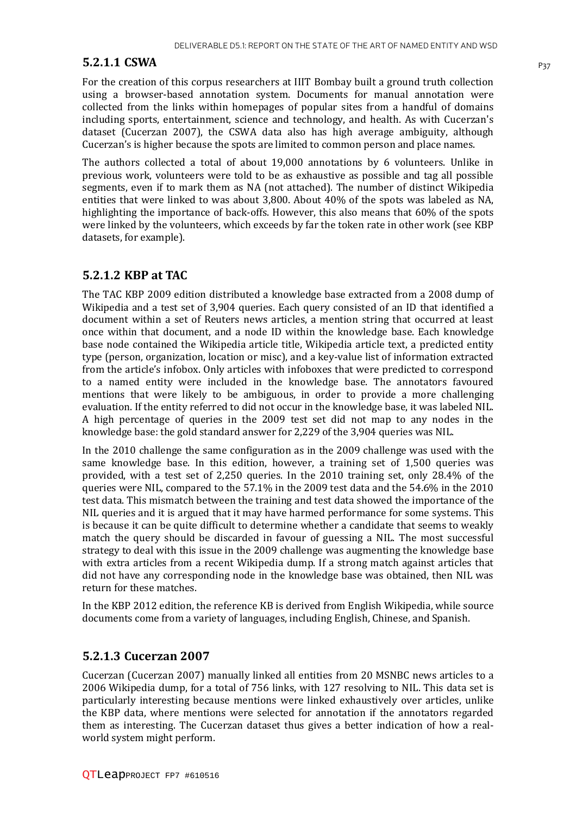#### **5.2.1.1 CSWA** P<sub>37</sub>

For the creation of this corpus researchers at IIIT Bombay built a ground truth collection using a browser-based annotation system. Documents for manual annotation were collected from the links within homepages of popular sites from a handful of domains including sports, entertainment, science and technology, and health. As with Cucerzan's dataset (Cucerzan 2007), the CSWA data also has high average ambiguity, although Cucerzan's is higher because the spots are limited to common person and place names.

The authors collected a total of about 19,000 annotations by 6 volunteers. Unlike in previous work, volunteers were told to be as exhaustive as possible and tag all possible segments, even if to mark them as NA (not attached). The number of distinct Wikipedia entities that were linked to was about 3,800. About 40% of the spots was labeled as NA, highlighting the importance of back-offs. However, this also means that 60% of the spots were linked by the volunteers, which exceeds by far the token rate in other work (see KBP datasets, for example).

#### **5.2.1.2 KBP at TAC**

The TAC KBP 2009 edition distributed a knowledge base extracted from a 2008 dump of Wikipedia and a test set of 3,904 queries. Each query consisted of an ID that identified a document within a set of Reuters news articles, a mention string that occurred at least once within that document, and a node ID within the knowledge base. Each knowledge base node contained the Wikipedia article title, Wikipedia article text, a predicted entity type (person, organization, location or misc), and a key-value list of information extracted from the article's infobox. Only articles with infoboxes that were predicted to correspond to a named entity were included in the knowledge base. The annotators favoured mentions that were likely to be ambiguous, in order to provide a more challenging evaluation. If the entity referred to did not occur in the knowledge base, it was labeled NIL. A high percentage of queries in the 2009 test set did not map to any nodes in the knowledge base: the gold standard answer for 2,229 of the 3,904 queries was NIL.

In the 2010 challenge the same configuration as in the 2009 challenge was used with the same knowledge base. In this edition, however, a training set of 1,500 queries was provided, with a test set of 2,250 queries. In the 2010 training set, only 28.4% of the queries were NIL, compared to the 57.1% in the 2009 test data and the 54.6% in the 2010 test data. This mismatch between the training and test data showed the importance of the NIL queries and it is argued that it may have harmed performance for some systems. This is because it can be quite difficult to determine whether a candidate that seems to weakly match the query should be discarded in favour of guessing a NIL. The most successful strategy to deal with this issue in the 2009 challenge was augmenting the knowledge base with extra articles from a recent Wikipedia dump. If a strong match against articles that did not have any corresponding node in the knowledge base was obtained, then NIL was return for these matches.

In the KBP 2012 edition, the reference KB is derived from English Wikipedia, while source documents come from a variety of languages, including English, Chinese, and Spanish.

#### **5.2.1.3 Cucerzan 2007**

Cucerzan (Cucerzan 2007) manually linked all entities from 20 MSNBC news articles to a 2006 Wikipedia dump, for a total of 756 links, with 127 resolving to NIL. This data set is particularly interesting because mentions were linked exhaustively over articles, unlike the KBP data, where mentions were selected for annotation if the annotators regarded them as interesting. The Cucerzan dataset thus gives a better indication of how a realworld system might perform.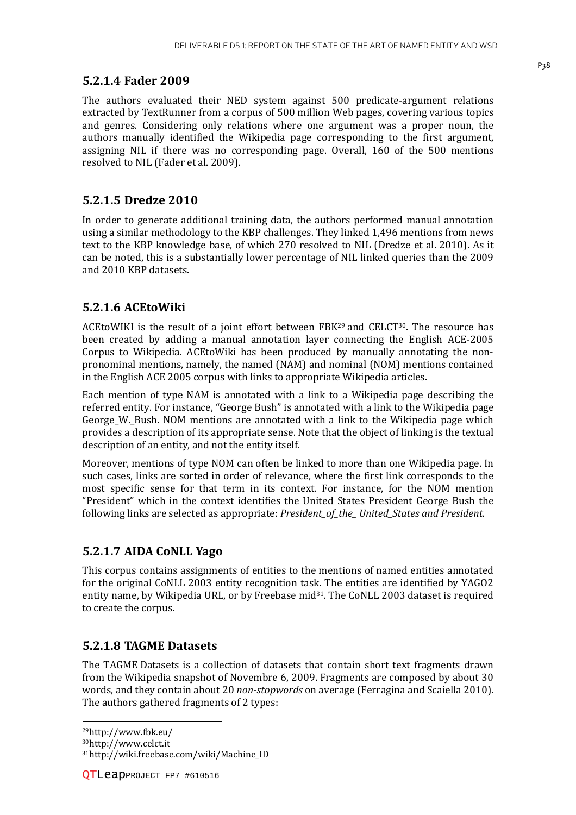#### **5.2.1.4 Fader 2009**

The authors evaluated their NED system against 500 predicate-argument relations extracted by TextRunner from a corpus of 500 million Web pages, covering various topics and genres. Considering only relations where one argument was a proper noun, the authors manually identified the Wikipedia page corresponding to the first argument, assigning NIL if there was no corresponding page. Overall, 160 of the 500 mentions resolved to NIL (Fader et al. 2009).

#### **5.2.1.5 Dredze 2010**

In order to generate additional training data, the authors performed manual annotation using a similar methodology to the KBP challenges. They linked 1,496 mentions from news text to the KBP knowledge base, of which 270 resolved to NIL (Dredze et al. 2010). As it can be noted, this is a substantially lower percentage of NIL linked queries than the 2009 and 2010 KBP datasets.

#### **5.2.1.6 ACEtoWiki**

ACEtoWIKI is the result of a joint effort between FBK29 and CELCT30. The resource has been created by adding a manual annotation layer connecting the English ACE-2005 Corpus to Wikipedia. ACEtoWiki has been produced by manually annotating the nonpronominal mentions, namely, the named (NAM) and nominal (NOM) mentions contained in the English ACE 2005 corpus with links to appropriate Wikipedia articles.

Each mention of type NAM is annotated with a link to a Wikipedia page describing the referred entity. For instance, "George Bush" is annotated with a link to the Wikipedia page George W. Bush. NOM mentions are annotated with a link to the Wikipedia page which provides a description of its appropriate sense. Note that the object of linking is the textual description of an entity, and not the entity itself.

Moreover, mentions of type NOM can often be linked to more than one Wikipedia page. In such cases, links are sorted in order of relevance, where the first link corresponds to the most specific sense for that term in its context. For instance, for the NOM mention "President" which in the context identifies the United States President George Bush the following links are selected as appropriate: *President\_of\_the\_ United\_States and President.* 

#### **5.2.1.7 AIDA CoNLL Yago**

This corpus contains assignments of entities to the mentions of named entities annotated for the original CoNLL 2003 entity recognition task. The entities are identified by YAGO2 entity name, by Wikipedia URL, or by Freebase mid $31$ . The CoNLL 2003 dataset is required to create the corpus.

#### **5.2.1.8 TAGME Datasets**

The TAGME Datasets is a collection of datasets that contain short text fragments drawn from the Wikipedia snapshot of Novembre 6, 2009. Fragments are composed by about 30 words, and they contain about 20 *non-stopwords* on average (Ferragina and Scaiella 2010). The authors gathered fragments of 2 types:

<sup>29</sup>http://www.fbk.eu/

 $\overline{\phantom{a}}$ 

<sup>30</sup>http://www.celct.it

<sup>31</sup>http://wiki.freebase.com/wiki/Machine\_ID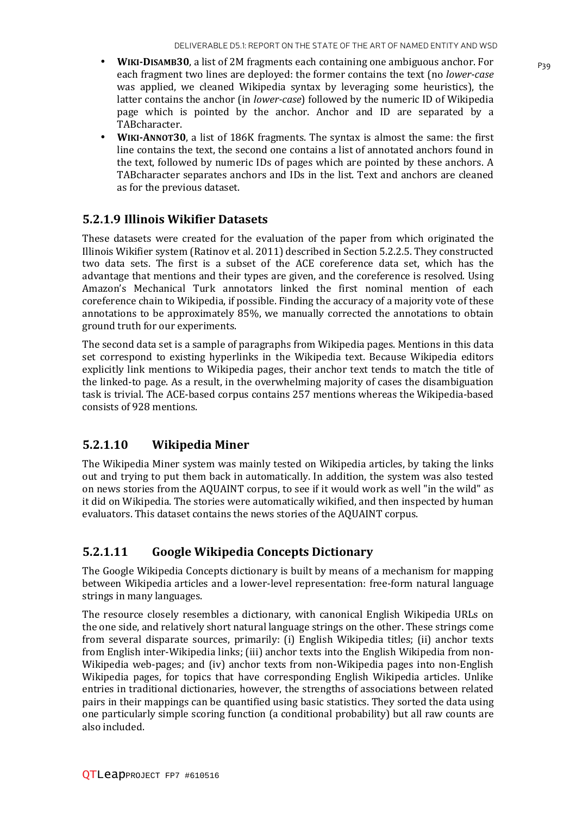- **WIKI-DISAMB30**, a list of 2M fragments each containing one ambiguous anchor. For each fragment two lines are deployed: the former contains the text (no *lower-case* was applied, we cleaned Wikipedia syntax by leveraging some heuristics), the latter contains the anchor (in *lower-case*) followed by the numeric ID of Wikipedia page which is pointed by the anchor. Anchor and ID are separated by a TABcharacter.
- **WIKI-ANNOT30**, a list of 186K fragments. The syntax is almost the same: the first line contains the text, the second one contains a list of annotated anchors found in the text, followed by numeric IDs of pages which are pointed by these anchors. A TABcharacter separates anchors and IDs in the list. Text and anchors are cleaned as for the previous dataset.

#### **5.2.1.9 Illinois Wikifier Datasets**

These datasets were created for the evaluation of the paper from which originated the Illinois Wikifier system (Ratinov et al. 2011) described in Section 5.2.2.5. They constructed two data sets. The first is a subset of the ACE coreference data set, which has the advantage that mentions and their types are given, and the coreference is resolved. Using Amazon's Mechanical Turk annotators linked the first nominal mention of each coreference chain to Wikipedia, if possible. Finding the accuracy of a majority vote of these annotations to be approximately 85%, we manually corrected the annotations to obtain ground truth for our experiments.

The second data set is a sample of paragraphs from Wikipedia pages. Mentions in this data set correspond to existing hyperlinks in the Wikipedia text. Because Wikipedia editors explicitly link mentions to Wikipedia pages, their anchor text tends to match the title of the linked-to page. As a result, in the overwhelming majority of cases the disambiguation task is trivial. The ACE-based corpus contains 257 mentions whereas the Wikipedia-based consists of 928 mentions.

#### **5.2.1.10 Wikipedia Miner**

The Wikipedia Miner system was mainly tested on Wikipedia articles, by taking the links out and trying to put them back in automatically. In addition, the system was also tested on news stories from the AQUAINT corpus, to see if it would work as well "in the wild" as it did on Wikipedia. The stories were automatically wikified, and then inspected by human evaluators. This dataset contains the news stories of the AQUAINT corpus.

#### **5.2.1.11 Google Wikipedia Concepts Dictionary**

The Google Wikipedia Concepts dictionary is built by means of a mechanism for mapping between Wikipedia articles and a lower-level representation: free-form natural language strings in many languages.

The resource closely resembles a dictionary, with canonical English Wikipedia URLs on the one side, and relatively short natural language strings on the other. These strings come from several disparate sources, primarily: (i) English Wikipedia titles; (ii) anchor texts from English inter-Wikipedia links; (iii) anchor texts into the English Wikipedia from non-Wikipedia web-pages; and (iv) anchor texts from non-Wikipedia pages into non-English Wikipedia pages, for topics that have corresponding English Wikipedia articles. Unlike entries in traditional dictionaries, however, the strengths of associations between related pairs in their mappings can be quantified using basic statistics. They sorted the data using one particularly simple scoring function (a conditional probability) but all raw counts are also included.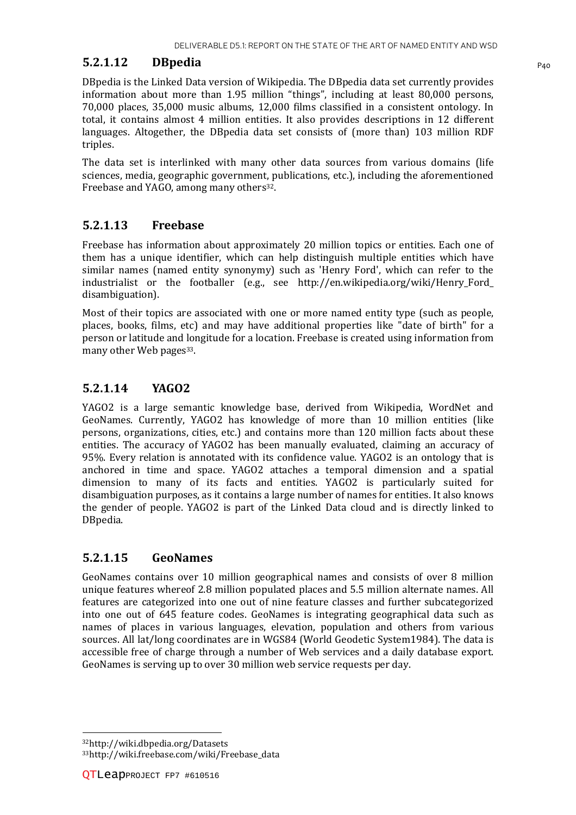#### **5.2.1.12 DBpedia P40**

DBpedia is the Linked Data version of Wikipedia. The DBpedia data set currently provides information about more than 1.95 million "things", including at least 80,000 persons, 70,000 places, 35,000 music albums, 12,000 films classified in a consistent ontology. In total, it contains almost 4 million entities. It also provides descriptions in 12 different languages. Altogether, the DBpedia data set consists of (more than) 103 million RDF triples.

The data set is interlinked with many other data sources from various domains (life sciences, media, geographic government, publications, etc.), including the aforementioned Freebase and YAGO, among many others<sup>32</sup>.

#### **5.2.1.13 Freebase**

Freebase has information about approximately 20 million topics or entities. Each one of them has a unique identifier, which can help distinguish multiple entities which have similar names (named entity synonymy) such as 'Henry Ford', which can refer to the industrialist or the footballer (e.g., see http://en.wikipedia.org/wiki/Henry\_Ford\_ disambiguation).

Most of their topics are associated with one or more named entity type (such as people, places, books, films, etc) and may have additional properties like "date of birth" for a person or latitude and longitude for a location. Freebase is created using information from many other Web pages<sup>33</sup>.

#### **5.2.1.14 YAGO2**

YAGO2 is a large semantic knowledge base, derived from Wikipedia, WordNet and GeoNames. Currently, YAGO2 has knowledge of more than 10 million entities (like persons, organizations, cities, etc.) and contains more than 120 million facts about these entities. The accuracy of YAGO2 has been manually evaluated, claiming an accuracy of 95%. Every relation is annotated with its confidence value. YAGO2 is an ontology that is anchored in time and space. YAGO2 attaches a temporal dimension and a spatial dimension to many of its facts and entities. YAGO2 is particularly suited for disambiguation purposes, as it contains a large number of names for entities. It also knows the gender of people. YAGO2 is part of the Linked Data cloud and is directly linked to DBpedia.

#### **5.2.1.15 GeoNames**

GeoNames contains over 10 million geographical names and consists of over 8 million unique features whereof 2.8 million populated places and 5.5 million alternate names. All features are categorized into one out of nine feature classes and further subcategorized into one out of 645 feature codes. GeoNames is integrating geographical data such as names of places in various languages, elevation, population and others from various sources. All lat/long coordinates are in WGS84 (World Geodetic System1984). The data is accessible free of charge through a number of Web services and a daily database export. GeoNames is serving up to over 30 million web service requests per day.

l

<sup>32</sup>http://wiki.dbpedia.org/Datasets 33http://wiki.freebase.com/wiki/Freebase\_data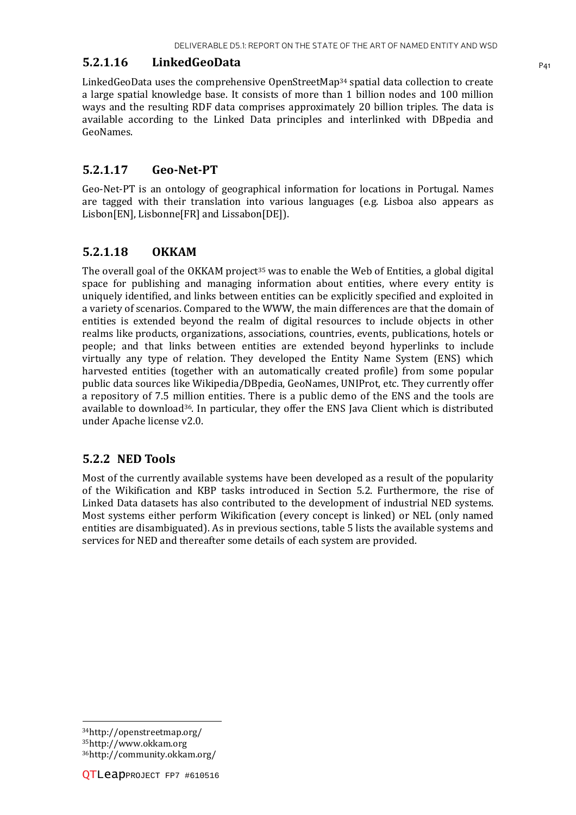#### **5.2.1.16 LinkedGeoData** P41

LinkedGeoData uses the comprehensive OpenStreetMap34 spatial data collection to create a large spatial knowledge base. It consists of more than 1 billion nodes and 100 million ways and the resulting RDF data comprises approximately 20 billion triples. The data is available according to the Linked Data principles and interlinked with DBpedia and GeoNames.

#### **5.2.1.17 Geo-Net-PT**

Geo-Net-PT is an ontology of geographical information for locations in Portugal. Names are tagged with their translation into various languages (e.g. Lisboa also appears as Lisbon[EN], Lisbonne[FR] and Lissabon[DE]).

#### **5.2.1.18 OKKAM**

The overall goal of the OKKAM project<sup>35</sup> was to enable the Web of Entities, a global digital space for publishing and managing information about entities, where every entity is uniquely identified, and links between entities can be explicitly specified and exploited in a variety of scenarios. Compared to the WWW, the main differences are that the domain of entities is extended beyond the realm of digital resources to include objects in other realms like products, organizations, associations, countries, events, publications, hotels or people; and that links between entities are extended beyond hyperlinks to include virtually any type of relation. They developed the Entity Name System (ENS) which harvested entities (together with an automatically created profile) from some popular public data sources like Wikipedia/DBpedia, GeoNames, UNIProt, etc. They currently offer a repository of 7.5 million entities. There is a public demo of the ENS and the tools are available to download $36$ . In particular, they offer the ENS Java Client which is distributed under Apache license v2.0.

#### **5.2.2 NED Tools**

Most of the currently available systems have been developed as a result of the popularity of the Wikification and KBP tasks introduced in Section 5.2. Furthermore, the rise of Linked Data datasets has also contributed to the development of industrial NED systems. Most systems either perform Wikification (every concept is linked) or NEL (only named entities are disambiguated). As in previous sections, table 5 lists the available systems and services for NED and thereafter some details of each system are provided.

36http://community.okkam.org/

 $\overline{\phantom{a}}$ <sup>34</sup>http://openstreetmap.org/ <sup>35</sup>http://www.okkam.org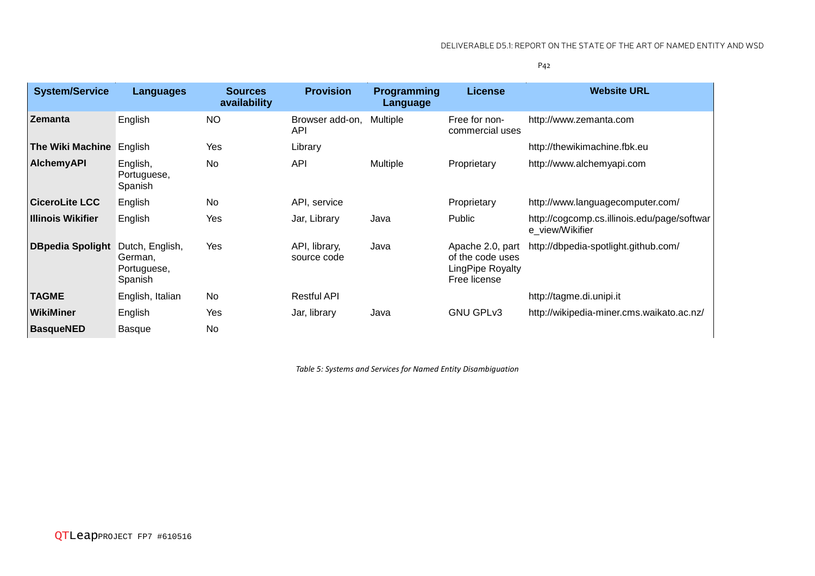| <b>System/Service</b>    | Languages                                            | <b>Sources</b><br>availability | <b>Provision</b>              | <b>Programming</b><br>Language | <b>License</b>                                                           | <b>Website URL</b>                                             |
|--------------------------|------------------------------------------------------|--------------------------------|-------------------------------|--------------------------------|--------------------------------------------------------------------------|----------------------------------------------------------------|
| <b>Zemanta</b>           | English                                              | NO.                            | Browser add-on,<br><b>API</b> | Multiple                       | Free for non-<br>commercial uses                                         | http://www.zemanta.com                                         |
| The Wiki Machine English |                                                      | Yes                            | Library                       |                                |                                                                          | http://thewikimachine.fbk.eu                                   |
| <b>AlchemyAPI</b>        | English,<br>Portuguese,<br>Spanish                   | No                             | <b>API</b>                    | Multiple                       | Proprietary                                                              | http://www.alchemyapi.com                                      |
| <b>CiceroLite LCC</b>    | English                                              | No                             | API, service                  |                                | Proprietary                                                              | http://www.languagecomputer.com/                               |
| <b>Illinois Wikifier</b> | English                                              | Yes                            | Jar, Library                  | Java                           | Public                                                                   | http://cogcomp.cs.illinois.edu/page/softwar<br>e_view/Wikifier |
| <b>DBpedia Spolight</b>  | Dutch, English,<br>German.<br>Portuguese,<br>Spanish | Yes                            | API, library,<br>source code  | Java                           | Apache 2.0, part<br>of the code uses<br>LingPipe Royalty<br>Free license | http://dbpedia-spotlight.github.com/                           |
| <b>TAGME</b>             | English, Italian                                     | No                             | <b>Restful API</b>            |                                |                                                                          | http://tagme.di.unipi.it                                       |
| WikiMiner                | English                                              | Yes                            | Jar, library                  | Java                           | <b>GNU GPLv3</b>                                                         | http://wikipedia-miner.cms.waikato.ac.nz/                      |
| <b>BasqueNED</b>         | <b>Basque</b>                                        | No                             |                               |                                |                                                                          |                                                                |

*Table 5: Systems and Services for Named Entity Disambiguation*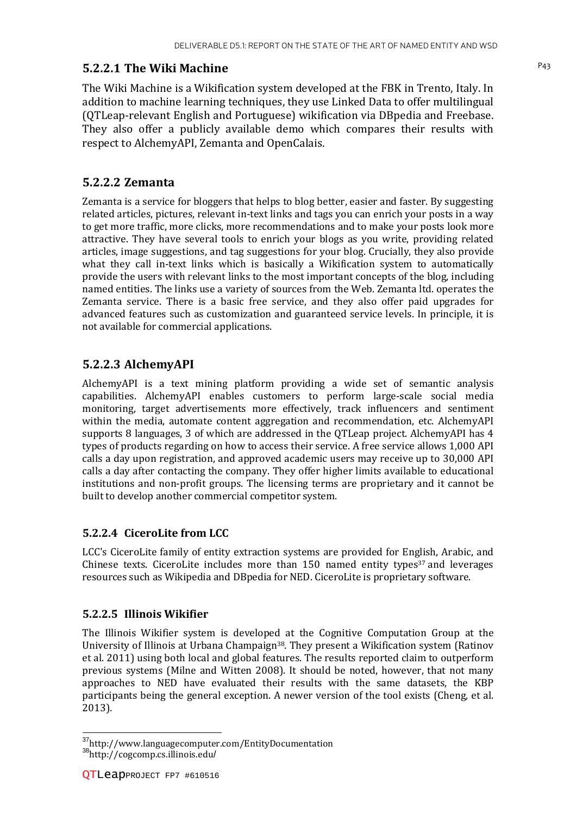#### P43 **5.2.2.1 The Wiki Machine**

The Wiki Machine is a Wikification system developed at the FBK in Trento, Italy. In addition to machine learning techniques, they use Linked Data to offer multilingual (QTLeap-relevant English and Portuguese) wikification via DBpedia and Freebase. They also offer a publicly available demo which compares their results with respect to AlchemyAPI, Zemanta and OpenCalais.

#### **5.2.2.2 Zemanta**

Zemanta is a service for bloggers that helps to blog better, easier and faster. By suggesting related articles, pictures, relevant in-text links and tags you can enrich your posts in a way to get more traffic, more clicks, more recommendations and to make your posts look more attractive. They have several tools to enrich your blogs as you write, providing related articles, image suggestions, and tag suggestions for your blog. Crucially, they also provide what they call in-text links which is basically a Wikification system to automatically provide the users with relevant links to the most important concepts of the blog, including named entities. The links use a variety of sources from the Web. Zemanta ltd. operates the Zemanta service. There is a basic free service, and they also offer paid upgrades for advanced features such as customization and guaranteed service levels. In principle, it is not available for commercial applications.

#### **5.2.2.3 AlchemyAPI**

AlchemyAPI is a text mining platform providing a wide set of semantic analysis capabilities. AlchemyAPI enables customers to perform large-scale social media monitoring, target advertisements more effectively, track influencers and sentiment within the media, automate content aggregation and recommendation, etc. AlchemyAPI supports 8 languages, 3 of which are addressed in the QTLeap project. AlchemyAPI has 4 types of products regarding on how to access their service. A free service allows 1,000 API calls a day upon registration, and approved academic users may receive up to 30,000 API calls a day after contacting the company. They offer higher limits available to educational institutions and non-profit groups. The licensing terms are proprietary and it cannot be built to develop another commercial competitor system.

#### **5.2.2.4 CiceroLite from LCC**

LCC's CiceroLite family of entity extraction systems are provided for English, Arabic, and Chinese texts. CiceroLite includes more than  $150$  named entity types<sup>37</sup> and leverages resources such as Wikipedia and DBpedia for NED. CiceroLite is proprietary software.

#### **5.2.2.5 Illinois Wikifier**

The Illinois Wikifier system is developed at the Cognitive Computation Group at the University of Illinois at Urbana Champaign38. They present a Wikification system (Ratinov et al. 2011) using both local and global features. The results reported claim to outperform previous systems (Milne and Witten 2008). It should be noted, however, that not many approaches to NED have evaluated their results with the same datasets, the KBP participants being the general exception. A newer version of the tool exists (Cheng, et al. 2013).

l

<sup>&</sup>lt;sup>37</sup>http://www.languagecomputer.com/EntityDocumentation <sup>38</sup>http://cogcomp.cs.illinois.edu/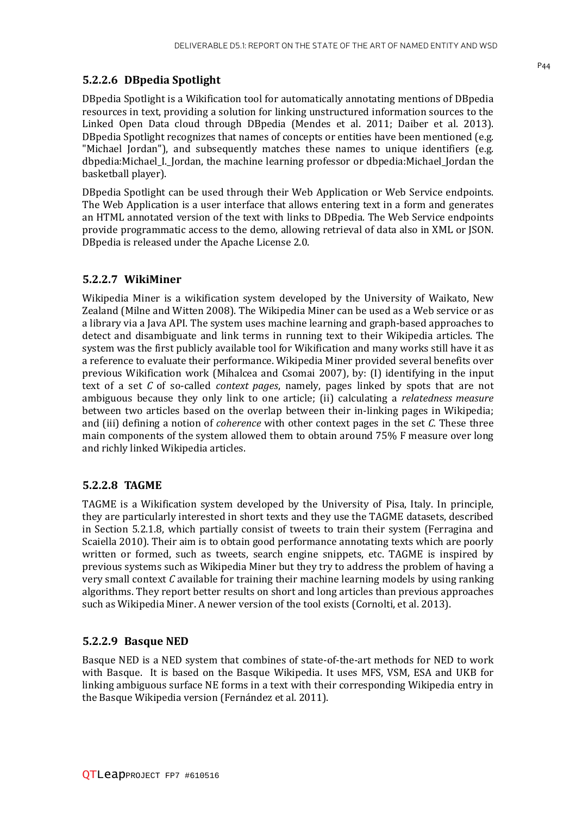#### **5.2.2.6 DBpedia Spotlight**

DBpedia Spotlight is a Wikification tool for automatically annotating mentions of DBpedia resources in text, providing a solution for linking unstructured information sources to the Linked Open Data cloud through DBpedia (Mendes et al. 2011; Daiber et al. 2013). DBpedia Spotlight recognizes that names of concepts or entities have been mentioned (e.g. "Michael Jordan"), and subsequently matches these names to unique identifiers (e.g. dbpedia:Michael\_I.\_Jordan, the machine learning professor or dbpedia:Michael\_Jordan the basketball player).

DBpedia Spotlight can be used through their Web Application or Web Service endpoints. The Web Application is a user interface that allows entering text in a form and generates an HTML annotated version of the text with links to DBpedia. The Web Service endpoints provide programmatic access to the demo, allowing retrieval of data also in XML or JSON. DBpedia is released under the Apache License 2.0.

#### **5.2.2.7 WikiMiner**

Wikipedia Miner is a wikification system developed by the University of Waikato, New Zealand (Milne and Witten 2008). The Wikipedia Miner can be used as a Web service or as a library via a Java API. The system uses machine learning and graph-based approaches to detect and disambiguate and link terms in running text to their Wikipedia articles. The system was the first publicly available tool for Wikification and many works still have it as a reference to evaluate their performance. Wikipedia Miner provided several benefits over previous Wikification work (Mihalcea and Csomai 2007), by: (I) identifying in the input text of a set *C* of so-called *context pages*, namely, pages linked by spots that are not ambiguous because they only link to one article; (ii) calculating a *relatedness measure* between two articles based on the overlap between their in-linking pages in Wikipedia; and (iii) defining a notion of *coherence* with other context pages in the set *C.* These three main components of the system allowed them to obtain around 75% F measure over long and richly linked Wikipedia articles.

#### **5.2.2.8 TAGME**

TAGME is a Wikification system developed by the University of Pisa, Italy. In principle, they are particularly interested in short texts and they use the TAGME datasets, described in Section 5.2.1.8, which partially consist of tweets to train their system (Ferragina and Scaiella 2010). Their aim is to obtain good performance annotating texts which are poorly written or formed, such as tweets, search engine snippets, etc. TAGME is inspired by previous systems such as Wikipedia Miner but they try to address the problem of having a very small context *C* available for training their machine learning models by using ranking algorithms. They report better results on short and long articles than previous approaches such as Wikipedia Miner. A newer version of the tool exists (Cornolti, et al. 2013).

#### **5.2.2.9 Basque NED**

Basque NED is a NED system that combines of state-of-the-art methods for NED to work with Basque. It is based on the Basque Wikipedia. It uses MFS, VSM, ESA and UKB for linking ambiguous surface NE forms in a text with their corresponding Wikipedia entry in the Basque Wikipedia version (Fernández et al. 2011).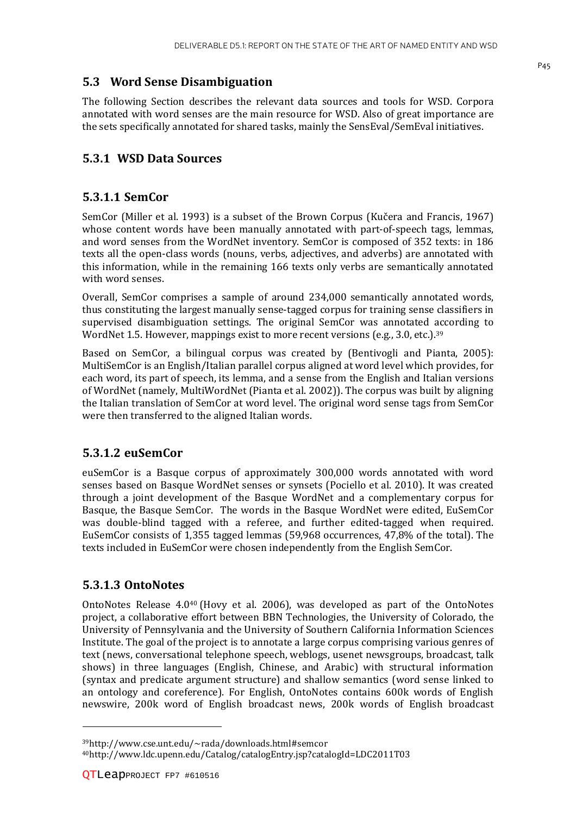#### **5.3 Word Sense Disambiguation**

The following Section describes the relevant data sources and tools for WSD. Corpora annotated with word senses are the main resource for WSD. Also of great importance are the sets specifically annotated for shared tasks, mainly the SensEval/SemEval initiatives.

#### **5.3.1 WSD Data Sources**

#### **5.3.1.1 SemCor**

SemCor (Miller et al. 1993) is a subset of the Brown Corpus (Kučera and Francis, 1967) whose content words have been manually annotated with part-of-speech tags, lemmas, and word senses from the WordNet inventory. SemCor is composed of 352 texts: in 186 texts all the open-class words (nouns, verbs, adjectives, and adverbs) are annotated with this information, while in the remaining 166 texts only verbs are semantically annotated with word senses.

Overall, SemCor comprises a sample of around 234,000 semantically annotated words, thus constituting the largest manually sense-tagged corpus for training sense classifiers in supervised disambiguation settings. The original SemCor was annotated according to WordNet 1.5. However, mappings exist to more recent versions (e.g., 3.0, etc.).<sup>39</sup>

Based on SemCor, a bilingual corpus was created by (Bentivogli and Pianta, 2005): MultiSemCor is an English/Italian parallel corpus aligned at word level which provides, for each word, its part of speech, its lemma, and a sense from the English and Italian versions of WordNet (namely, MultiWordNet (Pianta et al. 2002)). The corpus was built by aligning the Italian translation of SemCor at word level. The original word sense tags from SemCor were then transferred to the aligned Italian words.

#### **5.3.1.2 euSemCor**

euSemCor is a Basque corpus of approximately 300,000 words annotated with word senses based on Basque WordNet senses or synsets (Pociello et al. 2010). It was created through a joint development of the Basque WordNet and a complementary corpus for Basque, the Basque SemCor. The words in the Basque WordNet were edited, EuSemCor was double-blind tagged with a referee, and further edited-tagged when required. EuSemCor consists of 1,355 tagged lemmas (59,968 occurrences, 47,8% of the total). The texts included in EuSemCor were chosen independently from the English SemCor.

#### **5.3.1.3 OntoNotes**

OntoNotes Release 4.040 (Hovy et al. 2006), was developed as part of the OntoNotes project, a collaborative effort between BBN Technologies, the University of Colorado, the University of Pennsylvania and the University of Southern California Information Sciences Institute. The goal of the project is to annotate a large corpus comprising various genres of text (news, conversational telephone speech, weblogs, usenet newsgroups, broadcast, talk shows) in three languages (English, Chinese, and Arabic) with structural information (syntax and predicate argument structure) and shallow semantics (word sense linked to an ontology and coreference). For English, OntoNotes contains 600k words of English newswire, 200k word of English broadcast news, 200k words of English broadcast

l

<sup>39</sup>http://www.cse.unt.edu/~rada/downloads.html#semcor 40http://www.ldc.upenn.edu/Catalog/catalogEntry.jsp?catalogId=LDC2011T03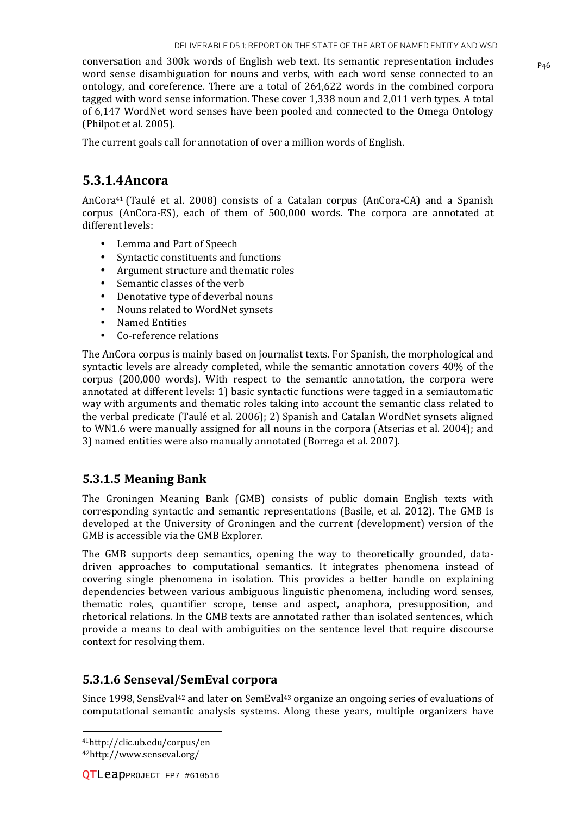conversation and 300k words of English web text. Its semantic representation includes  $P_{46}$ word sense disambiguation for nouns and verbs, with each word sense connected to an ontology, and coreference. There are a total of 264,622 words in the combined corpora tagged with word sense information. These cover 1,338 noun and 2,011 verb types. A total of 6,147 WordNet word senses have been pooled and connected to the Omega Ontology (Philpot et al. 2005).

The current goals call for annotation of over a million words of English.

#### **5.3.1.4Ancora**

AnCora41 (Taulé et al. 2008) consists of a Catalan corpus (AnCora-CA) and a Spanish corpus (AnCora-ES), each of them of 500,000 words. The corpora are annotated at different levels:

- Lemma and Part of Speech
- Syntactic constituents and functions
- Argument structure and thematic roles
- Semantic classes of the verb
- Denotative type of deverbal nouns
- Nouns related to WordNet synsets
- Named Entities
- Co-reference relations

The AnCora corpus is mainly based on journalist texts. For Spanish, the morphological and syntactic levels are already completed, while the semantic annotation covers 40% of the corpus (200,000 words). With respect to the semantic annotation, the corpora were annotated at different levels: 1) basic syntactic functions were tagged in a semiautomatic way with arguments and thematic roles taking into account the semantic class related to the verbal predicate (Taulé et al. 2006); 2) Spanish and Catalan WordNet synsets aligned to WN1.6 were manually assigned for all nouns in the corpora (Atserias et al. 2004); and 3) named entities were also manually annotated (Borrega et al. 2007).

#### **5.3.1.5 Meaning Bank**

The Groningen Meaning Bank (GMB) consists of public domain English texts with corresponding syntactic and semantic representations (Basile, et al. 2012). The GMB is developed at the University of Groningen and the current (development) version of the GMB is accessible via the GMB Explorer.

The GMB supports deep semantics, opening the way to theoretically grounded, datadriven approaches to computational semantics. It integrates phenomena instead of covering single phenomena in isolation. This provides a better handle on explaining dependencies between various ambiguous linguistic phenomena, including word senses, thematic roles, quantifier scrope, tense and aspect, anaphora, presupposition, and rhetorical relations. In the GMB texts are annotated rather than isolated sentences, which provide a means to deal with ambiguities on the sentence level that require discourse context for resolving them.

#### **5.3.1.6 Senseval/SemEval corpora**

Since 1998, SensEval<sup>42</sup> and later on SemEval<sup>43</sup> organize an ongoing series of evaluations of computational semantic analysis systems. Along these years, multiple organizers have

<sup>41</sup>http://clic.ub.edu/corpus/en 42http://www.senseval.org/

l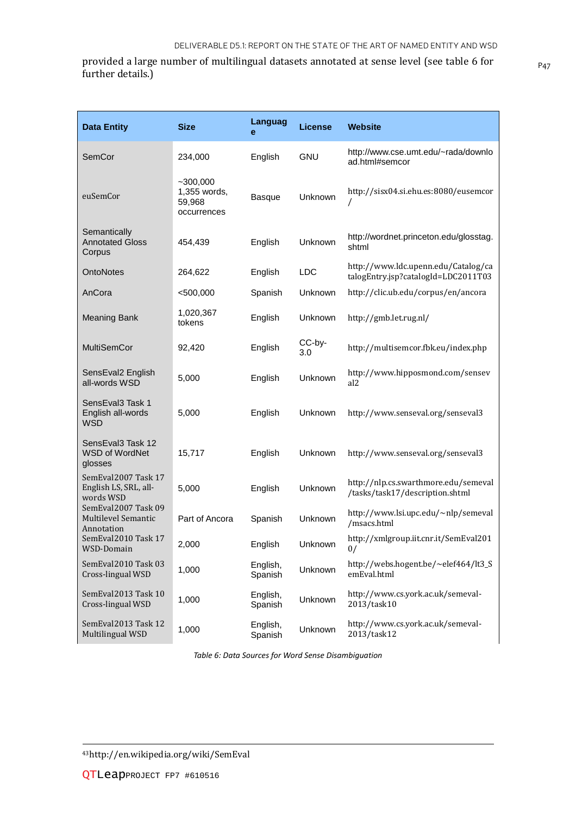provided a large number of multilingual datasets annotated at sense level (see table 6 for  $_{P47}$ further details.)

| <b>Data Entity</b>                                              | <b>Size</b>                                         | <b>Languag</b><br>е | License       | <b>Website</b>                                                             |
|-----------------------------------------------------------------|-----------------------------------------------------|---------------------|---------------|----------------------------------------------------------------------------|
| SemCor                                                          | 234,000                                             | English             | <b>GNU</b>    | http://www.cse.umt.edu/~rada/downlo<br>ad.html#semcor                      |
| euSemCor                                                        | $-300,000$<br>1,355 words,<br>59,968<br>occurrences | <b>Basque</b>       | Unknown       | http://sisx04.si.ehu.es:8080/eusemcor<br>7                                 |
| Semantically<br><b>Annotated Gloss</b><br>Corpus                | 454,439                                             | English             | Unknown       | http://wordnet.princeton.edu/glosstag.<br>shtml                            |
| <b>OntoNotes</b>                                                | 264,622                                             | English             | <b>LDC</b>    | http://www.ldc.upenn.edu/Catalog/ca<br>talogEntry.jsp?catalogId=LDC2011T03 |
| AnCora                                                          | $<$ 500,000                                         | Spanish             | Unknown       | http://clic.ub.edu/corpus/en/ancora                                        |
| <b>Meaning Bank</b>                                             | 1,020,367<br>tokens                                 | English             | Unknown       | http://gmb.let.rug.nl/                                                     |
| <b>MultiSemCor</b>                                              | 92,420                                              | English             | CC-by-<br>3.0 | http://multisemcor.fbk.eu/index.php                                        |
| SensEval2 English<br>all-words WSD                              | 5,000                                               | English             | Unknown       | http://www.hipposmond.com/sensev<br>al <sub>2</sub>                        |
| SensEval3 Task 1<br>English all-words<br>WSD                    | 5,000                                               | English             | Unknown       | http://www.senseval.org/senseval3                                          |
| SensEval3 Task 12<br><b>WSD of WordNet</b><br>glosses           | 15,717                                              | English             | Unknown       | http://www.senseval.org/senseval3                                          |
| SemEval2007 Task 17<br>English LS, SRL, all-<br>words WSD       | 5,000                                               | English             | Unknown       | http://nlp.cs.swarthmore.edu/semeval<br>/tasks/task17/description.shtml    |
| SemEval2007 Task 09<br><b>Multilevel Semantic</b><br>Annotation | Part of Ancora                                      | Spanish             | Unknown       | http://www.lsi.upc.edu/~nlp/semeval<br>/msacs.html                         |
| SemEval2010 Task 17<br>WSD-Domain                               | 2,000                                               | English             | Unknown       | http://xmlgroup.iit.cnr.it/SemEval201<br>0/                                |
| SemEval2010 Task 03<br>Cross-lingual WSD                        | 1,000                                               | English,<br>Spanish | Unknown       | http://webs.hogent.be/~elef464/lt3_S<br>emEval.html                        |
| SemEval2013 Task 10<br>Cross-lingual WSD                        | 1,000                                               | English,<br>Spanish | Unknown       | http://www.cs.york.ac.uk/semeval-<br>2013/task10                           |
| SemEval2013 Task 12<br>Multilingual WSD                         | 1,000                                               | English,<br>Spanish | Unknown       | http://www.cs.york.ac.uk/semeval-<br>2013/task12                           |

*Table 6: Data Sources for Word Sense Disambiguation*

43http://en.wikipedia.org/wiki/SemEval

<u>.</u>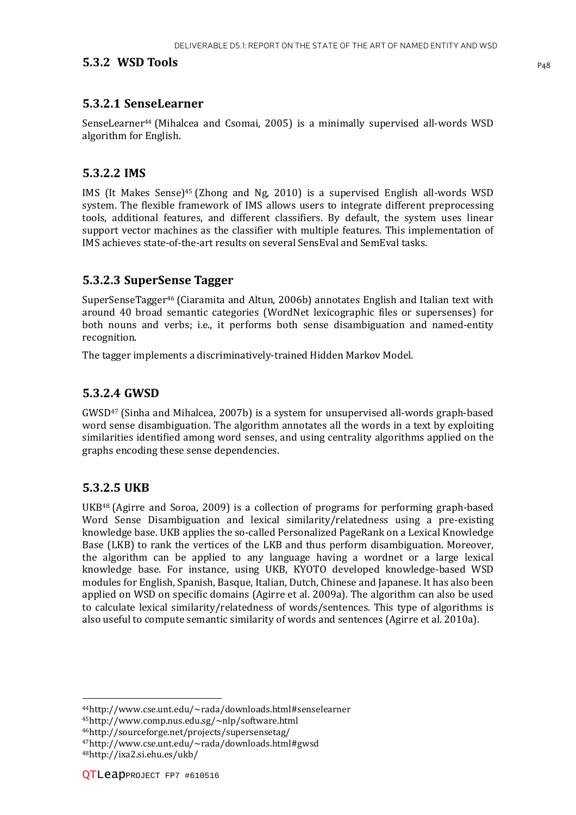#### **5.3.2 WSD Tools** P48

#### **5.3.2.1 SenseLearner**

SenseLearner<sup>44</sup> (Mihalcea and Csomai, 2005) is a minimally supervised all-words WSD algorithm for English.

#### **5.3.2.2 IMS**

IMS (It Makes Sense)45 (Zhong and Ng, 2010) is a supervised English all-words WSD system. The flexible framework of IMS allows users to integrate different preprocessing tools, additional features, and different classifiers. By default, the system uses linear support vector machines as the classifier with multiple features. This implementation of IMS achieves state-of-the-art results on several SensEval and SemEval tasks.

#### **5.3.2.3 SuperSense Tagger**

SuperSenseTagger46 (Ciaramita and Altun, 2006b) annotates English and Italian text with around 40 broad semantic categories (WordNet lexicographic files or supersenses) for both nouns and verbs; i.e., it performs both sense disambiguation and named-entity recognition.

The tagger implements a discriminatively-trained Hidden Markov Model.

#### **5.3.2.4 GWSD**

GWSD47 (Sinha and Mihalcea, 2007b) is a system for unsupervised all-words graph-based word sense disambiguation. The algorithm annotates all the words in a text by exploiting similarities identified among word senses, and using centrality algorithms applied on the graphs encoding these sense dependencies.

#### **5.3.2.5 UKB**

UKB48 (Agirre and Soroa, 2009) is a collection of programs for performing graph-based Word Sense Disambiguation and lexical similarity/relatedness using a pre-existing knowledge base. UKB applies the so-called Personalized PageRank on a Lexical Knowledge Base (LKB) to rank the vertices of the LKB and thus perform disambiguation. Moreover, the algorithm can be applied to any language having a wordnet or a large lexical knowledge base. For instance, using UKB, KYOTO developed knowledge-based WSD modules for English, Spanish, Basque, Italian, Dutch, Chinese and Japanese. It has also been applied on WSD on specific domains (Agirre et al. 2009a). The algorithm can also be used to calculate lexical similarity/relatedness of words/sentences. This type of algorithms is also useful to compute semantic similarity of words and sentences (Agirre et al. 2010a).

<sup>45</sup>http://www.comp.nus.edu.sg/~nlp/software.html

<sup>46</sup>http://sourceforge.net/projects/supersensetag/

l

<sup>44</sup>http://www.cse.unt.edu/~rada/downloads.html#senselearner

<sup>47</sup>http://www.cse.unt.edu/~rada/downloads.html#gwsd

<sup>48</sup>http://ixa2.si.ehu.es/ukb/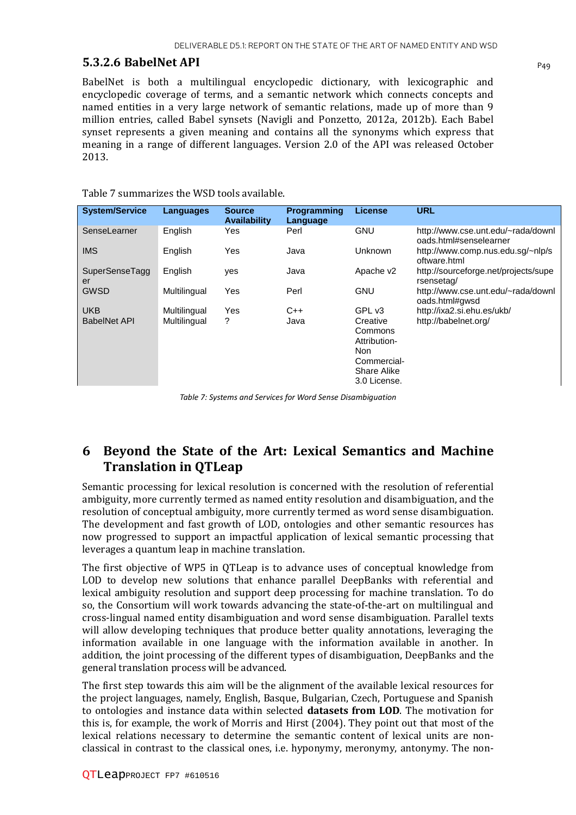#### **5.3.2.6 BabelNet API**  $_{P_{49}}$

BabelNet is both a multilingual encyclopedic dictionary, with lexicographic and encyclopedic coverage of terms, and a semantic network which connects concepts and named entities in a very large network of semantic relations, made up of more than 9 million entries, called Babel synsets (Navigli and Ponzetto, 2012a, 2012b). Each Babel synset represents a given meaning and contains all the synonyms which express that meaning in a range of different languages. Version 2.0 of the API was released October 2013.

| <b>System/Service</b> | Languages    | <b>Source</b><br><b>Availability</b> | <b>Programming</b><br>Language | <b>License</b>                                                                                  | <b>URL</b>                                                   |
|-----------------------|--------------|--------------------------------------|--------------------------------|-------------------------------------------------------------------------------------------------|--------------------------------------------------------------|
| SenseLearner          | English      | Yes.                                 | Perl                           | <b>GNU</b>                                                                                      | http://www.cse.unt.edu/~rada/downl<br>oads.html#senselearner |
| <b>IMS</b>            | English      | Yes                                  | Java                           | <b>Unknown</b>                                                                                  | http://www.comp.nus.edu.sg/~nlp/s<br>oftware.html            |
| SuperSenseTagg<br>er  | English      | <b>ves</b>                           | Java                           | Apache v2                                                                                       | http://sourceforge.net/projects/supe<br>rsensetag/           |
| <b>GWSD</b>           | Multilingual | Yes                                  | Perl                           | <b>GNU</b>                                                                                      | http://www.cse.unt.edu/~rada/downl<br>oads.html#gwsd         |
| <b>UKB</b>            | Multilingual | Yes                                  | $C++$                          | GPL v3                                                                                          | http://ixa2.si.ehu.es/ukb/                                   |
| <b>BabelNet API</b>   | Multilingual | ?                                    | Java                           | Creative<br>Commons<br>Attribution-<br>Non<br>Commercial-<br><b>Share Alike</b><br>3.0 License. | http://babelnet.org/                                         |

Table 7 summarizes the WSD tools available.

*Table 7: Systems and Services for Word Sense Disambiguation* 

### **6 Beyond the State of the Art: Lexical Semantics and Machine Translation in QTLeap**

Semantic processing for lexical resolution is concerned with the resolution of referential ambiguity, more currently termed as named entity resolution and disambiguation, and the resolution of conceptual ambiguity, more currently termed as word sense disambiguation. The development and fast growth of LOD, ontologies and other semantic resources has now progressed to support an impactful application of lexical semantic processing that leverages a quantum leap in machine translation.

The first objective of WP5 in QTLeap is to advance uses of conceptual knowledge from LOD to develop new solutions that enhance parallel DeepBanks with referential and lexical ambiguity resolution and support deep processing for machine translation. To do so, the Consortium will work towards advancing the state-of-the-art on multilingual and cross-lingual named entity disambiguation and word sense disambiguation. Parallel texts will allow developing techniques that produce better quality annotations, leveraging the information available in one language with the information available in another. In addition, the joint processing of the different types of disambiguation, DeepBanks and the general translation process will be advanced.

The first step towards this aim will be the alignment of the available lexical resources for the project languages, namely, English, Basque, Bulgarian, Czech, Portuguese and Spanish to ontologies and instance data within selected **datasets from LOD**. The motivation for this is, for example, the work of Morris and Hirst (2004). They point out that most of the lexical relations necessary to determine the semantic content of lexical units are nonclassical in contrast to the classical ones, i.e. hyponymy, meronymy, antonymy. The non-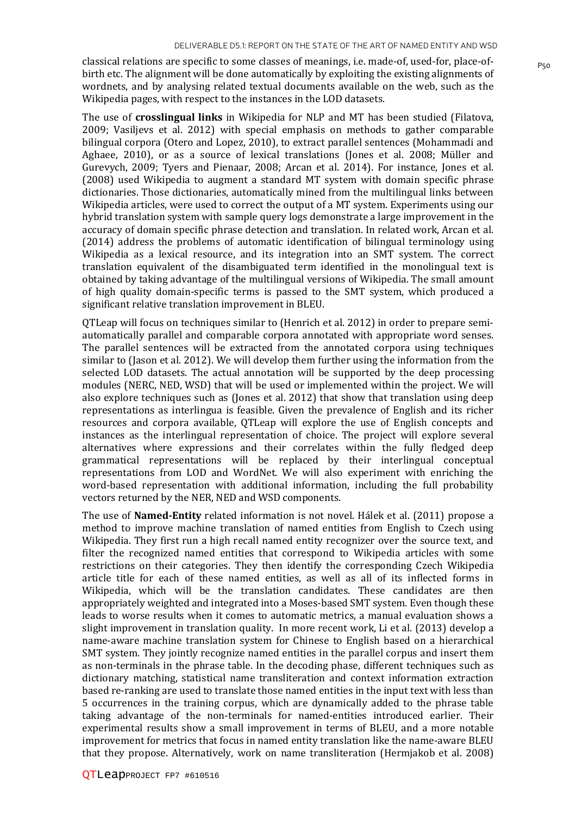classical relations are specific to some classes of meanings, i.e. made-of, used-for, place-of- $P_{50}$ birth etc. The alignment will be done automatically by exploiting the existing alignments of wordnets, and by analysing related textual documents available on the web, such as the Wikipedia pages, with respect to the instances in the LOD datasets.

The use of **crosslingual links** in Wikipedia for NLP and MT has been studied (Filatova, 2009; Vasiljevs et al. 2012) with special emphasis on methods to gather comparable bilingual corpora (Otero and Lopez, 2010), to extract parallel sentences (Mohammadi and Aghaee, 2010), or as a source of lexical translations (Jones et al. 2008; Müller and Gurevych, 2009; Tyers and Pienaar, 2008; Arcan et al. 2014). For instance, Jones et al. (2008) used Wikipedia to augment a standard MT system with domain specific phrase dictionaries. Those dictionaries, automatically mined from the multilingual links between Wikipedia articles, were used to correct the output of a MT system. Experiments using our hybrid translation system with sample query logs demonstrate a large improvement in the accuracy of domain specific phrase detection and translation. In related work, Arcan et al. (2014) address the problems of automatic identification of bilingual terminology using Wikipedia as a lexical resource, and its integration into an SMT system. The correct translation equivalent of the disambiguated term identified in the monolingual text is obtained by taking advantage of the multilingual versions of Wikipedia. The small amount of high quality domain-specific terms is passed to the SMT system, which produced a significant relative translation improvement in BLEU.

QTLeap will focus on techniques similar to (Henrich et al. 2012) in order to prepare semiautomatically parallel and comparable corpora annotated with appropriate word senses. The parallel sentences will be extracted from the annotated corpora using techniques similar to (Jason et al. 2012). We will develop them further using the information from the selected LOD datasets. The actual annotation will be supported by the deep processing modules (NERC, NED, WSD) that will be used or implemented within the project. We will also explore techniques such as (Jones et al. 2012) that show that translation using deep representations as interlingua is feasible. Given the prevalence of English and its richer resources and corpora available, QTLeap will explore the use of English concepts and instances as the interlingual representation of choice. The project will explore several alternatives where expressions and their correlates within the fully fledged deep grammatical representations will be replaced by their interlingual conceptual representations from LOD and WordNet. We will also experiment with enriching the word-based representation with additional information, including the full probability vectors returned by the NER, NED and WSD components.

The use of **Named-Entity** related information is not novel. Hálek et al. (2011) propose a method to improve machine translation of named entities from English to Czech using Wikipedia. They first run a high recall named entity recognizer over the source text, and filter the recognized named entities that correspond to Wikipedia articles with some restrictions on their categories. They then identify the corresponding Czech Wikipedia article title for each of these named entities, as well as all of its inflected forms in Wikipedia, which will be the translation candidates. These candidates are then appropriately weighted and integrated into a Moses-based SMT system. Even though these leads to worse results when it comes to automatic metrics, a manual evaluation shows a slight improvement in translation quality. In more recent work, Li et al. (2013) develop a name-aware machine translation system for Chinese to English based on a hierarchical SMT system. They jointly recognize named entities in the parallel corpus and insert them as non-terminals in the phrase table. In the decoding phase, different techniques such as dictionary matching, statistical name transliteration and context information extraction based re-ranking are used to translate those named entities in the input text with less than 5 occurrences in the training corpus, which are dynamically added to the phrase table taking advantage of the non-terminals for named-entities introduced earlier. Their experimental results show a small improvement in terms of BLEU, and a more notable improvement for metrics that focus in named entity translation like the name-aware BLEU that they propose. Alternatively, work on name transliteration (Hermjakob et al. 2008)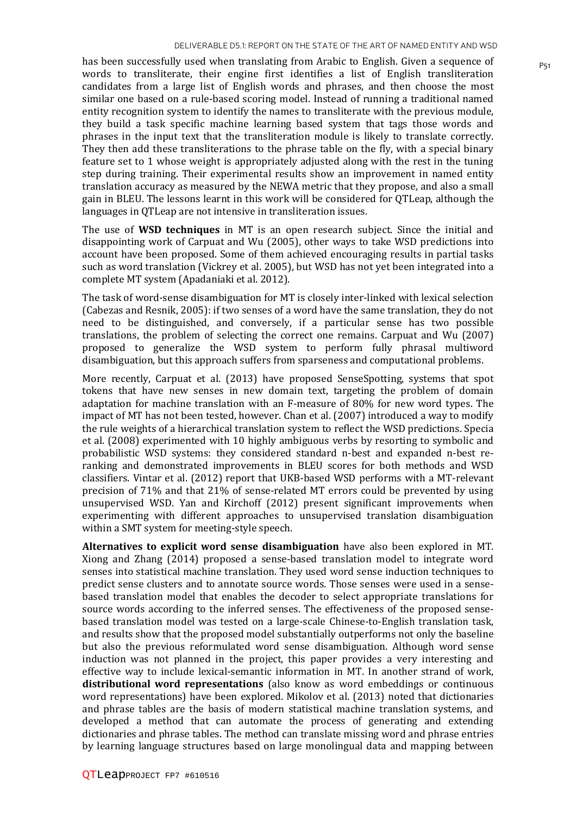has been successfully used when translating from Arabic to English. Given a sequence of  $P_{51}$ words to transliterate, their engine first identifies a list of English transliteration candidates from a large list of English words and phrases, and then choose the most similar one based on a rule-based scoring model. Instead of running a traditional named entity recognition system to identify the names to transliterate with the previous module, they build a task specific machine learning based system that tags those words and phrases in the input text that the transliteration module is likely to translate correctly. They then add these transliterations to the phrase table on the fly, with a special binary feature set to 1 whose weight is appropriately adjusted along with the rest in the tuning step during training. Their experimental results show an improvement in named entity translation accuracy as measured by the NEWA metric that they propose, and also a small gain in BLEU. The lessons learnt in this work will be considered for QTLeap, although the languages in QTLeap are not intensive in transliteration issues.

The use of **WSD techniques** in MT is an open research subject. Since the initial and disappointing work of Carpuat and Wu (2005), other ways to take WSD predictions into account have been proposed. Some of them achieved encouraging results in partial tasks such as word translation (Vickrey et al. 2005), but WSD has not yet been integrated into a complete MT system (Apadaniaki et al. 2012).

The task of word-sense disambiguation for MT is closely inter-linked with lexical selection (Cabezas and Resnik, 2005): if two senses of a word have the same translation, they do not need to be distinguished, and conversely, if a particular sense has two possible translations, the problem of selecting the correct one remains. Carpuat and Wu (2007) proposed to generalize the WSD system to perform fully phrasal multiword disambiguation, but this approach suffers from sparseness and computational problems.

More recently, Carpuat et al. (2013) have proposed SenseSpotting, systems that spot tokens that have new senses in new domain text, targeting the problem of domain adaptation for machine translation with an F-measure of 80% for new word types. The impact of MT has not been tested, however. Chan et al. (2007) introduced a way to modify the rule weights of a hierarchical translation system to reflect the WSD predictions. Specia et al. (2008) experimented with 10 highly ambiguous verbs by resorting to symbolic and probabilistic WSD systems: they considered standard n-best and expanded n-best reranking and demonstrated improvements in BLEU scores for both methods and WSD classifiers. Vintar et al. (2012) report that UKB-based WSD performs with a MT-relevant precision of 71% and that 21% of sense-related MT errors could be prevented by using unsupervised WSD. Yan and Kirchoff (2012) present significant improvements when experimenting with different approaches to unsupervised translation disambiguation within a SMT system for meeting-style speech.

**Alternatives to explicit word sense disambiguation** have also been explored in MT. Xiong and Zhang (2014) proposed a sense-based translation model to integrate word senses into statistical machine translation. They used word sense induction techniques to predict sense clusters and to annotate source words. Those senses were used in a sensebased translation model that enables the decoder to select appropriate translations for source words according to the inferred senses. The effectiveness of the proposed sensebased translation model was tested on a large-scale Chinese-to-English translation task, and results show that the proposed model substantially outperforms not only the baseline but also the previous reformulated word sense disambiguation. Although word sense induction was not planned in the project, this paper provides a very interesting and effective way to include lexical-semantic information in MT. In another strand of work, **distributional word representations** (also know as word embeddings or continuous word representations) have been explored. Mikolov et al. (2013) noted that dictionaries and phrase tables are the basis of modern statistical machine translation systems, and developed a method that can automate the process of generating and extending dictionaries and phrase tables. The method can translate missing word and phrase entries by learning language structures based on large monolingual data and mapping between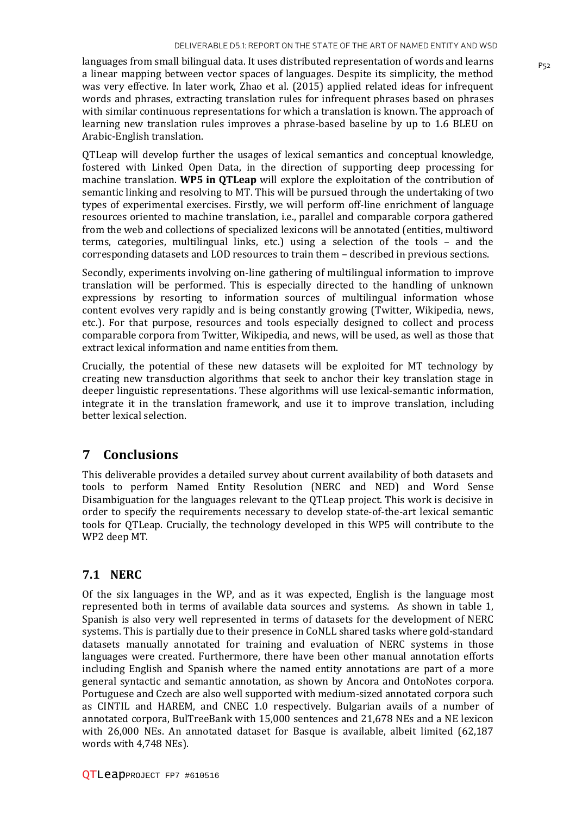languages from small bilingual data. It uses distributed representation of words and learns  $P_{52}$ a linear mapping between vector spaces of languages. Despite its simplicity, the method was very effective. In later work, Zhao et al. (2015) applied related ideas for infrequent words and phrases, extracting translation rules for infrequent phrases based on phrases with similar continuous representations for which a translation is known. The approach of learning new translation rules improves a phrase-based baseline by up to 1.6 BLEU on Arabic-English translation.

QTLeap will develop further the usages of lexical semantics and conceptual knowledge, fostered with Linked Open Data, in the direction of supporting deep processing for machine translation. **WP5 in QTLeap** will explore the exploitation of the contribution of semantic linking and resolving to MT. This will be pursued through the undertaking of two types of experimental exercises. Firstly, we will perform off-line enrichment of language resources oriented to machine translation, i.e., parallel and comparable corpora gathered from the web and collections of specialized lexicons will be annotated (entities, multiword terms, categories, multilingual links, etc.) using a selection of the tools – and the corresponding datasets and LOD resources to train them – described in previous sections.

Secondly, experiments involving on-line gathering of multilingual information to improve translation will be performed. This is especially directed to the handling of unknown expressions by resorting to information sources of multilingual information whose content evolves very rapidly and is being constantly growing (Twitter, Wikipedia, news, etc.). For that purpose, resources and tools especially designed to collect and process comparable corpora from Twitter, Wikipedia, and news, will be used, as well as those that extract lexical information and name entities from them.

Crucially, the potential of these new datasets will be exploited for MT technology by creating new transduction algorithms that seek to anchor their key translation stage in deeper linguistic representations. These algorithms will use lexical-semantic information, integrate it in the translation framework, and use it to improve translation, including better lexical selection.

### **7 Conclusions**

This deliverable provides a detailed survey about current availability of both datasets and tools to perform Named Entity Resolution (NERC and NED) and Word Sense Disambiguation for the languages relevant to the QTLeap project. This work is decisive in order to specify the requirements necessary to develop state-of-the-art lexical semantic tools for QTLeap. Crucially, the technology developed in this WP5 will contribute to the WP2 deep MT.

#### **7.1 NERC**

Of the six languages in the WP, and as it was expected, English is the language most represented both in terms of available data sources and systems. As shown in table 1, Spanish is also very well represented in terms of datasets for the development of NERC systems. This is partially due to their presence in CoNLL shared tasks where gold-standard datasets manually annotated for training and evaluation of NERC systems in those languages were created. Furthermore, there have been other manual annotation efforts including English and Spanish where the named entity annotations are part of a more general syntactic and semantic annotation, as shown by Ancora and OntoNotes corpora. Portuguese and Czech are also well supported with medium-sized annotated corpora such as CINTIL and HAREM, and CNEC 1.0 respectively. Bulgarian avails of a number of annotated corpora, BulTreeBank with 15,000 sentences and 21,678 NEs and a NE lexicon with 26,000 NEs. An annotated dataset for Basque is available, albeit limited (62,187 words with 4,748 NEs).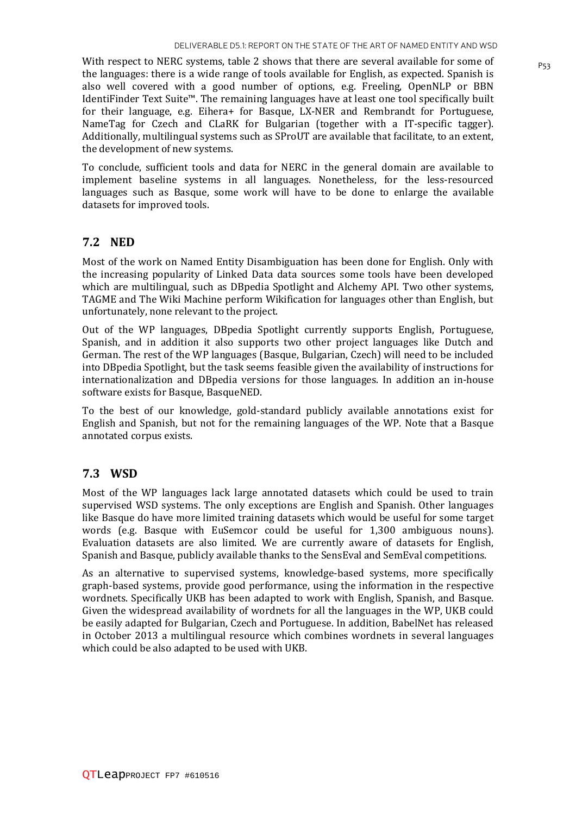With respect to NERC systems, table 2 shows that there are several available for some of  $P_{53}$ the languages: there is a wide range of tools available for English, as expected. Spanish is also well covered with a good number of options, e.g. Freeling, OpenNLP or BBN IdentiFinder Text Suite™. The remaining languages have at least one tool specifically built for their language, e.g. Eihera+ for Basque, LX-NER and Rembrandt for Portuguese, NameTag for Czech and CLaRK for Bulgarian (together with a IT-specific tagger). Additionally, multilingual systems such as SProUT are available that facilitate, to an extent, the development of new systems.

To conclude, sufficient tools and data for NERC in the general domain are available to implement baseline systems in all languages. Nonetheless, for the less-resourced languages such as Basque, some work will have to be done to enlarge the available datasets for improved tools.

#### **7.2 NED**

Most of the work on Named Entity Disambiguation has been done for English. Only with the increasing popularity of Linked Data data sources some tools have been developed which are multilingual, such as DBpedia Spotlight and Alchemy API. Two other systems, TAGME and The Wiki Machine perform Wikification for languages other than English, but unfortunately, none relevant to the project.

Out of the WP languages, DBpedia Spotlight currently supports English, Portuguese, Spanish, and in addition it also supports two other project languages like Dutch and German. The rest of the WP languages (Basque, Bulgarian, Czech) will need to be included into DBpedia Spotlight, but the task seems feasible given the availability of instructions for internationalization and DBpedia versions for those languages. In addition an in-house software exists for Basque, BasqueNED.

To the best of our knowledge, gold-standard publicly available annotations exist for English and Spanish, but not for the remaining languages of the WP. Note that a Basque annotated corpus exists.

#### **7.3 WSD**

Most of the WP languages lack large annotated datasets which could be used to train supervised WSD systems. The only exceptions are English and Spanish. Other languages like Basque do have more limited training datasets which would be useful for some target words (e.g. Basque with EuSemcor could be useful for 1,300 ambiguous nouns). Evaluation datasets are also limited. We are currently aware of datasets for English, Spanish and Basque, publicly available thanks to the SensEval and SemEval competitions.

As an alternative to supervised systems, knowledge-based systems, more specifically graph-based systems, provide good performance, using the information in the respective wordnets. Specifically UKB has been adapted to work with English, Spanish, and Basque. Given the widespread availability of wordnets for all the languages in the WP, UKB could be easily adapted for Bulgarian, Czech and Portuguese. In addition, BabelNet has released in October 2013 a multilingual resource which combines wordnets in several languages which could be also adapted to be used with UKB.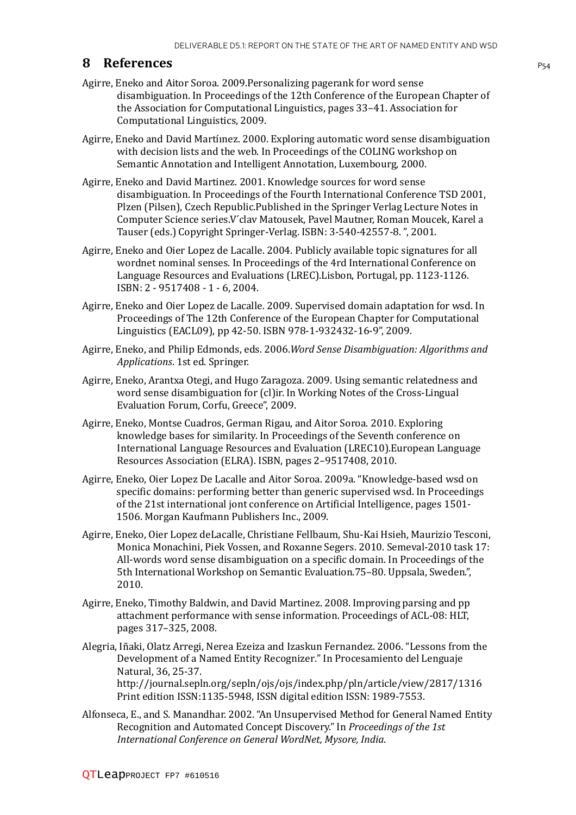#### **8 References** P54

- Agirre, Eneko and Aitor Soroa. 2009.Personalizing pagerank for word sense disambiguation. In Proceedings of the 12th Conference of the European Chapter of the Association for Computational Linguistics, pages 33–41. Association for Computational Linguistics, 2009.
- Agirre, Eneko and David Martíınez. 2000. Exploring automatic word sense disambiguation with decision lists and the web. In Proceedings of the COLING workshop on Semantic Annotation and Intelligent Annotation, Luxembourg, 2000.
- Agirre, Eneko and David Martinez. 2001. Knowledge sources for word sense disambiguation. In Proceedings of the Fourth International Conference TSD 2001, Plzen (Pilsen), Czech Republic.Published in the Springer Verlag Lecture Notes in Computer Science series.V ́clav Matousek, Pavel Mautner, Roman Moucek, Karel a Tauser (eds.) Copyright Springer-Verlag. ISBN: 3-540-42557-8. ", 2001.
- Agirre, Eneko and Oier Lopez de Lacalle. 2004. Publicly available topic signatures for all wordnet nominal senses. In Proceedings of the 4rd International Conference on Language Resources and Evaluations (LREC).Lisbon, Portugal, pp. 1123-1126. ISBN: 2 - 9517408 - 1 - 6, 2004.
- Agirre, Eneko and Oier Lopez de Lacalle. 2009. Supervised domain adaptation for wsd. In Proceedings of The 12th Conference of the European Chapter for Computational Linguistics (EACL09), pp 42-50. ISBN 978-1-932432-16-9", 2009.
- Agirre, Eneko, and Philip Edmonds, eds. 2006.*Word Sense Disambiguation: Algorithms and Applications*. 1st ed. Springer.
- Agirre, Eneko, Arantxa Otegi, and Hugo Zaragoza. 2009. Using semantic relatedness and word sense disambiguation for (cl)ir. In Working Notes of the Cross-Lingual Evaluation Forum, Corfu, Greece", 2009.
- Agirre, Eneko, Montse Cuadros, German Rigau, and Aitor Soroa. 2010. Exploring knowledge bases for similarity. In Proceedings of the Seventh conference on International Language Resources and Evaluation (LREC10).European Language Resources Association (ELRA). ISBN, pages 2–9517408, 2010.
- Agirre, Eneko, Oier Lopez De Lacalle and Aitor Soroa. 2009a. "Knowledge-based wsd on specific domains: performing better than generic supervised wsd. In Proceedings of the 21st international jont conference on Artificial Intelligence, pages 1501- 1506. Morgan Kaufmann Publishers Inc., 2009.
- Agirre, Eneko, Oier Lopez deLacalle, Christiane Fellbaum, Shu-Kai Hsieh, Maurizio Tesconi, Monica Monachini, Piek Vossen, and Roxanne Segers. 2010. Semeval-2010 task 17: All-words word sense disambiguation on a specific domain. In Proceedings of the 5th International Workshop on Semantic Evaluation.75–80. Uppsala, Sweden.", 2010.
- Agirre, Eneko, Timothy Baldwin, and David Martinez. 2008. Improving parsing and pp attachment performance with sense information. Proceedings of ACL-08: HLT, pages 317–325, 2008.
- Alegria, Iñaki, Olatz Arregi, Nerea Ezeiza and Izaskun Fernandez. 2006. "Lessons from the Development of a Named Entity Recognizer." In Procesamiento del Lenguaje Natural, 36, 25-37. http://journal.sepln.org/sepln/ojs/ojs/index.php/pln/article/view/2817/1316 Print edition ISSN:1135-5948, ISSN digital edition ISSN: 1989-7553.
- Alfonseca, E., and S. Manandhar. 2002. "An Unsupervised Method for General Named Entity Recognition and Automated Concept Discovery." In *Proceedings of the 1st International Conference on General WordNet, Mysore, India*.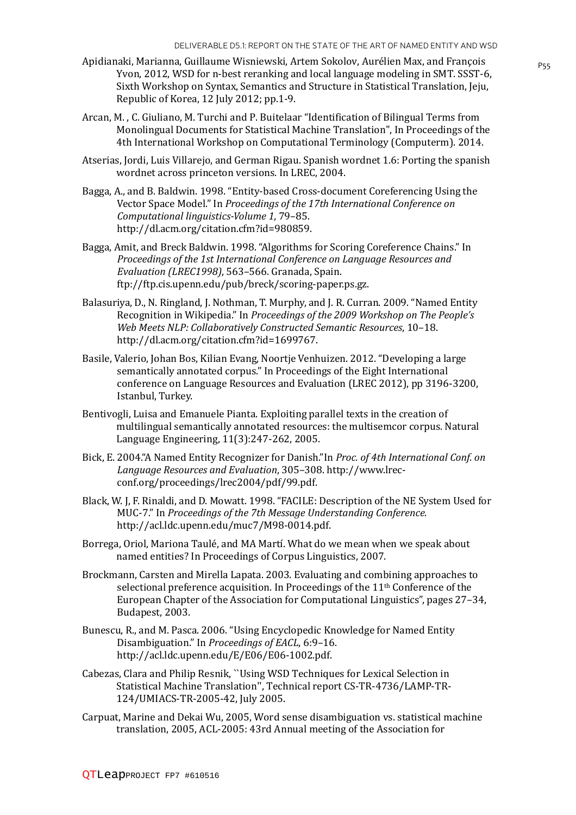- Apidianaki, Marianna, Guillaume Wisniewski, Artem Sokolov, Aurélien Max, and François Yvon, 2012, WSD for n-best reranking and local language modeling in SMT. SSST-6, Sixth Workshop on Syntax, Semantics and Structure in Statistical Translation, Jeju, Republic of Korea, 12 July 2012; pp.1-9.
- Arcan, M. , C. Giuliano, M. Turchi and P. Buitelaar "Identification of Bilingual Terms from Monolingual Documents for Statistical Machine Translation", In Proceedings of the 4th International Workshop on Computational Terminology (Computerm). 2014.
- Atserias, Jordi, Luis Villarejo, and German Rigau. Spanish wordnet 1.6: Porting the spanish wordnet across princeton versions. In LREC, 2004.
- Bagga, A., and B. Baldwin. 1998. "Entity-based Cross-document Coreferencing Using the Vector Space Model." In *Proceedings of the 17th International Conference on Computational linguistics-Volume 1*, 79–85. http://dl.acm.org/citation.cfm?id=980859.
- Bagga, Amit, and Breck Baldwin. 1998. "Algorithms for Scoring Coreference Chains." In *Proceedings of the 1st International Conference on Language Resources and Evaluation (LREC1998)*, 563–566. Granada, Spain. ftp://ftp.cis.upenn.edu/pub/breck/scoring-paper.ps.gz.
- Balasuriya, D., N. Ringland, J. Nothman, T. Murphy, and J. R. Curran. 2009. "Named Entity Recognition in Wikipedia." In *Proceedings of the 2009 Workshop on The People's Web Meets NLP: Collaboratively Constructed Semantic Resources*, 10–18. http://dl.acm.org/citation.cfm?id=1699767.
- Basile, Valerio, Johan Bos, Kilian Evang, Noortje Venhuizen. 2012. "Developing a large semantically annotated corpus." In Proceedings of the Eight International conference on Language Resources and Evaluation (LREC 2012), pp 3196-3200, Istanbul, Turkey.
- Bentivogli, Luisa and Emanuele Pianta. Exploiting parallel texts in the creation of multilingual semantically annotated resources: the multisemcor corpus. Natural Language Engineering, 11(3):247-262, 2005.
- Bick, E. 2004."A Named Entity Recognizer for Danish."In *Proc. of 4th International Conf. on Language Resources and Evaluation*, 305–308. http://www.lrecconf.org/proceedings/lrec2004/pdf/99.pdf.
- Black, W. J, F. Rinaldi, and D. Mowatt. 1998. "FACILE: Description of the NE System Used for MUC-7." In *Proceedings of the 7th Message Understanding Conference*. http://acl.ldc.upenn.edu/muc7/M98-0014.pdf.
- Borrega, Oriol, Mariona Taulé, and MA Martí. What do we mean when we speak about named entities? In Proceedings of Corpus Linguistics, 2007.
- Brockmann, Carsten and Mirella Lapata. 2003. Evaluating and combining approaches to selectional preference acquisition. In Proceedings of the 11<sup>th</sup> Conference of the European Chapter of the Association for Computational Linguistics", pages 27–34, Budapest, 2003.
- Bunescu, R., and M. Pasca. 2006. "Using Encyclopedic Knowledge for Named Entity Disambiguation." In *Proceedings of EACL*, 6:9–16. http://acl.ldc.upenn.edu/E/E06/E06-1002.pdf.
- Cabezas, Clara and Philip Resnik, ``Using WSD Techniques for Lexical Selection in Statistical Machine Translation'', Technical report CS-TR-4736/LAMP-TR-124/UMIACS-TR-2005-42, July 2005.
- Carpuat, Marine and Dekai Wu, 2005, Word sense disambiguation vs. statistical machine translation, 2005, ACL-2005: 43rd Annual meeting of the Association for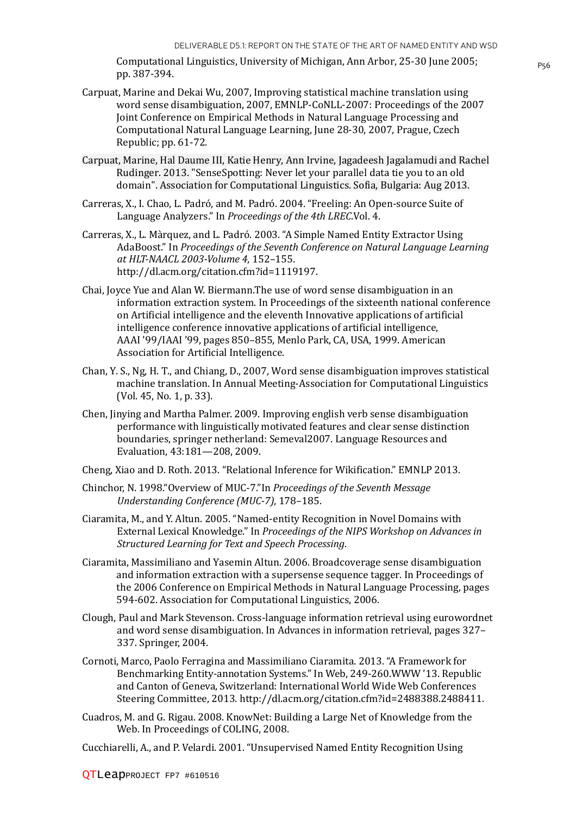Computational Linguistics, University of Michigan, Ann Arbor, 25-30 June 2005; pp. 387-394.

- Carpuat, Marine and Dekai Wu, 2007, Improving statistical machine translation using word sense disambiguation, 2007, EMNLP-CoNLL-2007: Proceedings of the 2007 Joint Conference on Empirical Methods in Natural Language Processing and Computational Natural Language Learning, June 28-30, 2007, Prague, Czech Republic; pp. 61-72.
- Carpuat, Marine, Hal Daume III, Katie Henry, Ann Irvine, Jagadeesh Jagalamudi and Rachel Rudinger. 2013. "SenseSpotting: Never let your parallel data tie you to an old domain". Association for Computational Linguistics. Sofia, Bulgaria: Aug 2013.
- Carreras, X., I. Chao, L. Padró, and M. Padró. 2004. "Freeling: An Open-source Suite of Language Analyzers." In *Proceedings of the 4th LREC*.Vol. 4.
- Carreras, X., L. Màrquez, and L. Padró. 2003. "A Simple Named Entity Extractor Using AdaBoost." In *Proceedings of the Seventh Conference on Natural Language Learning at HLT-NAACL 2003-Volume 4*, 152–155. http://dl.acm.org/citation.cfm?id=1119197.
- Chai, Joyce Yue and Alan W. Biermann.The use of word sense disambiguation in an information extraction system. In Proceedings of the sixteenth national conference on Artificial intelligence and the eleventh Innovative applications of artificial intelligence conference innovative applications of artificial intelligence, AAAI '99/IAAI '99, pages 850–855, Menlo Park, CA, USA, 1999. American Association for Artificial Intelligence.
- Chan, Y. S., Ng, H. T., and Chiang, D., 2007, Word sense disambiguation improves statistical machine translation. In Annual Meeting-Association for Computational Linguistics (Vol. 45, No. 1, p. 33).
- Chen, Jinying and Martha Palmer. 2009. Improving english verb sense disambiguation performance with linguistically motivated features and clear sense distinction boundaries, springer netherland: Semeval2007. Language Resources and Evaluation, 43:181—208, 2009.
- Cheng, Xiao and D. Roth. 2013. "Relational Inference for Wikification." EMNLP 2013.
- Chinchor, N. 1998."Overview of MUC-7."In *Proceedings of the Seventh Message Understanding Conference (MUC-7)*, 178–185.
- Ciaramita, M., and Y. Altun. 2005. "Named-entity Recognition in Novel Domains with External Lexical Knowledge." In *Proceedings of the NIPS Workshop on Advances in Structured Learning for Text and Speech Processing*.
- Ciaramita, Massimiliano and Yasemin Altun. 2006. Broadcoverage sense disambiguation and information extraction with a supersense sequence tagger. In Proceedings of the 2006 Conference on Empirical Methods in Natural Language Processing, pages 594-602. Association for Computational Linguistics, 2006.
- Clough, Paul and Mark Stevenson. Cross-language information retrieval using eurowordnet and word sense disambiguation. In Advances in information retrieval, pages 327– 337. Springer, 2004.
- Cornoti, Marco, Paolo Ferragina and Massimiliano Ciaramita. 2013. "A Framework for Benchmarking Entity-annotation Systems." In Web, 249-260.WWW '13. Republic and Canton of Geneva, Switzerland: International World Wide Web Conferences Steering Committee, 2013. http://dl.acm.org/citation.cfm?id=2488388.2488411.
- Cuadros, M. and G. Rigau. 2008. KnowNet: Building a Large Net of Knowledge from the Web. In Proceedings of COLING, 2008.

Cucchiarelli, A., and P. Velardi. 2001. "Unsupervised Named Entity Recognition Using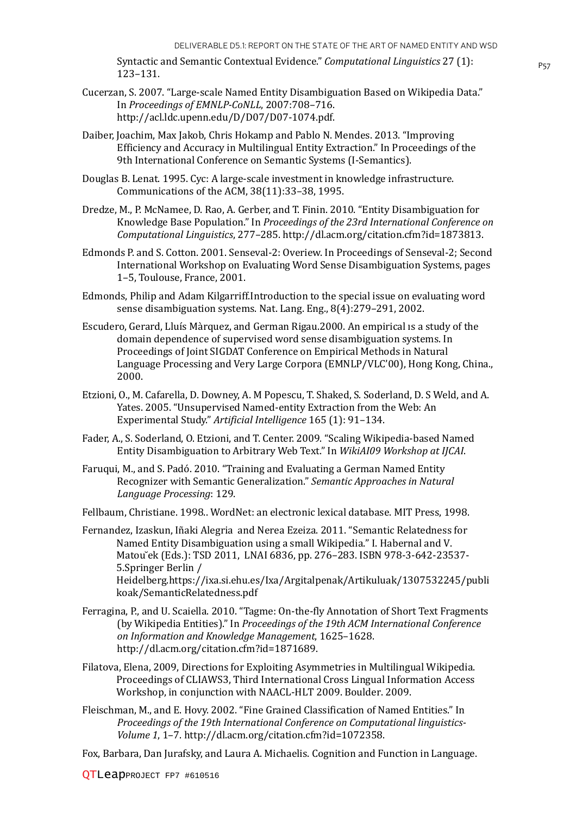P57 Syntactic and Semantic Contextual Evidence." *Computational Linguistics* 27 (1): 123–131.

- Cucerzan, S. 2007. "Large-scale Named Entity Disambiguation Based on Wikipedia Data." In *Proceedings of EMNLP-CoNLL*, 2007:708–716. http://acl.ldc.upenn.edu/D/D07/D07-1074.pdf.
- Daiber, Joachim, Max Jakob, Chris Hokamp and Pablo N. Mendes. 2013. "Improving Efficiency and Accuracy in Multilingual Entity Extraction." In Proceedings of the 9th International Conference on Semantic Systems (I-Semantics).
- Douglas B. Lenat. 1995. Cyc: A large-scale investment in knowledge infrastructure. Communications of the ACM, 38(11):33–38, 1995.
- Dredze, M., P. McNamee, D. Rao, A. Gerber, and T. Finin. 2010. "Entity Disambiguation for Knowledge Base Population." In *Proceedings of the 23rd International Conference on Computational Linguistics*, 277–285. http://dl.acm.org/citation.cfm?id=1873813.
- Edmonds P. and S. Cotton. 2001. Senseval-2: Overiew. In Proceedings of Senseval-2; Second International Workshop on Evaluating Word Sense Disambiguation Systems, pages 1–5, Toulouse, France, 2001.
- Edmonds, Philip and Adam Kilgarriff.Introduction to the special issue on evaluating word sense disambiguation systems. Nat. Lang. Eng., 8(4):279–291, 2002.
- Escudero, Gerard, Lluís Màrquez, and German Rigau.2000. An empirical ıs a study of the domain dependence of supervised word sense disambiguation systems. In Proceedings of Joint SIGDAT Conference on Empirical Methods in Natural Language Processing and Very Large Corpora (EMNLP/VLC'00), Hong Kong, China., 2000.
- Etzioni, O., M. Cafarella, D. Downey, A. M Popescu, T. Shaked, S. Soderland, D. S Weld, and A. Yates. 2005. "Unsupervised Named-entity Extraction from the Web: An Experimental Study." *Artificial Intelligence* 165 (1): 91–134.
- Fader, A., S. Soderland, O. Etzioni, and T. Center. 2009. "Scaling Wikipedia-based Named Entity Disambiguation to Arbitrary Web Text." In *WikiAI09 Workshop at IJCAI*.
- Faruqui, M., and S. Padó. 2010. "Training and Evaluating a German Named Entity Recognizer with Semantic Generalization." *Semantic Approaches in Natural Language Processing*: 129.
- Fellbaum, Christiane. 1998.. WordNet: an electronic lexical database. MIT Press, 1998.
- Fernandez, Izaskun, Iñaki Alegria and Nerea Ezeiza. 2011. "Semantic Relatedness for Named Entity Disambiguation using a small Wikipedia." I. Habernal and V. Matou ̆ek (Eds.): TSD 2011, LNAI 6836, pp. 276–283. ISBN 978-3-642-23537- 5.Springer Berlin / Heidelberg.https://ixa.si.ehu.es/Ixa/Argitalpenak/Artikuluak/1307532245/publi koak/SemanticRelatedness.pdf
- Ferragina, P., and U. Scaiella. 2010. "Tagme: On-the-fly Annotation of Short Text Fragments (by Wikipedia Entities)." In *Proceedings of the 19th ACM International Conference on Information and Knowledge Management*, 1625–1628. http://dl.acm.org/citation.cfm?id=1871689.
- Filatova, Elena, 2009, Directions for Exploiting Asymmetries in Multilingual Wikipedia. Proceedings of CLIAWS3, Third International Cross Lingual Information Access Workshop, in conjunction with NAACL-HLT 2009. Boulder. 2009.
- Fleischman, M., and E. Hovy. 2002. "Fine Grained Classification of Named Entities." In *Proceedings of the 19th International Conference on Computational linguistics-Volume 1*, 1–7. http://dl.acm.org/citation.cfm?id=1072358.

Fox, Barbara, Dan Jurafsky, and Laura A. Michaelis. Cognition and Function in Language.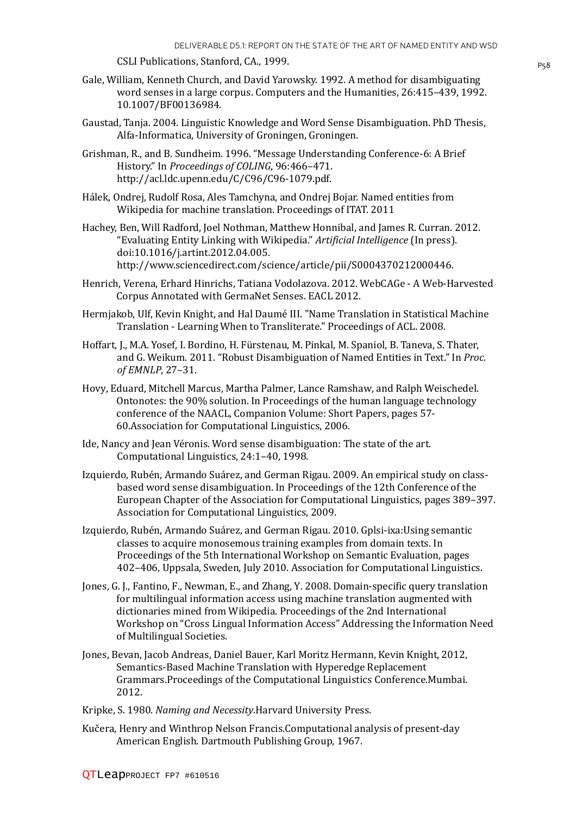CSLI Publications, Stanford, CA., 1999. CSLI Publications, Stanford, CA., 1999.

- Gale, William, Kenneth Church, and David Yarowsky. 1992. A method for disambiguating word senses in a large corpus. Computers and the Humanities, 26:415–439, 1992. 10.1007/BF00136984.
- Gaustad, Tanja. 2004. Linguistic Knowledge and Word Sense Disambiguation. PhD Thesis, Alfa-Informatica, University of Groningen, Groningen.
- Grishman, R., and B. Sundheim. 1996. "Message Understanding Conference-6: A Brief History." In *Proceedings of COLING*, 96:466–471. http://acl.ldc.upenn.edu/C/C96/C96-1079.pdf.
- Hálek, Ondrej, Rudolf Rosa, Ales Tamchyna, and Ondrej Bojar. Named entities from Wikipedia for machine translation. Proceedings of ITAT. 2011
- Hachey, Ben, Will Radford, Joel Nothman, Matthew Honnibal, and James R. Curran. 2012. "Evaluating Entity Linking with Wikipedia." *Artificial Intelligence* (In press). doi:10.1016/j.artint.2012.04.005. http://www.sciencedirect.com/science/article/pii/S0004370212000446.
- Henrich, Verena, Erhard Hinrichs, Tatiana Vodolazova. 2012. WebCAGe A Web-Harvested Corpus Annotated with GermaNet Senses. EACL 2012.
- Hermjakob, Ulf, Kevin Knight, and Hal Daumé III. "Name Translation in Statistical Machine Translation - Learning When to Transliterate." Proceedings of ACL. 2008.
- Hoffart, J., M.A. Yosef, I. Bordino, H. Fürstenau, M. Pinkal, M. Spaniol, B. Taneva, S. Thater, and G. Weikum. 2011. "Robust Disambiguation of Named Entities in Text." In *Proc. of EMNLP*, 27–31.
- Hovy, Eduard, Mitchell Marcus, Martha Palmer, Lance Ramshaw, and Ralph Weischedel. Ontonotes: the 90% solution. In Proceedings of the human language technology conference of the NAACL, Companion Volume: Short Papers, pages 57- 60.Association for Computational Linguistics, 2006.
- Ide, Nancy and Jean Véronis. Word sense disambiguation: The state of the art. Computational Linguistics, 24:1–40, 1998.
- Izquierdo, Rubén, Armando Suárez, and German Rigau. 2009. An empirical study on classbased word sense disambiguation. In Proceedings of the 12th Conference of the European Chapter of the Association for Computational Linguistics, pages 389–397. Association for Computational Linguistics, 2009.
- Izquierdo, Rubén, Armando Suárez, and German Rigau. 2010. Gplsi-ixa:Using semantic classes to acquire monosemous training examples from domain texts. In Proceedings of the 5th International Workshop on Semantic Evaluation, pages 402–406, Uppsala, Sweden, July 2010. Association for Computational Linguistics.
- Jones, G. J., Fantino, F., Newman, E., and Zhang, Y. 2008. Domain-specific query translation for multilingual information access using machine translation augmented with dictionaries mined from Wikipedia. Proceedings of the 2nd International Workshop on "Cross Lingual Information Access" Addressing the Information Need of Multilingual Societies.
- Jones, Bevan, Jacob Andreas, Daniel Bauer, Karl Moritz Hermann, Kevin Knight, 2012, Semantics-Based Machine Translation with Hyperedge Replacement Grammars.Proceedings of the Computational Linguistics Conference.Mumbai. 2012.
- Kripke, S. 1980. *Naming and Necessity*.Harvard University Press.
- Kučera, Henry and Winthrop Nelson Francis.Computational analysis of present-day American English. Dartmouth Publishing Group, 1967.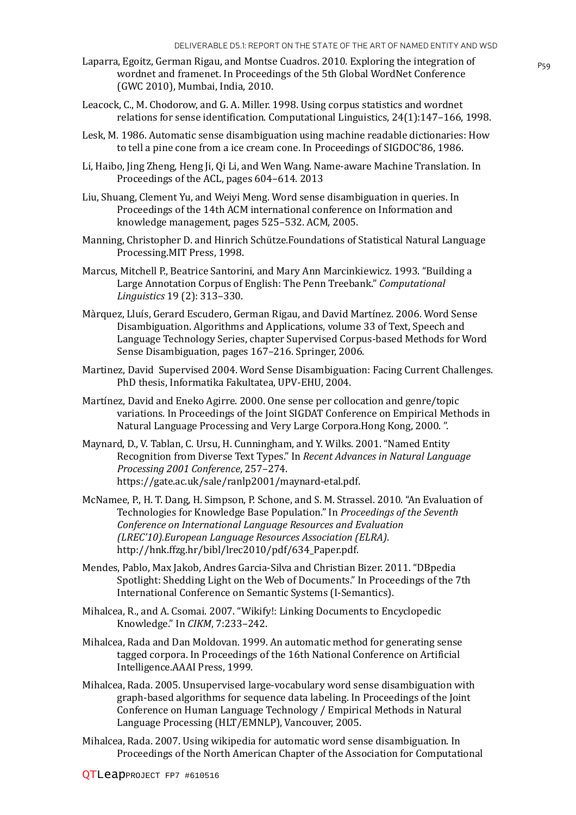- Laparra, Egoitz, German Rigau, and Montse Cuadros. 2010. Exploring the integration of wordnet and framenet. In Proceedings of the 5th Global WordNet Conference (GWC 2010), Mumbai, India, 2010.
- Leacock, C., M. Chodorow, and G. A. Miller. 1998. Using corpus statistics and wordnet relations for sense identification. Computational Linguistics, 24(1):147–166, 1998.
- Lesk, M. 1986. Automatic sense disambiguation using machine readable dictionaries: How to tell a pine cone from a ice cream cone. In Proceedings of SIGDOC'86, 1986.
- Li, Haibo, Jing Zheng, Heng Ji, Qi Li, and Wen Wang. Name-aware Machine Translation. In Proceedings of the ACL, pages 604–614. 2013
- Liu, Shuang, Clement Yu, and Weiyi Meng. Word sense disambiguation in queries. In Proceedings of the 14th ACM international conference on Information and knowledge management, pages 525–532. ACM, 2005.
- Manning, Christopher D. and Hinrich Schütze.Foundations of Statistical Natural Language Processing.MIT Press, 1998.
- Marcus, Mitchell P., Beatrice Santorini, and Mary Ann Marcinkiewicz. 1993. "Building a Large Annotation Corpus of English: The Penn Treebank." *Computational Linguistics* 19 (2): 313–330.
- Màrquez, Lluís, Gerard Escudero, German Rigau, and David Martínez. 2006. Word Sense Disambiguation. Algorithms and Applications, volume 33 of Text, Speech and Language Technology Series, chapter Supervised Corpus-based Methods for Word Sense Disambiguation, pages 167–216. Springer, 2006.
- Martinez, David Supervised 2004. Word Sense Disambiguation: Facing Current Challenges. PhD thesis, Informatika Fakultatea, UPV-EHU, 2004.
- Martínez, David and Eneko Agirre. 2000. One sense per collocation and genre/topic variations. In Proceedings of the Joint SIGDAT Conference on Empirical Methods in Natural Language Processing and Very Large Corpora.Hong Kong, 2000. ".
- Maynard, D., V. Tablan, C. Ursu, H. Cunningham, and Y. Wilks. 2001. "Named Entity Recognition from Diverse Text Types." In *Recent Advances in Natural Language Processing 2001 Conference*, 257–274. https://gate.ac.uk/sale/ranlp2001/maynard-etal.pdf.
- McNamee, P., H. T. Dang, H. Simpson, P. Schone, and S. M. Strassel. 2010. "An Evaluation of Technologies for Knowledge Base Population." In *Proceedings of the Seventh Conference on International Language Resources and Evaluation (LREC'10).European Language Resources Association (ELRA)*. http://hnk.ffzg.hr/bibl/lrec2010/pdf/634\_Paper.pdf.
- Mendes, Pablo, Max Jakob, Andres Garcia-Silva and Christian Bizer. 2011. "DBpedia Spotlight: Shedding Light on the Web of Documents." In Proceedings of the 7th International Conference on Semantic Systems (I-Semantics).
- Mihalcea, R., and A. Csomai. 2007. "Wikify!: Linking Documents to Encyclopedic Knowledge." In *CIKM*, 7:233–242.
- Mihalcea, Rada and Dan Moldovan. 1999. An automatic method for generating sense tagged corpora. In Proceedings of the 16th National Conference on Artificial Intelligence.AAAI Press, 1999.
- Mihalcea, Rada. 2005. Unsupervised large-vocabulary word sense disambiguation with graph-based algorithms for sequence data labeling. In Proceedings of the Joint Conference on Human Language Technology / Empirical Methods in Natural Language Processing (HLT/EMNLP), Vancouver, 2005.
- Mihalcea, Rada. 2007. Using wikipedia for automatic word sense disambiguation. In Proceedings of the North American Chapter of the Association for Computational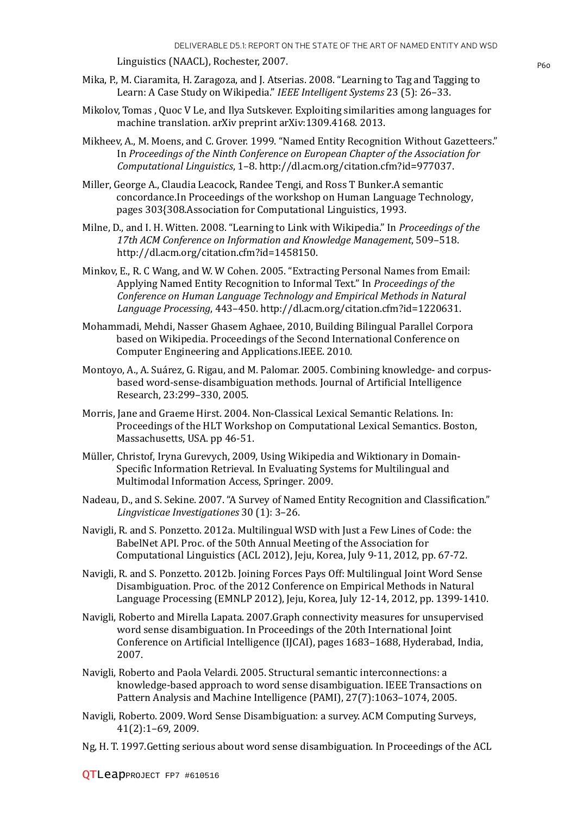Linguistics (NAACL), Rochester, 2007.

- Mika, P., M. Ciaramita, H. Zaragoza, and J. Atserias. 2008. "Learning to Tag and Tagging to Learn: A Case Study on Wikipedia." *IEEE Intelligent Systems* 23 (5): 26–33.
- Mikolov, Tomas , Quoc V Le, and Ilya Sutskever. Exploiting similarities among languages for machine translation. arXiv preprint arXiv:1309.4168. 2013.
- Mikheev, A., M. Moens, and C. Grover. 1999. "Named Entity Recognition Without Gazetteers." In *Proceedings of the Ninth Conference on European Chapter of the Association for Computational Linguistics*, 1–8. http://dl.acm.org/citation.cfm?id=977037.
- Miller, George A., Claudia Leacock, Randee Tengi, and Ross T Bunker.A semantic concordance.In Proceedings of the workshop on Human Language Technology, pages 303{308.Association for Computational Linguistics, 1993.
- Milne, D., and I. H. Witten. 2008. "Learning to Link with Wikipedia." In *Proceedings of the 17th ACM Conference on Information and Knowledge Management*, 509–518. http://dl.acm.org/citation.cfm?id=1458150.
- Minkov, E., R. C Wang, and W. W Cohen. 2005. "Extracting Personal Names from Email: Applying Named Entity Recognition to Informal Text." In *Proceedings of the Conference on Human Language Technology and Empirical Methods in Natural Language Processing*, 443–450. http://dl.acm.org/citation.cfm?id=1220631.
- Mohammadi, Mehdi, Nasser Ghasem Aghaee, 2010, Building Bilingual Parallel Corpora based on Wikipedia. Proceedings of the Second International Conference on Computer Engineering and Applications.IEEE. 2010.
- Montoyo, A., A. Suárez, G. Rigau, and M. Palomar. 2005. Combining knowledge- and corpusbased word-sense-disambiguation methods. Journal of Artificial Intelligence Research, 23:299–330, 2005.
- Morris, Jane and Graeme Hirst. 2004. Non-Classical Lexical Semantic Relations. In: Proceedings of the HLT Workshop on Computational Lexical Semantics. Boston, Massachusetts, USA. pp 46-51.
- Müller, Christof, Iryna Gurevych, 2009, Using Wikipedia and Wiktionary in Domain-Specific Information Retrieval. In Evaluating Systems for Multilingual and Multimodal Information Access, Springer. 2009.
- Nadeau, D., and S. Sekine. 2007. "A Survey of Named Entity Recognition and Classification." *Lingvisticae Investigationes* 30 (1): 3–26.
- Navigli, R. and S. Ponzetto. 2012a. Multilingual WSD with Just a Few Lines of Code: the BabelNet API. Proc. of the 50th Annual Meeting of the Association for Computational Linguistics (ACL 2012), Jeju, Korea, July 9-11, 2012, pp. 67-72.
- Navigli, R. and S. Ponzetto. 2012b. Joining Forces Pays Off: Multilingual Joint Word Sense Disambiguation. Proc. of the 2012 Conference on Empirical Methods in Natural Language Processing (EMNLP 2012), Jeju, Korea, July 12-14, 2012, pp. 1399-1410.
- Navigli, Roberto and Mirella Lapata. 2007.Graph connectivity measures for unsupervised word sense disambiguation. In Proceedings of the 20th International Joint Conference on Artificial Intelligence (IJCAI), pages 1683–1688, Hyderabad, India, 2007.
- Navigli, Roberto and Paola Velardi. 2005. Structural semantic interconnections: a knowledge-based approach to word sense disambiguation. IEEE Transactions on Pattern Analysis and Machine Intelligence (PAMI), 27(7):1063–1074, 2005.
- Navigli, Roberto. 2009. Word Sense Disambiguation: a survey. ACM Computing Surveys, 41(2):1–69, 2009.
- Ng, H. T. 1997.Getting serious about word sense disambiguation. In Proceedings of the ACL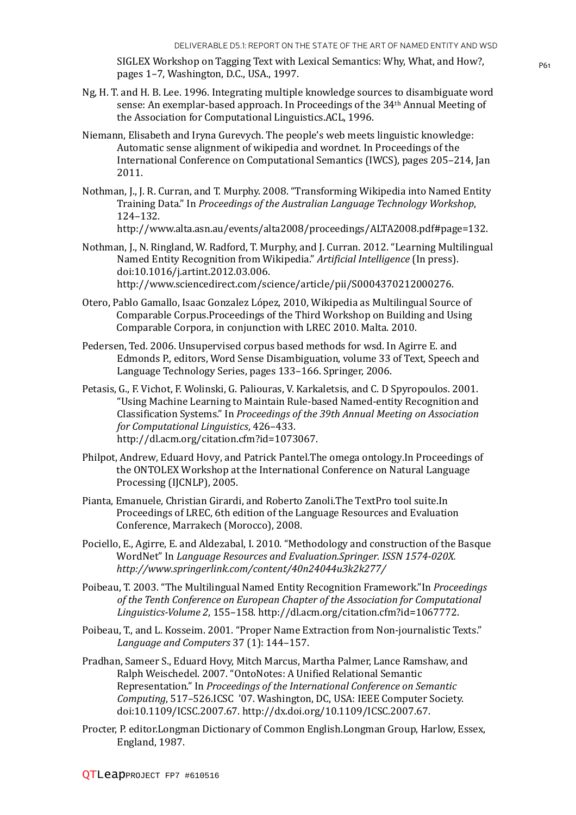SIGLEX Workshop on Tagging Text with Lexical Semantics: Why, What, and How?, pages 1–7, Washington, D.C., USA., 1997.

- Ng, H. T. and H. B. Lee. 1996. Integrating multiple knowledge sources to disambiguate word sense: An exemplar-based approach. In Proceedings of the 34th Annual Meeting of the Association for Computational Linguistics.ACL, 1996.
- Niemann, Elisabeth and Iryna Gurevych. The people's web meets linguistic knowledge: Automatic sense alignment of wikipedia and wordnet. In Proceedings of the International Conference on Computational Semantics (IWCS), pages 205–214, Jan 2011.
- Nothman, J., J. R. Curran, and T. Murphy. 2008. "Transforming Wikipedia into Named Entity Training Data." In *Proceedings of the Australian Language Technology Workshop*, 124–132.

Nothman, J., N. Ringland, W. Radford, T. Murphy, and J. Curran. 2012. "Learning Multilingual Named Entity Recognition from Wikipedia." *Artificial Intelligence* (In press). doi:10.1016/j.artint.2012.03.006.

http://www.sciencedirect.com/science/article/pii/S0004370212000276.

- Otero, Pablo Gamallo, Isaac Gonzalez López, 2010, Wikipedia as Multilingual Source of Comparable Corpus.Proceedings of the Third Workshop on Building and Using Comparable Corpora, in conjunction with LREC 2010. Malta. 2010.
- Pedersen, Ted. 2006. Unsupervised corpus based methods for wsd. In Agirre E. and Edmonds P., editors, Word Sense Disambiguation, volume 33 of Text, Speech and Language Technology Series, pages 133–166. Springer, 2006.
- Petasis, G., F. Vichot, F. Wolinski, G. Paliouras, V. Karkaletsis, and C. D Spyropoulos. 2001. "Using Machine Learning to Maintain Rule-based Named-entity Recognition and Classification Systems." In *Proceedings of the 39th Annual Meeting on Association for Computational Linguistics*, 426–433. http://dl.acm.org/citation.cfm?id=1073067.
- Philpot, Andrew, Eduard Hovy, and Patrick Pantel.The omega ontology.In Proceedings of the ONTOLEX Workshop at the International Conference on Natural Language Processing (IJCNLP), 2005.
- Pianta, Emanuele, Christian Girardi, and Roberto Zanoli.The TextPro tool suite.In Proceedings of LREC, 6th edition of the Language Resources and Evaluation Conference, Marrakech (Morocco), 2008.
- Pociello, E., Agirre, E. and Aldezabal, I. 2010. "Methodology and construction of the Basque WordNet" In *Language Resources and Evaluation.Springer. ISSN 1574-020X. http://www.springerlink.com/content/40n24044u3k2k277/*
- Poibeau, T. 2003. "The Multilingual Named Entity Recognition Framework."In *Proceedings of the Tenth Conference on European Chapter of the Association for Computational Linguistics-Volume 2*, 155–158. http://dl.acm.org/citation.cfm?id=1067772.
- Poibeau, T., and L. Kosseim. 2001. "Proper Name Extraction from Non-journalistic Texts." *Language and Computers* 37 (1): 144–157.
- Pradhan, Sameer S., Eduard Hovy, Mitch Marcus, Martha Palmer, Lance Ramshaw, and Ralph Weischedel. 2007. "OntoNotes: A Unified Relational Semantic Representation." In *Proceedings of the International Conference on Semantic Computing*, 517–526.ICSC '07. Washington, DC, USA: IEEE Computer Society. doi:10.1109/ICSC.2007.67. http://dx.doi.org/10.1109/ICSC.2007.67.
- Procter, P. editor.Longman Dictionary of Common English.Longman Group, Harlow, Essex, England, 1987.

http://www.alta.asn.au/events/alta2008/proceedings/ALTA2008.pdf#page=132.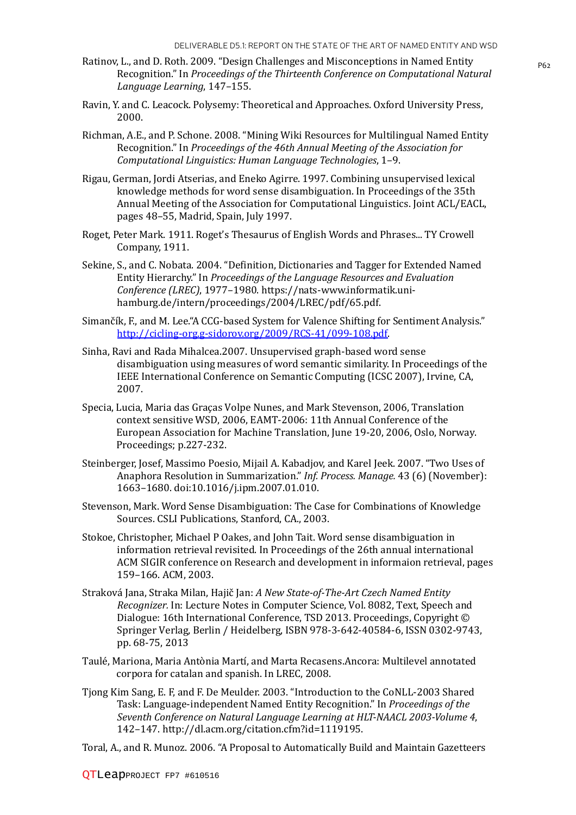- Ratinov, L., and D. Roth. 2009. "Design Challenges and Misconceptions in Named Entity  $P_{62}$ Recognition." In *Proceedings of the Thirteenth Conference on Computational Natural Language Learning*, 147–155.
- Ravin, Y. and C. Leacock. Polysemy: Theoretical and Approaches. Oxford University Press, 2000.
- Richman, A.E., and P. Schone. 2008. "Mining Wiki Resources for Multilingual Named Entity Recognition." In *Proceedings of the 46th Annual Meeting of the Association for Computational Linguistics: Human Language Technologies*, 1–9.
- Rigau, German, Jordi Atserias, and Eneko Agirre. 1997. Combining unsupervised lexical knowledge methods for word sense disambiguation. In Proceedings of the 35th Annual Meeting of the Association for Computational Linguistics. Joint ACL/EACL, pages 48–55, Madrid, Spain, July 1997.
- Roget, Peter Mark. 1911. Roget's Thesaurus of English Words and Phrases... TY Crowell Company, 1911.
- Sekine, S., and C. Nobata. 2004. "Definition, Dictionaries and Tagger for Extended Named Entity Hierarchy." In *Proceedings of the Language Resources and Evaluation Conference (LREC)*, 1977–1980. https://nats-www.informatik.unihamburg.de/intern/proceedings/2004/LREC/pdf/65.pdf.
- Simančík, F., and M. Lee."A CCG-based System for Valence Shifting for Sentiment Analysis." http://cicling-org.g-sidorov.org/2009/RCS-41/099-108.pdf.
- Sinha, Ravi and Rada Mihalcea.2007. Unsupervised graph-based word sense disambiguation using measures of word semantic similarity. In Proceedings of the IEEE International Conference on Semantic Computing (ICSC 2007), Irvine, CA, 2007.
- Specia, Lucia, Maria das Graças Volpe Nunes, and Mark Stevenson, 2006, Translation context sensitive WSD, 2006, EAMT-2006: 11th Annual Conference of the European Association for Machine Translation, June 19-20, 2006, Oslo, Norway. Proceedings; p.227-232.
- Steinberger, Josef, Massimo Poesio, Mijail A. Kabadjov, and Karel Jeek. 2007. "Two Uses of Anaphora Resolution in Summarization." *Inf. Process. Manage.* 43 (6) (November): 1663–1680. doi:10.1016/j.ipm.2007.01.010.
- Stevenson, Mark. Word Sense Disambiguation: The Case for Combinations of Knowledge Sources. CSLI Publications, Stanford, CA., 2003.
- Stokoe, Christopher, Michael P Oakes, and John Tait. Word sense disambiguation in information retrieval revisited. In Proceedings of the 26th annual international ACM SIGIR conference on Research and development in informaion retrieval, pages 159–166. ACM, 2003.
- Straková Jana, Straka Milan, Hajič Jan: *A New State-of-The-Art Czech Named Entity Recognizer.* In: Lecture Notes in Computer Science, Vol. 8082, Text, Speech and Dialogue: 16th International Conference, TSD 2013. Proceedings, Copyright © Springer Verlag, Berlin / Heidelberg, ISBN 978-3-642-40584-6, ISSN 0302-9743, pp. 68-75, 2013
- Taulé, Mariona, Maria Antònia Martí, and Marta Recasens.Ancora: Multilevel annotated corpora for catalan and spanish. In LREC, 2008.
- Tjong Kim Sang, E. F, and F. De Meulder. 2003. "Introduction to the CoNLL-2003 Shared Task: Language-independent Named Entity Recognition." In *Proceedings of the Seventh Conference on Natural Language Learning at HLT-NAACL 2003-Volume 4*, 142–147. http://dl.acm.org/citation.cfm?id=1119195.
- Toral, A., and R. Munoz. 2006. "A Proposal to Automatically Build and Maintain Gazetteers